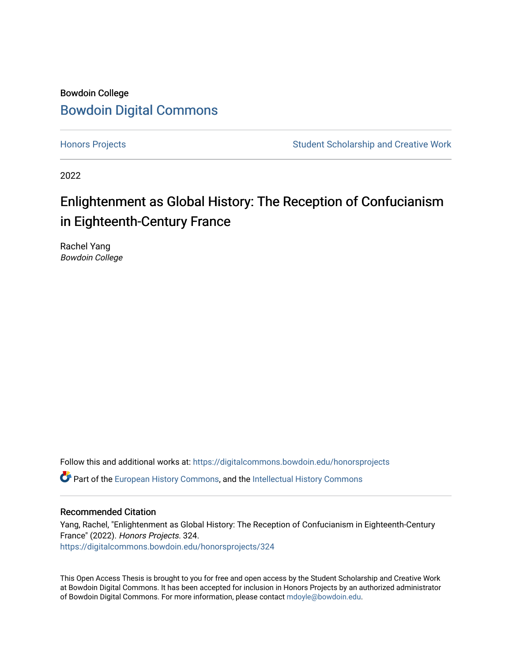## Bowdoin College [Bowdoin Digital Commons](https://digitalcommons.bowdoin.edu/)

[Honors Projects](https://digitalcommons.bowdoin.edu/honorsprojects) **Student Scholarship and Creative Work** Student Scholarship and Creative Work

2022

# Enlightenment as Global History: The Reception of Confucianism in Eighteenth-Century France

Rachel Yang Bowdoin College

Follow this and additional works at: [https://digitalcommons.bowdoin.edu/honorsprojects](https://digitalcommons.bowdoin.edu/honorsprojects?utm_source=digitalcommons.bowdoin.edu%2Fhonorsprojects%2F324&utm_medium=PDF&utm_campaign=PDFCoverPages)

**C** Part of the [European History Commons](https://network.bepress.com/hgg/discipline/492?utm_source=digitalcommons.bowdoin.edu%2Fhonorsprojects%2F324&utm_medium=PDF&utm_campaign=PDFCoverPages), and the Intellectual History Commons

#### Recommended Citation

Yang, Rachel, "Enlightenment as Global History: The Reception of Confucianism in Eighteenth-Century France" (2022). Honors Projects. 324. [https://digitalcommons.bowdoin.edu/honorsprojects/324](https://digitalcommons.bowdoin.edu/honorsprojects/324?utm_source=digitalcommons.bowdoin.edu%2Fhonorsprojects%2F324&utm_medium=PDF&utm_campaign=PDFCoverPages)

This Open Access Thesis is brought to you for free and open access by the Student Scholarship and Creative Work at Bowdoin Digital Commons. It has been accepted for inclusion in Honors Projects by an authorized administrator of Bowdoin Digital Commons. For more information, please contact [mdoyle@bowdoin.edu.](mailto:mdoyle@bowdoin.edu)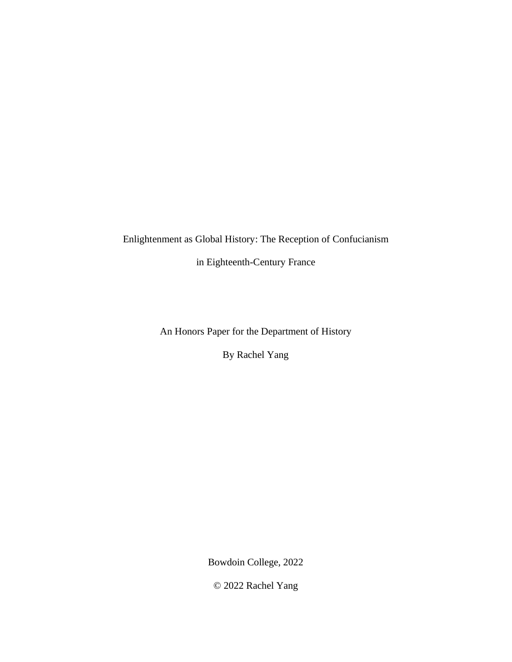Enlightenment as Global History: The Reception of Confucianism

in Eighteenth-Century France

An Honors Paper for the Department of History

By Rachel Yang

Bowdoin College, 2022

© 2022 Rachel Yang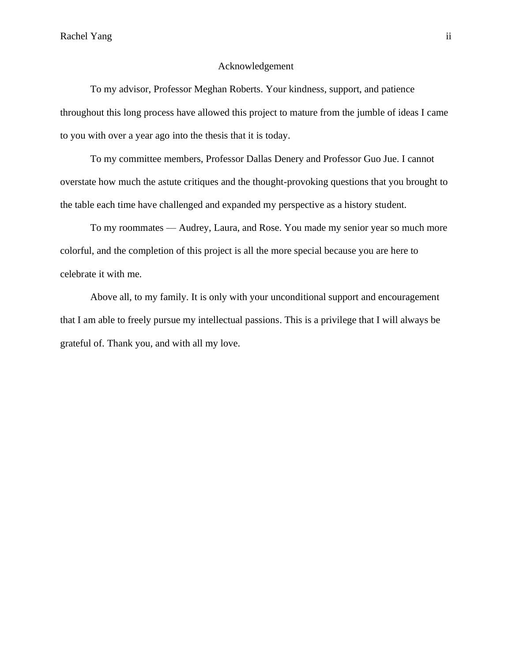#### Acknowledgement

To my advisor, Professor Meghan Roberts. Your kindness, support, and patience throughout this long process have allowed this project to mature from the jumble of ideas I came to you with over a year ago into the thesis that it is today.

To my committee members, Professor Dallas Denery and Professor Guo Jue. I cannot overstate how much the astute critiques and the thought-provoking questions that you brought to the table each time have challenged and expanded my perspective as a history student.

To my roommates –– Audrey, Laura, and Rose. You made my senior year so much more colorful, and the completion of this project is all the more special because you are here to celebrate it with me.

Above all, to my family. It is only with your unconditional support and encouragement that I am able to freely pursue my intellectual passions. This is a privilege that I will always be grateful of. Thank you, and with all my love.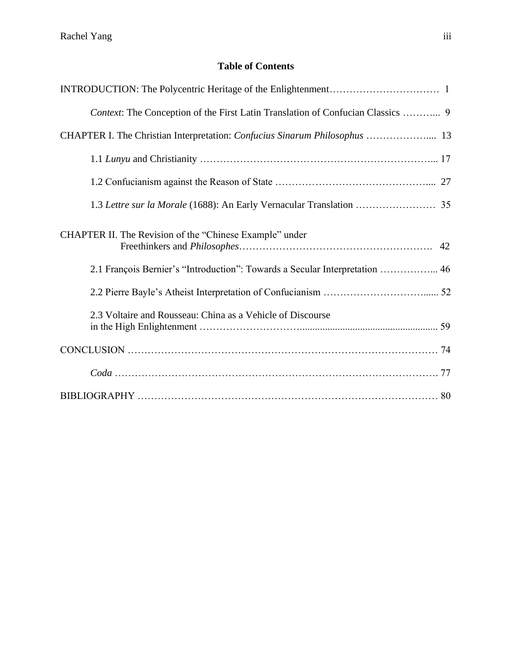### **Table of Contents**

| Context: The Conception of the First Latin Translation of Confucian Classics  9 |
|---------------------------------------------------------------------------------|
| CHAPTER I. The Christian Interpretation: Confucius Sinarum Philosophus  13      |
|                                                                                 |
|                                                                                 |
|                                                                                 |
| CHAPTER II. The Revision of the "Chinese Example" under                         |
| 2.1 François Bernier's "Introduction": Towards a Secular Interpretation  46     |
|                                                                                 |
| 2.3 Voltaire and Rousseau: China as a Vehicle of Discourse                      |
|                                                                                 |
|                                                                                 |
|                                                                                 |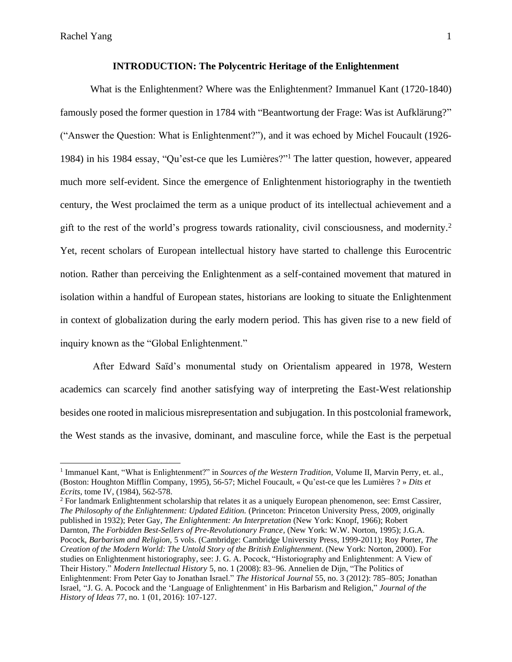#### **INTRODUCTION: The Polycentric Heritage of the Enlightenment**

What is the Enlightenment? Where was the Enlightenment? Immanuel Kant (1720-1840) famously posed the former question in 1784 with "Beantwortung der Frage: Was ist Aufklärung?" ("Answer the Question: What is Enlightenment?"), and it was echoed by Michel Foucault (1926- 1984) in his 1984 essay, "Qu'est-ce que les Lumières?"<sup>1</sup> The latter question, however, appeared much more self-evident. Since the emergence of Enlightenment historiography in the twentieth century, the West proclaimed the term as a unique product of its intellectual achievement and a gift to the rest of the world's progress towards rationality, civil consciousness, and modernity.<sup>2</sup> Yet, recent scholars of European intellectual history have started to challenge this Eurocentric notion. Rather than perceiving the Enlightenment as a self-contained movement that matured in isolation within a handful of European states, historians are looking to situate the Enlightenment in context of globalization during the early modern period. This has given rise to a new field of inquiry known as the "Global Enlightenment."

After Edward Saïd's monumental study on Orientalism appeared in 1978, Western academics can scarcely find another satisfying way of interpreting the East-West relationship besides one rooted in malicious misrepresentation and subjugation. In this postcolonial framework, the West stands as the invasive, dominant, and masculine force, while the East is the perpetual

<sup>2</sup> For landmark Enlightenment scholarship that relates it as a uniquely European phenomenon, see: Ernst Cassirer, *The Philosophy of the Enlightenment: Updated Edition.* (Princeton: Princeton University Press, 2009, originally published in 1932); Peter Gay, *The Enlightenment: An Interpretation* (New York: Knopf, 1966); Robert Darnton, *The Forbidden Best-Sellers of Pre-Revolutionary France*, (New York: W.W. Norton, 1995); J.G.A. Pocock, *Barbarism and Religion,* 5 vols. (Cambridge: Cambridge University Press, 1999-2011); Roy Porter, *The Creation of the Modern World: The Untold Story of the British Enlightenment*. (New York: Norton, 2000). For studies on Enlightenment historiography, see: J. G. A. Pocock, "Historiography and Enlightenment: A View of Their History." *Modern Intellectual History* 5, no. 1 (2008): 83–96. Annelien de Dijn, "The Politics of Enlightenment: From Peter Gay to Jonathan Israel." *The Historical Journal* 55, no. 3 (2012): 785–805; Jonathan Israel, "J. G. A. Pocock and the 'Language of Enlightenment' in His Barbarism and Religion," *Journal of the History of Ideas* 77, no. 1 (01, 2016): 107-127.

<sup>&</sup>lt;sup>1</sup> Immanuel Kant, "What is Enlightenment?" in *Sources of the Western Tradition*, Volume II, Marvin Perry, et. al., (Boston: Houghton Mifflin Company, 1995), 56-57; Michel Foucault, « Qu'est-ce que les Lumières ? » *Dits et Ecrits*, tome IV, (1984), 562-578.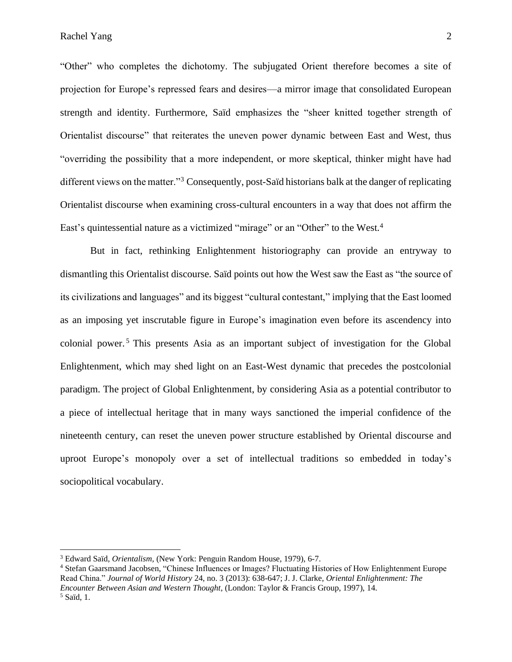"Other" who completes the dichotomy. The subjugated Orient therefore becomes a site of projection for Europe's repressed fears and desires––a mirror image that consolidated European strength and identity. Furthermore, Saïd emphasizes the "sheer knitted together strength of Orientalist discourse" that reiterates the uneven power dynamic between East and West, thus "overriding the possibility that a more independent, or more skeptical, thinker might have had different views on the matter."<sup>3</sup> Consequently, post-Saïd historians balk at the danger of replicating Orientalist discourse when examining cross-cultural encounters in a way that does not affirm the East's quintessential nature as a victimized "mirage" or an "Other" to the West.<sup>4</sup>

But in fact, rethinking Enlightenment historiography can provide an entryway to dismantling this Orientalist discourse. Saïd points out how the West saw the East as "the source of its civilizations and languages" and its biggest "cultural contestant," implying that the East loomed as an imposing yet inscrutable figure in Europe's imagination even before its ascendency into colonial power. <sup>5</sup> This presents Asia as an important subject of investigation for the Global Enlightenment, which may shed light on an East-West dynamic that precedes the postcolonial paradigm. The project of Global Enlightenment, by considering Asia as a potential contributor to a piece of intellectual heritage that in many ways sanctioned the imperial confidence of the nineteenth century, can reset the uneven power structure established by Oriental discourse and uproot Europe's monopoly over a set of intellectual traditions so embedded in today's sociopolitical vocabulary.

<sup>3</sup> Edward Saïd, *Orientalism,* (New York: Penguin Random House, 1979), 6-7.

<sup>4</sup> Stefan Gaarsmand Jacobsen, "Chinese Influences or Images? Fluctuating Histories of How Enlightenment Europe Read China." *Journal of World History* 24, no. 3 (2013): 638-647; J. J. Clarke, *Oriental Enlightenment: The Encounter Between Asian and Western Thought*, (London: Taylor & Francis Group, 1997), 14. <sup>5</sup> Saïd, 1.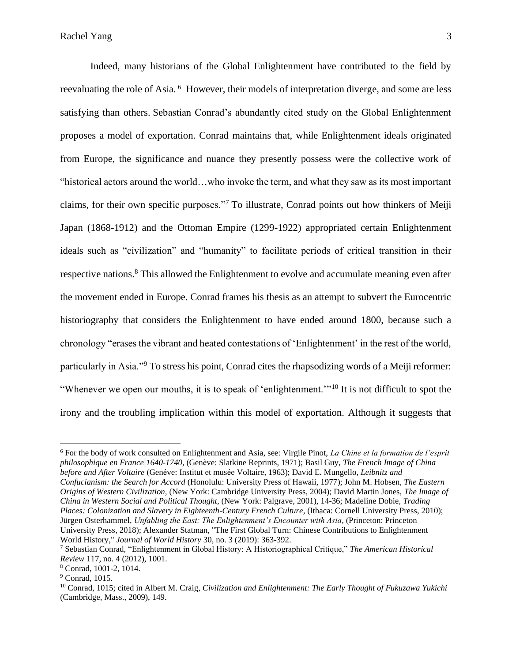Indeed, many historians of the Global Enlightenment have contributed to the field by reevaluating the role of Asia. <sup>6</sup> However, their models of interpretation diverge, and some are less satisfying than others. Sebastian Conrad's abundantly cited study on the Global Enlightenment proposes a model of exportation. Conrad maintains that, while Enlightenment ideals originated from Europe, the significance and nuance they presently possess were the collective work of "historical actors around the world…who invoke the term, and what they saw as its most important claims, for their own specific purposes."<sup>7</sup> To illustrate, Conrad points out how thinkers of Meiji Japan (1868-1912) and the Ottoman Empire (1299-1922) appropriated certain Enlightenment ideals such as "civilization" and "humanity" to facilitate periods of critical transition in their respective nations.<sup>8</sup> This allowed the Enlightenment to evolve and accumulate meaning even after the movement ended in Europe. Conrad frames his thesis as an attempt to subvert the Eurocentric historiography that considers the Enlightenment to have ended around 1800, because such a chronology "erases the vibrant and heated contestations of 'Enlightenment' in the rest of the world, particularly in Asia."<sup>9</sup> To stress his point, Conrad cites the rhapsodizing words of a Meiji reformer: "Whenever we open our mouths, it is to speak of 'enlightenment.'"<sup>10</sup> It is not difficult to spot the irony and the troubling implication within this model of exportation. Although it suggests that

<sup>7</sup> Sebastian Conrad, "Enlightenment in Global History: A Historiographical Critique," *The American Historical Review* 117, no. 4 (2012), 1001.

<sup>6</sup> For the body of work consulted on Enlightenment and Asia, see: Virgile Pinot, *La Chine et la formation de l'esprit philosophique en France 1640-1740,* (Genève: Slatkine Reprints, 1971); Basil Guy, *The French Image of China before and After Voltaire* (Genéve: Institut et musée Voltaire, 1963); David E. Mungello*, Leibnitz and Confucianism: the Search for Accord* (Honolulu: University Press of Hawaii, 1977); John M. Hobsen, *The Eastern Origins of Western Civilization,* (New York: Cambridge University Press, 2004); David Martin Jones, *The Image of China in Western Social and Political Thought*, (New York: Palgrave, 2001), 14-36; Madeline Dobie, *Trading Places: Colonization and Slavery in Eighteenth-Century French Culture,* (Ithaca: Cornell University Press, 2010); Jürgen Osterhammel, *Unfabling the East: The Enlightenment's Encounter with Asia,* (Princeton: Princeton University Press, 2018); Alexander Statman, "The First Global Turn: Chinese Contributions to Enlightenment World History," *Journal of World History* 30, no. 3 (2019): 363-392.

<sup>8</sup> Conrad, 1001-2, 1014.

<sup>9</sup> Conrad, 1015.

<sup>10</sup> Conrad, 1015; cited in Albert M. Craig, *Civilization and Enlightenment: The Early Thought of Fukuzawa Yukichi* (Cambridge, Mass., 2009), 149.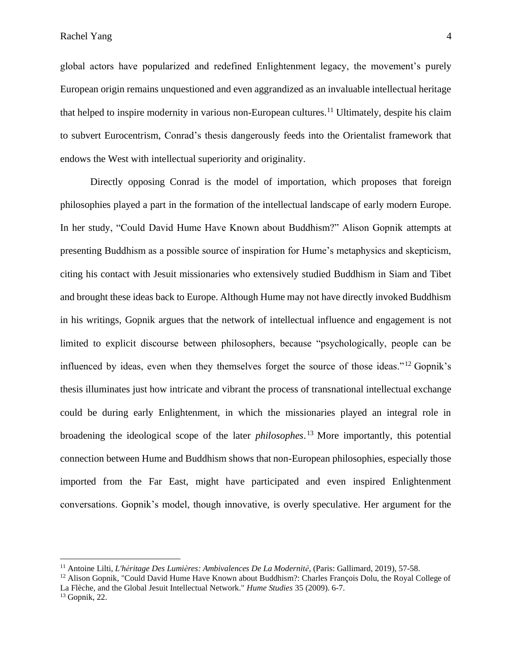Rachel Yang 4

global actors have popularized and redefined Enlightenment legacy, the movement's purely European origin remains unquestioned and even aggrandized as an invaluable intellectual heritage that helped to inspire modernity in various non-European cultures. <sup>11</sup> Ultimately, despite his claim to subvert Eurocentrism, Conrad's thesis dangerously feeds into the Orientalist framework that endows the West with intellectual superiority and originality.

Directly opposing Conrad is the model of importation, which proposes that foreign philosophies played a part in the formation of the intellectual landscape of early modern Europe. In her study, "Could David Hume Have Known about Buddhism?" Alison Gopnik attempts at presenting Buddhism as a possible source of inspiration for Hume's metaphysics and skepticism, citing his contact with Jesuit missionaries who extensively studied Buddhism in Siam and Tibet and brought these ideas back to Europe. Although Hume may not have directly invoked Buddhism in his writings, Gopnik argues that the network of intellectual influence and engagement is not limited to explicit discourse between philosophers, because "psychologically, people can be influenced by ideas, even when they themselves forget the source of those ideas."<sup>12</sup> Gopnik's thesis illuminates just how intricate and vibrant the process of transnational intellectual exchange could be during early Enlightenment, in which the missionaries played an integral role in broadening the ideological scope of the later *philosophes*. <sup>13</sup> More importantly, this potential connection between Hume and Buddhism shows that non-European philosophies, especially those imported from the Far East, might have participated and even inspired Enlightenment conversations. Gopnik's model, though innovative, is overly speculative. Her argument for the

<sup>11</sup> Antoine Lilti, *L'héritage Des Lumières: Ambivalences De La Modernité*, (Paris: Gallimard, 2019), 57-58.

<sup>&</sup>lt;sup>12</sup> Alison Gopnik, "Could David Hume Have Known about Buddhism?: Charles Francois Dolu, the Royal College of La Flèche, and the Global Jesuit Intellectual Network." *Hume Studies* 35 (2009). 6-7.

<sup>13</sup> Gopnik, 22.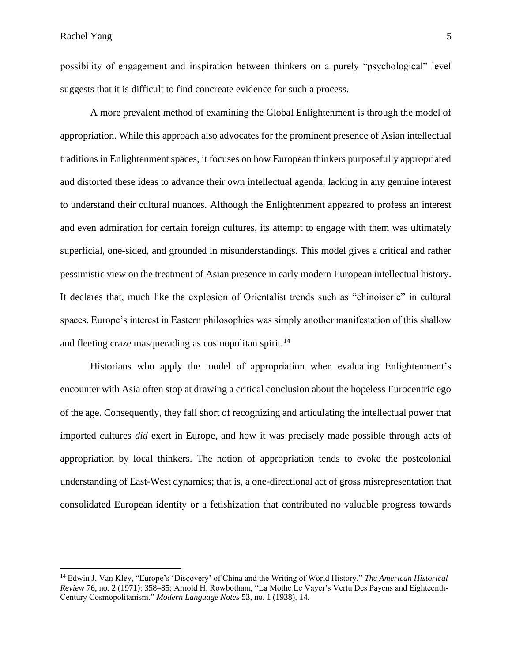possibility of engagement and inspiration between thinkers on a purely "psychological" level suggests that it is difficult to find concreate evidence for such a process.

A more prevalent method of examining the Global Enlightenment is through the model of appropriation. While this approach also advocates for the prominent presence of Asian intellectual traditions in Enlightenment spaces, it focuses on how European thinkers purposefully appropriated and distorted these ideas to advance their own intellectual agenda, lacking in any genuine interest to understand their cultural nuances. Although the Enlightenment appeared to profess an interest and even admiration for certain foreign cultures, its attempt to engage with them was ultimately superficial, one-sided, and grounded in misunderstandings. This model gives a critical and rather pessimistic view on the treatment of Asian presence in early modern European intellectual history. It declares that, much like the explosion of Orientalist trends such as "chinoiserie" in cultural spaces, Europe's interest in Eastern philosophies was simply another manifestation of this shallow and fleeting craze masquerading as cosmopolitan spirit.<sup>14</sup>

Historians who apply the model of appropriation when evaluating Enlightenment's encounter with Asia often stop at drawing a critical conclusion about the hopeless Eurocentric ego of the age. Consequently, they fall short of recognizing and articulating the intellectual power that imported cultures *did* exert in Europe, and how it was precisely made possible through acts of appropriation by local thinkers. The notion of appropriation tends to evoke the postcolonial understanding of East-West dynamics; that is, a one-directional act of gross misrepresentation that consolidated European identity or a fetishization that contributed no valuable progress towards

<sup>14</sup> Edwin J. Van Kley, "Europe's 'Discovery' of China and the Writing of World History." *The American Historical Review* 76, no. 2 (1971): 358–85; Arnold H. Rowbotham, "La Mothe Le Vayer's Vertu Des Payens and Eighteenth-Century Cosmopolitanism." *Modern Language Notes* 53, no. 1 (1938), 14.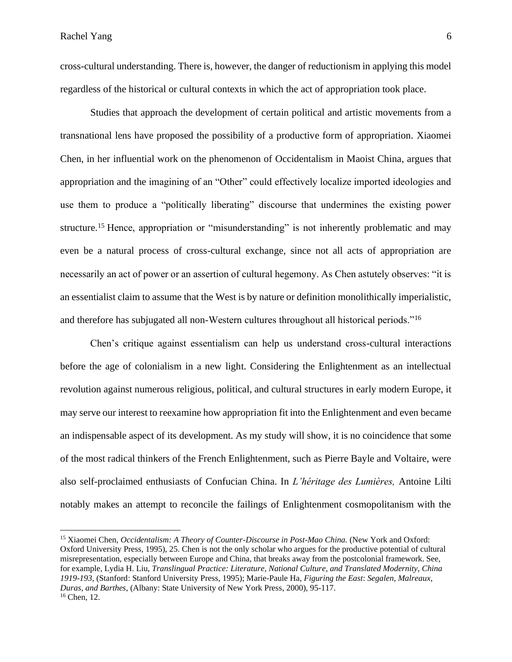Rachel Yang 6

cross-cultural understanding. There is, however, the danger of reductionism in applying this model regardless of the historical or cultural contexts in which the act of appropriation took place.

Studies that approach the development of certain political and artistic movements from a transnational lens have proposed the possibility of a productive form of appropriation. Xiaomei Chen, in her influential work on the phenomenon of Occidentalism in Maoist China, argues that appropriation and the imagining of an "Other" could effectively localize imported ideologies and use them to produce a "politically liberating" discourse that undermines the existing power structure.<sup>15</sup> Hence, appropriation or "misunderstanding" is not inherently problematic and may even be a natural process of cross-cultural exchange, since not all acts of appropriation are necessarily an act of power or an assertion of cultural hegemony. As Chen astutely observes: "it is an essentialist claim to assume that the West is by nature or definition monolithically imperialistic, and therefore has subjugated all non-Western cultures throughout all historical periods."<sup>16</sup>

Chen's critique against essentialism can help us understand cross-cultural interactions before the age of colonialism in a new light. Considering the Enlightenment as an intellectual revolution against numerous religious, political, and cultural structures in early modern Europe, it may serve our interest to reexamine how appropriation fit into the Enlightenment and even became an indispensable aspect of its development. As my study will show, it is no coincidence that some of the most radical thinkers of the French Enlightenment, such as Pierre Bayle and Voltaire, were also self-proclaimed enthusiasts of Confucian China. In *L'héritage des Lumières,* Antoine Lilti notably makes an attempt to reconcile the failings of Enlightenment cosmopolitanism with the

<sup>&</sup>lt;sup>15</sup> Xiaomei Chen, *Occidentalism: A Theory of Counter-Discourse in Post-Mao China.* (New York and Oxford: Oxford University Press, 1995), 25. Chen is not the only scholar who argues for the productive potential of cultural misrepresentation, especially between Europe and China, that breaks away from the postcolonial framework. See, for example, Lydia H. Liu, *Translingual Practice: Literature, National Culture, and Translated Modernity, China 1919-193,* (Stanford: Stanford University Press, 1995); Marie-Paule Ha, *Figuring the East*: *Segalen, Malreaux, Duras, and Barthes*, (Albany: State University of New York Press, 2000), 95-117. <sup>16</sup> Chen, 12.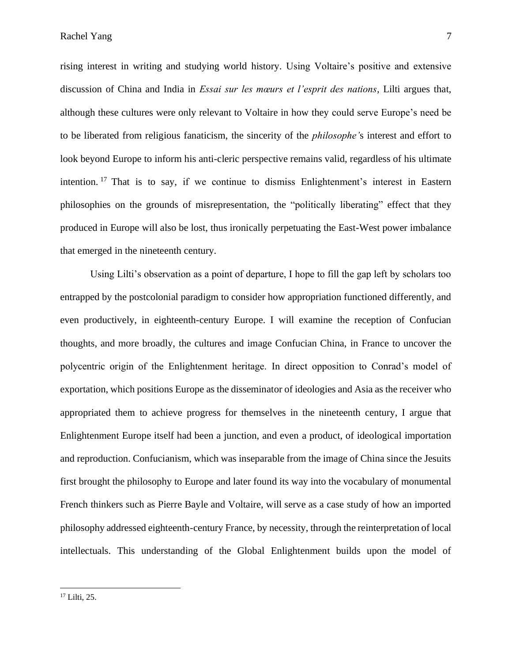rising interest in writing and studying world history. Using Voltaire's positive and extensive discussion of China and India in *Essai sur les mœurs et l'esprit des nations,* Lilti argues that, although these cultures were only relevant to Voltaire in how they could serve Europe's need be to be liberated from religious fanaticism, the sincerity of the *philosophe'*s interest and effort to look beyond Europe to inform his anti-cleric perspective remains valid, regardless of his ultimate intention. <sup>17</sup> That is to say, if we continue to dismiss Enlightenment's interest in Eastern philosophies on the grounds of misrepresentation, the "politically liberating" effect that they produced in Europe will also be lost, thus ironically perpetuating the East-West power imbalance that emerged in the nineteenth century.

Using Lilti's observation as a point of departure, I hope to fill the gap left by scholars too entrapped by the postcolonial paradigm to consider how appropriation functioned differently, and even productively, in eighteenth-century Europe. I will examine the reception of Confucian thoughts, and more broadly, the cultures and image Confucian China, in France to uncover the polycentric origin of the Enlightenment heritage. In direct opposition to Conrad's model of exportation, which positions Europe as the disseminator of ideologies and Asia as the receiver who appropriated them to achieve progress for themselves in the nineteenth century, I argue that Enlightenment Europe itself had been a junction, and even a product, of ideological importation and reproduction. Confucianism, which was inseparable from the image of China since the Jesuits first brought the philosophy to Europe and later found its way into the vocabulary of monumental French thinkers such as Pierre Bayle and Voltaire, will serve as a case study of how an imported philosophy addressed eighteenth-century France, by necessity, through the reinterpretation of local intellectuals. This understanding of the Global Enlightenment builds upon the model of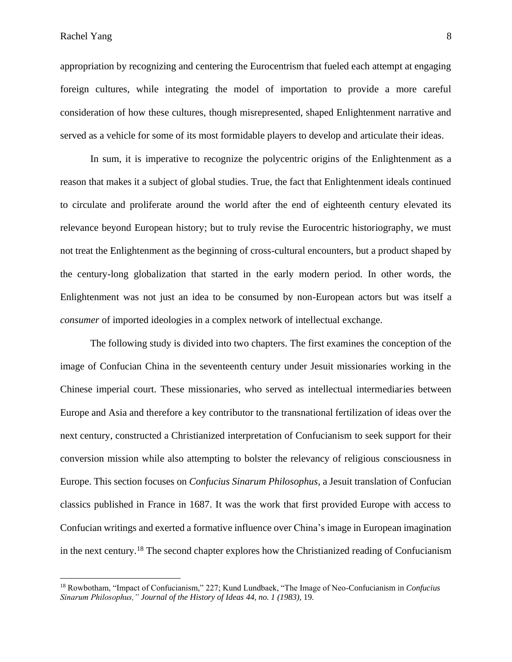appropriation by recognizing and centering the Eurocentrism that fueled each attempt at engaging foreign cultures, while integrating the model of importation to provide a more careful consideration of how these cultures, though misrepresented, shaped Enlightenment narrative and served as a vehicle for some of its most formidable players to develop and articulate their ideas.

In sum, it is imperative to recognize the polycentric origins of the Enlightenment as a reason that makes it a subject of global studies. True, the fact that Enlightenment ideals continued to circulate and proliferate around the world after the end of eighteenth century elevated its relevance beyond European history; but to truly revise the Eurocentric historiography, we must not treat the Enlightenment as the beginning of cross-cultural encounters, but a product shaped by the century-long globalization that started in the early modern period. In other words, the Enlightenment was not just an idea to be consumed by non-European actors but was itself a *consumer* of imported ideologies in a complex network of intellectual exchange.

The following study is divided into two chapters. The first examines the conception of the image of Confucian China in the seventeenth century under Jesuit missionaries working in the Chinese imperial court. These missionaries, who served as intellectual intermediaries between Europe and Asia and therefore a key contributor to the transnational fertilization of ideas over the next century, constructed a Christianized interpretation of Confucianism to seek support for their conversion mission while also attempting to bolster the relevancy of religious consciousness in Europe. This section focuses on *Confucius Sinarum Philosophus,* a Jesuit translation of Confucian classics published in France in 1687. It was the work that first provided Europe with access to Confucian writings and exerted a formative influence over China's image in European imagination in the next century.<sup>18</sup> The second chapter explores how the Christianized reading of Confucianism

<sup>18</sup> Rowbotham, "Impact of Confucianism," 227; Kund Lundbaek, "The Image of Neo-Confucianism in *Confucius Sinarum Philosophus," Journal of the History of Ideas 44, no. 1 (1983),* 19.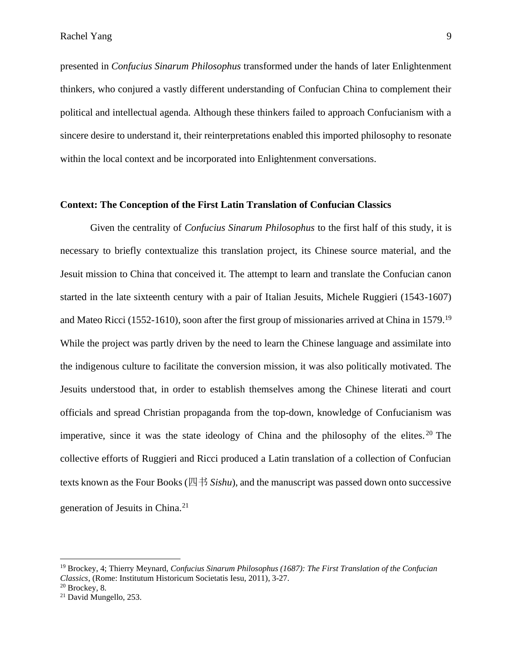presented in *Confucius Sinarum Philosophus* transformed under the hands of later Enlightenment thinkers, who conjured a vastly different understanding of Confucian China to complement their political and intellectual agenda. Although these thinkers failed to approach Confucianism with a sincere desire to understand it, their reinterpretations enabled this imported philosophy to resonate within the local context and be incorporated into Enlightenment conversations.

#### **Context: The Conception of the First Latin Translation of Confucian Classics**

Given the centrality of *Confucius Sinarum Philosophus* to the first half of this study, it is necessary to briefly contextualize this translation project, its Chinese source material, and the Jesuit mission to China that conceived it. The attempt to learn and translate the Confucian canon started in the late sixteenth century with a pair of Italian Jesuits, Michele Ruggieri (1543-1607) and Mateo Ricci (1552-1610), soon after the first group of missionaries arrived at China in 1579.<sup>19</sup> While the project was partly driven by the need to learn the Chinese language and assimilate into the indigenous culture to facilitate the conversion mission, it was also politically motivated. The Jesuits understood that, in order to establish themselves among the Chinese literati and court officials and spread Christian propaganda from the top-down, knowledge of Confucianism was imperative, since it was the state ideology of China and the philosophy of the elites.<sup>20</sup> The collective efforts of Ruggieri and Ricci produced a Latin translation of a collection of Confucian texts known as the Four Books (四书 *Sishu*), and the manuscript was passed down onto successive generation of Jesuits in China.<sup>21</sup>

<sup>19</sup> Brockey, 4; Thierry Meynard, *Confucius Sinarum Philosophus (1687): The First Translation of the Confucian Classics,* (Rome: Institutum Historicum Societatis Iesu, 2011), 3-27.

<sup>20</sup> Brockey, 8.

<sup>&</sup>lt;sup>21</sup> David Mungello, 253.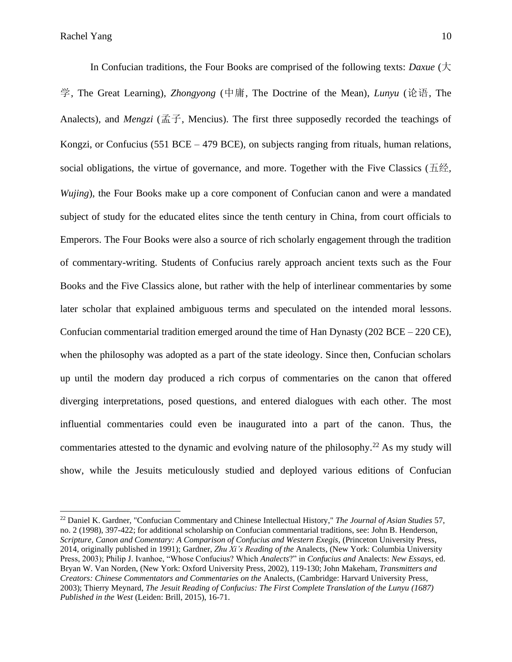In Confucian traditions, the Four Books are comprised of the following texts: *Daxue* (大 学, The Great Learning), *Zhongyong* (中庸, The Doctrine of the Mean), *Lunyu* (论语, The Analects)*,* and *Mengzi* (孟子, Mencius). The first three supposedly recorded the teachings of Kongzi, or Confucius (551 BCE – 479 BCE), on subjects ranging from rituals, human relations, social obligations, the virtue of governance, and more. Together with the Five Classics (五经*, Wujing*), the Four Books make up a core component of Confucian canon and were a mandated subject of study for the educated elites since the tenth century in China, from court officials to Emperors. The Four Books were also a source of rich scholarly engagement through the tradition of commentary-writing. Students of Confucius rarely approach ancient texts such as the Four Books and the Five Classics alone, but rather with the help of interlinear commentaries by some later scholar that explained ambiguous terms and speculated on the intended moral lessons. Confucian commentarial tradition emerged around the time of Han Dynasty (202 BCE – 220 CE), when the philosophy was adopted as a part of the state ideology. Since then, Confucian scholars up until the modern day produced a rich corpus of commentaries on the canon that offered diverging interpretations, posed questions, and entered dialogues with each other. The most influential commentaries could even be inaugurated into a part of the canon. Thus, the commentaries attested to the dynamic and evolving nature of the philosophy.<sup>22</sup> As my study will show, while the Jesuits meticulously studied and deployed various editions of Confucian

<sup>22</sup> Daniel K. Gardner, "Confucian Commentary and Chinese Intellectual History," *The Journal of Asian Studies* 57, no. 2 (1998), 397-422; for additional scholarship on Confucian commentarial traditions, see: John B. Henderson, *Scripture, Canon and Comentary: A Comparison of Confucius and Western Exegis, (Princeton University Press,* 2014, originally published in 1991); Gardner, *Zhu Xi's Reading of the* Analects*,* (New York: Columbia University Press, 2003); Philip J. Ivanhoe, "Whose Confucius? Which *Analects*?" in *Confucius and* Analects: *New Essays,* ed. Bryan W. Van Norden, (New York: Oxford University Press, 2002), 119-130; John Makeham, *Transmitters and Creators: Chinese Commentators and Commentaries on the* Analects, (Cambridge: Harvard University Press, 2003); Thierry Meynard, *The Jesuit Reading of Confucius: The First Complete Translation of the Lunyu (1687) Published in the West* (Leiden: Brill, 2015), 16-71.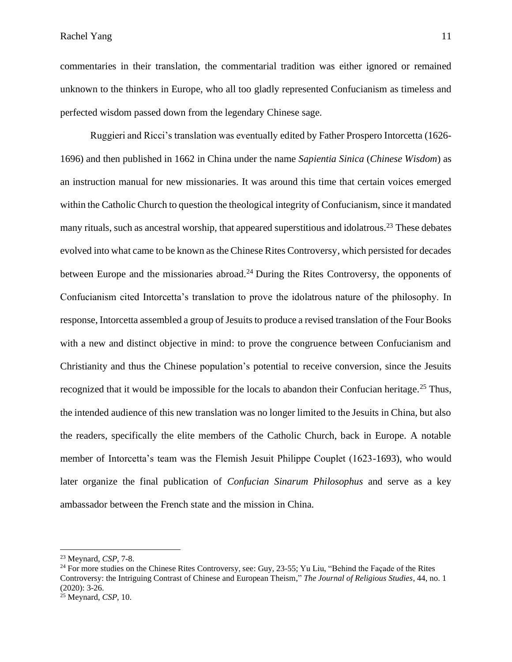commentaries in their translation, the commentarial tradition was either ignored or remained unknown to the thinkers in Europe, who all too gladly represented Confucianism as timeless and perfected wisdom passed down from the legendary Chinese sage.

Ruggieri and Ricci's translation was eventually edited by Father Prospero Intorcetta (1626- 1696) and then published in 1662 in China under the name *Sapientia Sinica* (*Chinese Wisdom*) as an instruction manual for new missionaries. It was around this time that certain voices emerged within the Catholic Church to question the theological integrity of Confucianism, since it mandated many rituals, such as ancestral worship, that appeared superstitious and idolatrous.<sup>23</sup> These debates evolved into what came to be known as the Chinese Rites Controversy, which persisted for decades between Europe and the missionaries abroad.<sup>24</sup> During the Rites Controversy, the opponents of Confucianism cited Intorcetta's translation to prove the idolatrous nature of the philosophy. In response, Intorcetta assembled a group of Jesuits to produce a revised translation of the Four Books with a new and distinct objective in mind: to prove the congruence between Confucianism and Christianity and thus the Chinese population's potential to receive conversion, since the Jesuits recognized that it would be impossible for the locals to abandon their Confucian heritage.<sup>25</sup> Thus, the intended audience of this new translation was no longer limited to the Jesuits in China, but also the readers, specifically the elite members of the Catholic Church, back in Europe. A notable member of Intorcetta's team was the Flemish Jesuit Philippe Couplet (1623-1693), who would later organize the final publication of *Confucian Sinarum Philosophus* and serve as a key ambassador between the French state and the mission in China.

<sup>23</sup> Meynard, *CSP,* 7-8.

<sup>&</sup>lt;sup>24</sup> For more studies on the Chinese Rites Controversy, see: Guy, 23-55; Yu Liu, "Behind the Facade of the Rites Controversy: the Intriguing Contrast of Chinese and European Theism," *The Journal of Religious Studies*, 44, no. 1 (2020): 3-26.

<sup>25</sup> Meynard, *CSP*, 10.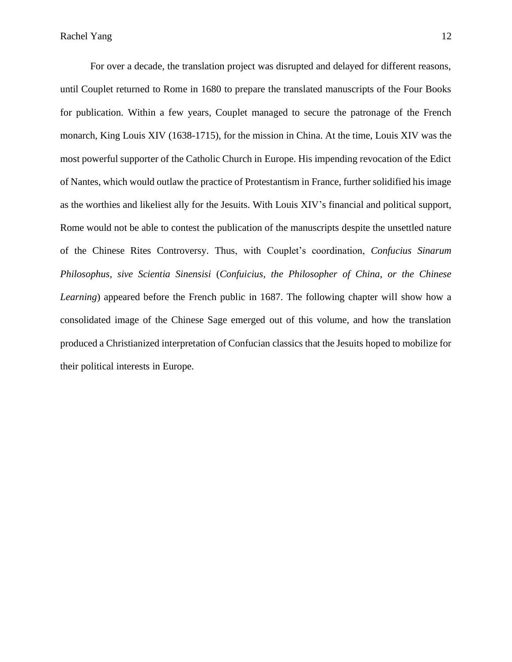For over a decade, the translation project was disrupted and delayed for different reasons, until Couplet returned to Rome in 1680 to prepare the translated manuscripts of the Four Books for publication. Within a few years, Couplet managed to secure the patronage of the French monarch, King Louis XIV (1638-1715), for the mission in China. At the time, Louis XIV was the most powerful supporter of the Catholic Church in Europe. His impending revocation of the Edict of Nantes, which would outlaw the practice of Protestantism in France, further solidified his image as the worthies and likeliest ally for the Jesuits. With Louis XIV's financial and political support*,*  Rome would not be able to contest the publication of the manuscripts despite the unsettled nature of the Chinese Rites Controversy. Thus, with Couplet's coordination, *Confucius Sinarum Philosophus, sive Scientia Sinensisi* (*Confuicius, the Philosopher of China, or the Chinese Learning*) appeared before the French public in 1687. The following chapter will show how a consolidated image of the Chinese Sage emerged out of this volume, and how the translation produced a Christianized interpretation of Confucian classics that the Jesuits hoped to mobilize for their political interests in Europe.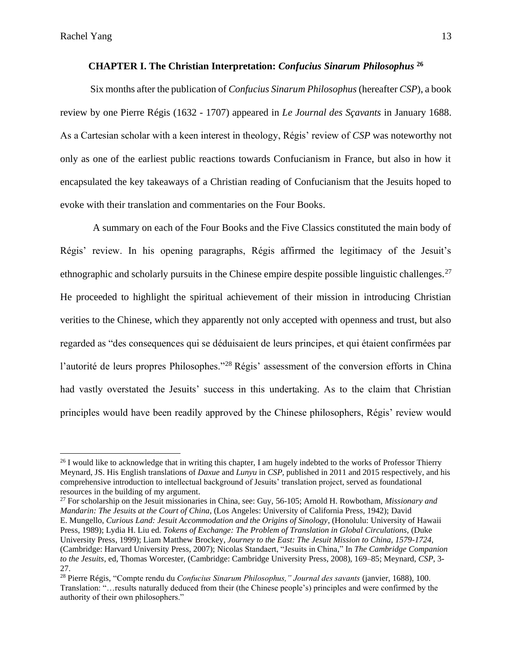#### **CHAPTER I. The Christian Interpretation:** *Confucius Sinarum Philosophus* **<sup>26</sup>**

Six months after the publication of *Confucius Sinarum Philosophus* (hereafter *CSP*), a book review by one Pierre Régis (1632 - 1707) appeared in *Le Journal des Sçavants* in January 1688. As a Cartesian scholar with a keen interest in theology, Régis' review of *CSP* was noteworthy not only as one of the earliest public reactions towards Confucianism in France, but also in how it encapsulated the key takeaways of a Christian reading of Confucianism that the Jesuits hoped to evoke with their translation and commentaries on the Four Books.

A summary on each of the Four Books and the Five Classics constituted the main body of Régis' review. In his opening paragraphs, Régis affirmed the legitimacy of the Jesuit's ethnographic and scholarly pursuits in the Chinese empire despite possible linguistic challenges.<sup>27</sup> He proceeded to highlight the spiritual achievement of their mission in introducing Christian verities to the Chinese, which they apparently not only accepted with openness and trust, but also regarded as "des consequences qui se déduisaient de leurs principes, et qui étaient confirmées par l'autorité de leurs propres Philosophes."<sup>28</sup> Régis' assessment of the conversion efforts in China had vastly overstated the Jesuits' success in this undertaking. As to the claim that Christian principles would have been readily approved by the Chinese philosophers, Régis' review would

<sup>27</sup> For scholarship on the Jesuit missionaries in China, see: Guy, 56-105; Arnold H. Rowbotham, *Missionary and Mandarin: The Jesuits at the Court of China*, (Los Angeles: University of California Press, 1942); David E. Mungello, *Curious Land: Jesuit Accommodation and the Origins of Sinology*, (Honolulu: University of Hawaii Press, 1989); Lydia H. Liu ed. *Tokens of Exchange: The Problem of Translation in Global Circulations,* (Duke University Press, 1999); Liam Matthew Brockey, *Journey to the East: The Jesuit Mission to China, 1579-1724*, (Cambridge: Harvard University Press, 2007); Nicolas Standaert, "Jesuits in China," In *The Cambridge Companion to the Jesuits*, ed, Thomas Worcester, (Cambridge: Cambridge University Press, 2008), 169–85; Meynard, *CSP*, 3- 27.

<sup>&</sup>lt;sup>26</sup> I would like to acknowledge that in writing this chapter, I am hugely indebted to the works of Professor Thierry Meynard, JS. His English translations of *Daxue* and *Lunyu* in *CSP,* published in 2011 and 2015 respectively*,* and his comprehensive introduction to intellectual background of Jesuits' translation project, served as foundational resources in the building of my argument.

<sup>28</sup> Pierre Régis, "Compte rendu du *Confucius Sinarum Philosophus," Journal des savants* (janvier, 1688), 100. Translation: "…results naturally deduced from their (the Chinese people's) principles and were confirmed by the authority of their own philosophers."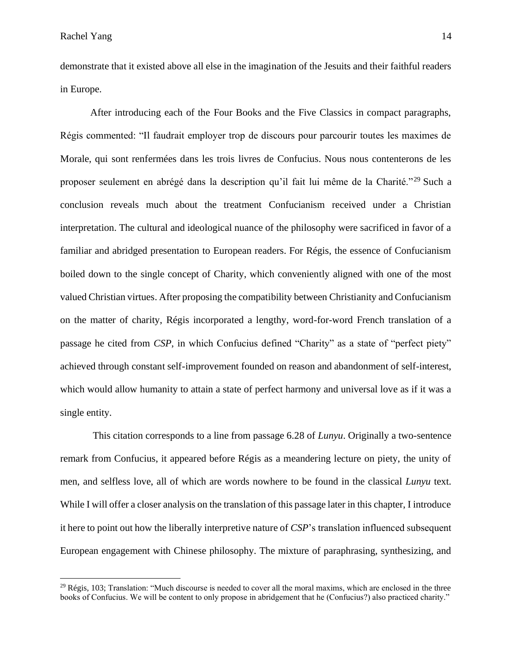demonstrate that it existed above all else in the imagination of the Jesuits and their faithful readers in Europe.

After introducing each of the Four Books and the Five Classics in compact paragraphs, Régis commented: "Il faudrait employer trop de discours pour parcourir toutes les maximes de Morale, qui sont renfermées dans les trois livres de Confucius. Nous nous contenterons de les proposer seulement en abrégé dans la description qu'il fait lui même de la Charité."<sup>29</sup> Such a conclusion reveals much about the treatment Confucianism received under a Christian interpretation. The cultural and ideological nuance of the philosophy were sacrificed in favor of a familiar and abridged presentation to European readers. For Régis, the essence of Confucianism boiled down to the single concept of Charity, which conveniently aligned with one of the most valued Christian virtues. After proposing the compatibility between Christianity and Confucianism on the matter of charity, Régis incorporated a lengthy, word-for-word French translation of a passage he cited from *CSP*, in which Confucius defined "Charity" as a state of "perfect piety" achieved through constant self-improvement founded on reason and abandonment of self-interest, which would allow humanity to attain a state of perfect harmony and universal love as if it was a single entity.

This citation corresponds to a line from passage 6.28 of *Lunyu*. Originally a two-sentence remark from Confucius, it appeared before Régis as a meandering lecture on piety, the unity of men, and selfless love, all of which are words nowhere to be found in the classical *Lunyu* text. While I will offer a closer analysis on the translation of this passage later in this chapter, I introduce it here to point out how the liberally interpretive nature of *CSP*'s translation influenced subsequent European engagement with Chinese philosophy. The mixture of paraphrasing, synthesizing, and

 $^{29}$  Régis, 103; Translation: "Much discourse is needed to cover all the moral maxims, which are enclosed in the three books of Confucius. We will be content to only propose in abridgement that he (Confucius?) also practiced charity."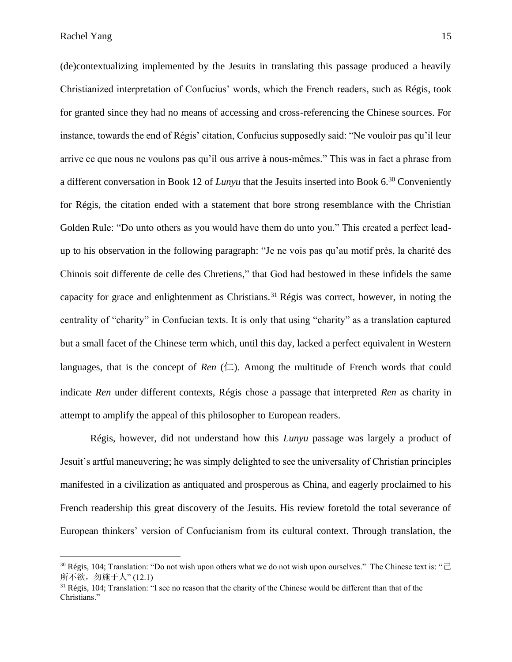(de)contextualizing implemented by the Jesuits in translating this passage produced a heavily Christianized interpretation of Confucius' words, which the French readers, such as Régis, took for granted since they had no means of accessing and cross-referencing the Chinese sources. For instance, towards the end of Régis' citation, Confucius supposedly said: "Ne vouloir pas qu'il leur arrive ce que nous ne voulons pas qu'il ous arrive à nous-mêmes." This was in fact a phrase from a different conversation in Book 12 of *Lunyu* that the Jesuits inserted into Book 6.<sup>30</sup> Conveniently for Régis, the citation ended with a statement that bore strong resemblance with the Christian Golden Rule: "Do unto others as you would have them do unto you." This created a perfect leadup to his observation in the following paragraph: "Je ne vois pas qu'au motif près, la charité des Chinois soit differente de celle des Chretiens," that God had bestowed in these infidels the same capacity for grace and enlightenment as Christians.<sup>31</sup> Régis was correct, however, in noting the centrality of "charity" in Confucian texts. It is only that using "charity" as a translation captured but a small facet of the Chinese term which, until this day, lacked a perfect equivalent in Western languages, that is the concept of *Ren*  $(\Box)$ . Among the multitude of French words that could indicate *Ren* under different contexts, Régis chose a passage that interpreted *Ren* as charity in attempt to amplify the appeal of this philosopher to European readers.

Régis, however, did not understand how this *Lunyu* passage was largely a product of Jesuit's artful maneuvering; he was simply delighted to see the universality of Christian principles manifested in a civilization as antiquated and prosperous as China, and eagerly proclaimed to his French readership this great discovery of the Jesuits. His review foretold the total severance of European thinkers' version of Confucianism from its cultural context. Through translation, the

<sup>&</sup>lt;sup>30</sup> Régis, 104; Translation: "Do not wish upon others what we do not wish upon ourselves." The Chinese text is: " $\exists$ 所不欲,勿施于人" (12.1)

 $31$  Régis, 104; Translation: "I see no reason that the charity of the Chinese would be different than that of the Christians."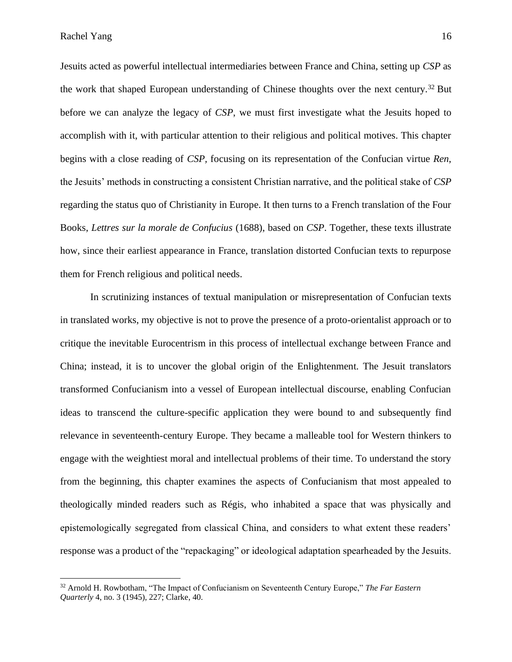Rachel Yang 16

Jesuits acted as powerful intellectual intermediaries between France and China, setting up *CSP* as the work that shaped European understanding of Chinese thoughts over the next century.<sup>32</sup> But before we can analyze the legacy of *CSP*, we must first investigate what the Jesuits hoped to accomplish with it, with particular attention to their religious and political motives. This chapter begins with a close reading of *CSP,* focusing on its representation of the Confucian virtue *Ren*, the Jesuits' methods in constructing a consistent Christian narrative, and the political stake of *CSP* regarding the status quo of Christianity in Europe. It then turns to a French translation of the Four Books, *Lettres sur la morale de Confucius* (1688), based on *CSP*. Together, these texts illustrate how, since their earliest appearance in France, translation distorted Confucian texts to repurpose them for French religious and political needs.

In scrutinizing instances of textual manipulation or misrepresentation of Confucian texts in translated works, my objective is not to prove the presence of a proto-orientalist approach or to critique the inevitable Eurocentrism in this process of intellectual exchange between France and China; instead, it is to uncover the global origin of the Enlightenment. The Jesuit translators transformed Confucianism into a vessel of European intellectual discourse, enabling Confucian ideas to transcend the culture-specific application they were bound to and subsequently find relevance in seventeenth-century Europe. They became a malleable tool for Western thinkers to engage with the weightiest moral and intellectual problems of their time. To understand the story from the beginning, this chapter examines the aspects of Confucianism that most appealed to theologically minded readers such as Régis, who inhabited a space that was physically and epistemologically segregated from classical China, and considers to what extent these readers' response was a product of the "repackaging" or ideological adaptation spearheaded by the Jesuits.

<sup>32</sup> Arnold H. Rowbotham, "The Impact of Confucianism on Seventeenth Century Europe," *The Far Eastern Quarterly* 4, no. 3 (1945), 227; Clarke, 40.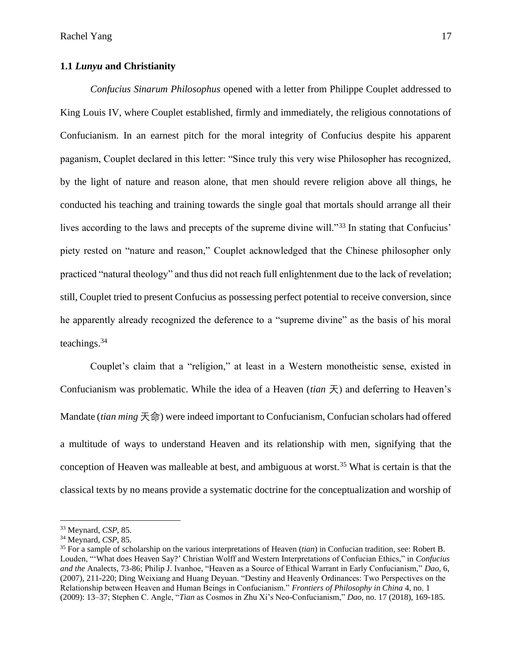#### **1.1** *Lunyu* **and Christianity**

*Confucius Sinarum Philosophus* opened with a letter from Philippe Couplet addressed to King Louis IV, where Couplet established, firmly and immediately, the religious connotations of Confucianism. In an earnest pitch for the moral integrity of Confucius despite his apparent paganism, Couplet declared in this letter: "Since truly this very wise Philosopher has recognized, by the light of nature and reason alone, that men should revere religion above all things, he conducted his teaching and training towards the single goal that mortals should arrange all their lives according to the laws and precepts of the supreme divine will."<sup>33</sup> In stating that Confucius' piety rested on "nature and reason," Couplet acknowledged that the Chinese philosopher only practiced "natural theology" and thus did not reach full enlightenment due to the lack of revelation; still, Couplet tried to present Confucius as possessing perfect potential to receive conversion, since he apparently already recognized the deference to a "supreme divine" as the basis of his moral teachings.<sup>34</sup>

Couplet's claim that a "religion," at least in a Western monotheistic sense, existed in Confucianism was problematic. While the idea of a Heaven (*tian* 天) and deferring to Heaven's Mandate (*tian ming* 天命) were indeed important to Confucianism, Confucian scholars had offered a multitude of ways to understand Heaven and its relationship with men, signifying that the conception of Heaven was malleable at best, and ambiguous at worst.<sup>35</sup> What is certain is that the classical texts by no means provide a systematic doctrine for the conceptualization and worship of

<sup>33</sup> Meynard, *CSP*, 85.

<sup>34</sup> Meynard, *CSP*, 85.

<sup>35</sup> For a sample of scholarship on the various interpretations of Heaven (*tian*) in Confucian tradition*,* see: Robert B. Louden, "'What does Heaven Say?' Christian Wolff and Western Interpretations of Confucian Ethics," in *Confucius and the* Analects, 73-86; Philip J. Ivanhoe, "Heaven as a Source of Ethical Warrant in Early Confucianism," *Dao,* 6, (2007), 211-220; Ding Weixiang and Huang Deyuan. "Destiny and Heavenly Ordinances: Two Perspectives on the Relationship between Heaven and Human Beings in Confucianism." *Frontiers of Philosophy in China* 4, no. 1 (2009): 13–37; Stephen C. Angle, "*Tian* as Cosmos in Zhu Xi's Neo-Confucianism," *Dao*, no. 17 (2018), 169-185.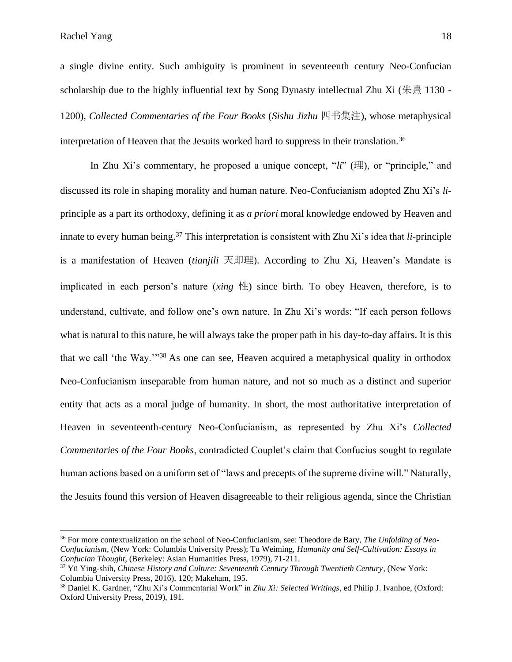a single divine entity. Such ambiguity is prominent in seventeenth century Neo-Confucian scholarship due to the highly influential text by Song Dynasty intellectual Zhu Xi ( $\frac{1}{\sqrt{6}}$  1130 -1200), *Collected Commentaries of the Four Books* (*Sishu Jizhu* 四书集注), whose metaphysical interpretation of Heaven that the Jesuits worked hard to suppress in their translation.<sup>36</sup>

In Zhu Xi's commentary, he proposed a unique concept, "*li*" (理), or "principle," and discussed its role in shaping morality and human nature. Neo-Confucianism adopted Zhu Xi's *li*principle as a part its orthodoxy, defining it as *a priori* moral knowledge endowed by Heaven and innate to every human being.<sup>37</sup> This interpretation is consistent with Zhu Xi's idea that *li*-principle is a manifestation of Heaven (*tianjili* 天即理). According to Zhu Xi, Heaven's Mandate is implicated in each person's nature (*xing* 性) since birth. To obey Heaven, therefore, is to understand, cultivate, and follow one's own nature. In Zhu Xi's words: "If each person follows what is natural to this nature, he will always take the proper path in his day-to-day affairs. It is this that we call 'the Way.'"<sup>38</sup> As one can see, Heaven acquired a metaphysical quality in orthodox Neo-Confucianism inseparable from human nature, and not so much as a distinct and superior entity that acts as a moral judge of humanity. In short, the most authoritative interpretation of Heaven in seventeenth-century Neo-Confucianism, as represented by Zhu Xi's *Collected Commentaries of the Four Books*, contradicted Couplet's claim that Confucius sought to regulate human actions based on a uniform set of "laws and precepts of the supreme divine will." Naturally, the Jesuits found this version of Heaven disagreeable to their religious agenda, since the Christian

<sup>36</sup> For more contextualization on the school of Neo-Confucianism, see: Theodore de Bary, *The Unfolding of Neo-Confucianism*, (New York: Columbia University Press); Tu Weiming, *Humanity and Self-Cultivation: Essays in Confucian Thought*, (Berkeley: Asian Humanities Press, 1979), 71-211.

<sup>37</sup> Yü Ying-shih, *Chinese History and Culture: Seventeenth Century Through Twentieth Century,* (New York: Columbia University Press, 2016), 120; Makeham, 195.

<sup>38</sup> Daniel K. Gardner, "Zhu Xi's Commentarial Work" in *Zhu Xi: Selected Writings*, ed Philip J. Ivanhoe, (Oxford: Oxford University Press, 2019), 191.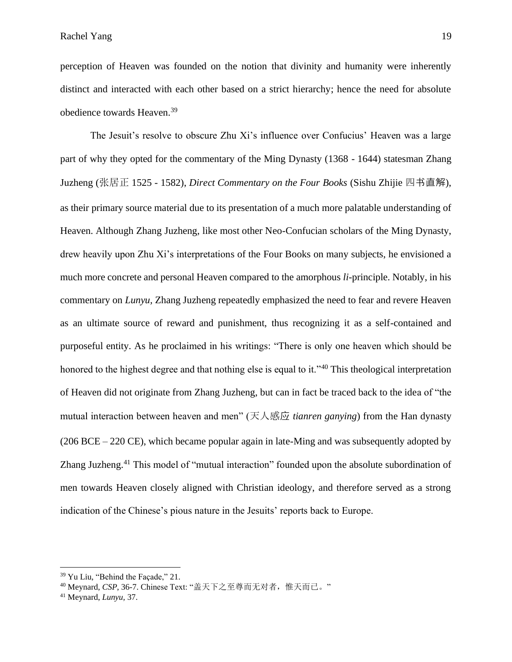perception of Heaven was founded on the notion that divinity and humanity were inherently distinct and interacted with each other based on a strict hierarchy; hence the need for absolute obedience towards Heaven.<sup>39</sup>

The Jesuit's resolve to obscure Zhu Xi's influence over Confucius' Heaven was a large part of why they opted for the commentary of the Ming Dynasty (1368 - 1644) statesman Zhang Juzheng (张居正 1525 - 1582), *Direct Commentary on the Four Books* (Sishu Zhijie 四书直解), as their primary source material due to its presentation of a much more palatable understanding of Heaven. Although Zhang Juzheng, like most other Neo-Confucian scholars of the Ming Dynasty, drew heavily upon Zhu Xi's interpretations of the Four Books on many subjects, he envisioned a much more concrete and personal Heaven compared to the amorphous *li-*principle. Notably, in his commentary on *Lunyu,* Zhang Juzheng repeatedly emphasized the need to fear and revere Heaven as an ultimate source of reward and punishment, thus recognizing it as a self-contained and purposeful entity. As he proclaimed in his writings: "There is only one heaven which should be honored to the highest degree and that nothing else is equal to it."<sup>40</sup> This theological interpretation of Heaven did not originate from Zhang Juzheng, but can in fact be traced back to the idea of "the mutual interaction between heaven and men" (天人感应 *tianren ganying*) from the Han dynasty (206 BCE – 220 CE), which became popular again in late-Ming and was subsequently adopted by Zhang Juzheng.<sup>41</sup> This model of "mutual interaction" founded upon the absolute subordination of men towards Heaven closely aligned with Christian ideology, and therefore served as a strong indication of the Chinese's pious nature in the Jesuits' reports back to Europe.

<sup>&</sup>lt;sup>39</sup> Yu Liu, "Behind the Façade," 21.

<sup>&</sup>lt;sup>40</sup> Meynard, CSP, 36-7. Chinese Text: "盖天下之至尊而无对者,惟天而已。"

<sup>41</sup> Meynard, *Lunyu,* 37.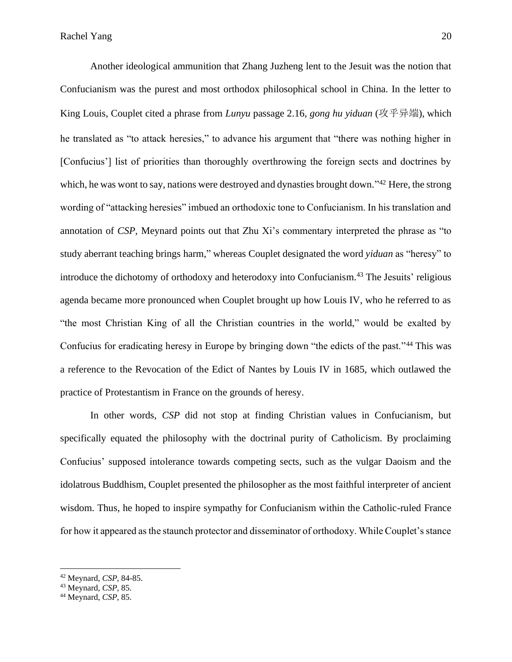Another ideological ammunition that Zhang Juzheng lent to the Jesuit was the notion that Confucianism was the purest and most orthodox philosophical school in China. In the letter to King Louis, Couplet cited a phrase from *Lunyu* passage 2.16, *gong hu yiduan* (攻乎异端), which he translated as "to attack heresies," to advance his argument that "there was nothing higher in [Confucius'] list of priorities than thoroughly overthrowing the foreign sects and doctrines by which, he was wont to say, nations were destroyed and dynasties brought down."<sup>42</sup> Here, the strong wording of "attacking heresies" imbued an orthodoxic tone to Confucianism. In his translation and annotation of *CSP,* Meynard points out that Zhu Xi's commentary interpreted the phrase as "to study aberrant teaching brings harm," whereas Couplet designated the word *yiduan* as "heresy" to introduce the dichotomy of orthodoxy and heterodoxy into Confucianism. <sup>43</sup> The Jesuits' religious agenda became more pronounced when Couplet brought up how Louis IV, who he referred to as "the most Christian King of all the Christian countries in the world," would be exalted by Confucius for eradicating heresy in Europe by bringing down "the edicts of the past."<sup>44</sup> This was a reference to the Revocation of the Edict of Nantes by Louis IV in 1685, which outlawed the practice of Protestantism in France on the grounds of heresy.

In other words, *CSP* did not stop at finding Christian values in Confucianism, but specifically equated the philosophy with the doctrinal purity of Catholicism. By proclaiming Confucius' supposed intolerance towards competing sects, such as the vulgar Daoism and the idolatrous Buddhism, Couplet presented the philosopher as the most faithful interpreter of ancient wisdom. Thus, he hoped to inspire sympathy for Confucianism within the Catholic-ruled France for how it appeared as the staunch protector and disseminator of orthodoxy. While Couplet's stance

<sup>42</sup> Meynard, *CSP*, 84-85.

<sup>43</sup> Meynard, *CSP,* 85.

<sup>44</sup> Meynard, *CSP*, 85.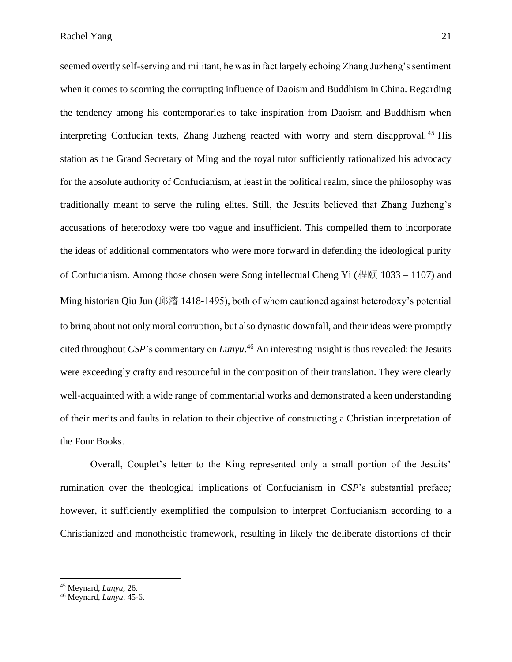seemed overtly self-serving and militant, he was in fact largely echoing Zhang Juzheng's sentiment when it comes to scorning the corrupting influence of Daoism and Buddhism in China. Regarding the tendency among his contemporaries to take inspiration from Daoism and Buddhism when interpreting Confucian texts, Zhang Juzheng reacted with worry and stern disapproval. <sup>45</sup> His station as the Grand Secretary of Ming and the royal tutor sufficiently rationalized his advocacy for the absolute authority of Confucianism, at least in the political realm, since the philosophy was traditionally meant to serve the ruling elites. Still, the Jesuits believed that Zhang Juzheng's accusations of heterodoxy were too vague and insufficient. This compelled them to incorporate the ideas of additional commentators who were more forward in defending the ideological purity of Confucianism. Among those chosen were Song intellectual Cheng Yi (程颐 1033 – 1107) and Ming historian Qiu Jun (邱濬 1418-1495), both of whom cautioned against heterodoxy's potential to bring about not only moral corruption, but also dynastic downfall, and their ideas were promptly cited throughout *CSP*'s commentary on *Lunyu*. <sup>46</sup> An interesting insight is thus revealed: the Jesuits were exceedingly crafty and resourceful in the composition of their translation. They were clearly well-acquainted with a wide range of commentarial works and demonstrated a keen understanding of their merits and faults in relation to their objective of constructing a Christian interpretation of the Four Books.

Overall, Couplet's letter to the King represented only a small portion of the Jesuits' rumination over the theological implications of Confucianism in *CSP*'s substantial preface*;*  however, it sufficiently exemplified the compulsion to interpret Confucianism according to a Christianized and monotheistic framework, resulting in likely the deliberate distortions of their

<sup>45</sup> Meynard, *Lunyu,* 26.

<sup>46</sup> Meynard, *Lunyu,* 45-6.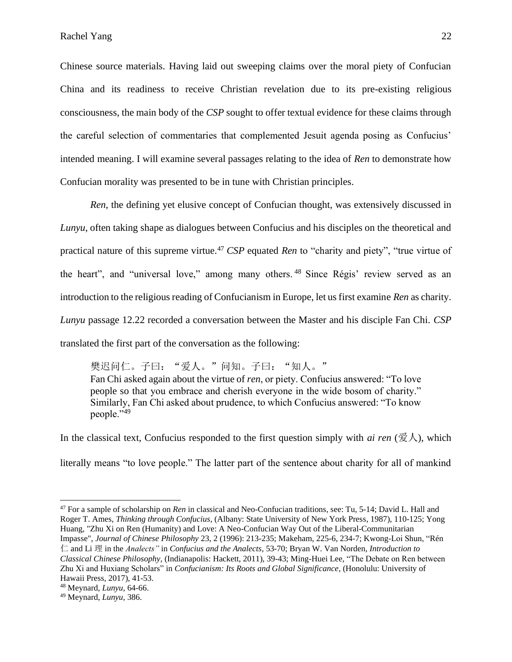Chinese source materials. Having laid out sweeping claims over the moral piety of Confucian China and its readiness to receive Christian revelation due to its pre-existing religious consciousness, the main body of the *CSP* sought to offer textual evidence for these claims through the careful selection of commentaries that complemented Jesuit agenda posing as Confucius' intended meaning. I will examine several passages relating to the idea of *Ren* to demonstrate how Confucian morality was presented to be in tune with Christian principles.

*Ren*, the defining yet elusive concept of Confucian thought, was extensively discussed in *Lunyu*, often taking shape as dialogues between Confucius and his disciples on the theoretical and practical nature of this supreme virtue.<sup>47</sup> *CSP* equated *Ren* to "charity and piety", "true virtue of the heart", and "universal love," among many others. <sup>48</sup> Since Régis' review served as an introduction to the religious reading of Confucianism in Europe, let us first examine *Ren* as charity. *Lunyu* passage 12.22 recorded a conversation between the Master and his disciple Fan Chi. *CSP*  translated the first part of the conversation as the following:

樊迟问仁。子曰: "爱人。"问知。子曰: "知人。" Fan Chi asked again about the virtue of *ren*, or piety. Confucius answered: "To love people so that you embrace and cherish everyone in the wide bosom of charity." Similarly, Fan Chi asked about prudence, to which Confucius answered: "To know people."<sup>49</sup>

In the classical text, Confucius responded to the first question simply with *ai ren* ( $\mathcal{F}\mathcal{N}$ ), which literally means "to love people." The latter part of the sentence about charity for all of mankind

<sup>47</sup> For a sample of scholarship on *Ren* in classical and Neo-Confucian traditions, see: Tu, 5-14; David L. Hall and Roger T. Ames, *Thinking through Confucius*, (Albany: State University of New York Press, 1987), 110-125; Yong Huang, "Zhu Xi on Ren (Humanity) and Love: A Neo-Confucian Way Out of the Liberal-Communitarian Impasse", *Journal of Chinese Philosophy* 23, 2 (1996): 213-235; Makeham, 225-6, 234-7; Kwong-Loi Shun, "Rén 仁 and Li 理 in the *Analects"* in *Confucius and the Analects*, 53-70; Bryan W. Van Norden, *Introduction to* 

*Classical Chinese Philosophy,* (Indianapolis: Hackett, 2011), 39-43; Ming-Huei Lee, "The Debate on Ren between Zhu Xi and Huxiang Scholars" in *Confucianism: Its Roots and Global Significance*, (Honolulu: University of Hawaii Press, 2017), 41-53.

<sup>48</sup> Meynard, *Lunyu,* 64-66.

<sup>49</sup> Meynard, *Lunyu,* 386.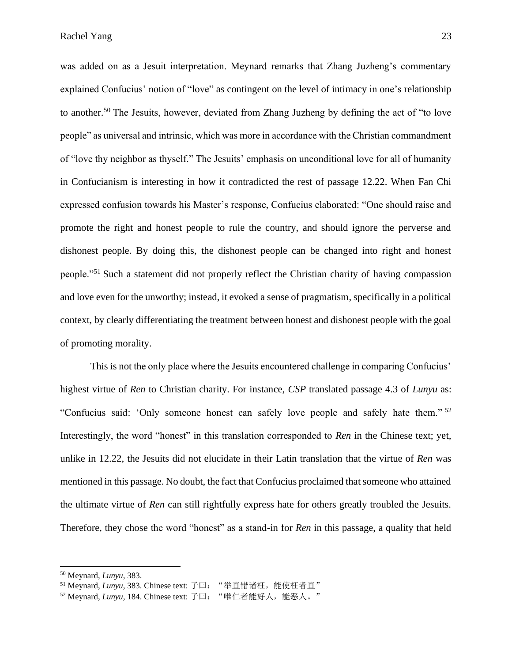was added on as a Jesuit interpretation. Meynard remarks that Zhang Juzheng's commentary explained Confucius' notion of "love" as contingent on the level of intimacy in one's relationship to another.<sup>50</sup> The Jesuits, however, deviated from Zhang Juzheng by defining the act of "to love people" as universal and intrinsic, which was more in accordance with the Christian commandment of "love thy neighbor as thyself." The Jesuits' emphasis on unconditional love for all of humanity in Confucianism is interesting in how it contradicted the rest of passage 12.22. When Fan Chi expressed confusion towards his Master's response, Confucius elaborated: "One should raise and promote the right and honest people to rule the country, and should ignore the perverse and dishonest people. By doing this, the dishonest people can be changed into right and honest people."<sup>51</sup> Such a statement did not properly reflect the Christian charity of having compassion and love even for the unworthy; instead, it evoked a sense of pragmatism, specifically in a political context, by clearly differentiating the treatment between honest and dishonest people with the goal of promoting morality.

This is not the only place where the Jesuits encountered challenge in comparing Confucius' highest virtue of *Ren* to Christian charity. For instance, *CSP* translated passage 4.3 of *Lunyu* as: "Confucius said: 'Only someone honest can safely love people and safely hate them." <sup>52</sup> Interestingly, the word "honest" in this translation corresponded to *Ren* in the Chinese text; yet, unlike in 12.22, the Jesuits did not elucidate in their Latin translation that the virtue of *Ren* was mentioned in this passage. No doubt, the fact that Confucius proclaimed that someone who attained the ultimate virtue of *Ren* can still rightfully express hate for others greatly troubled the Jesuits. Therefore, they chose the word "honest" as a stand-in for *Ren* in this passage, a quality that held

<sup>50</sup> Meynard, *Lunyu*, 383.

<sup>51</sup> Meynard, *Lunyu*, 383. Chinese text: 子曰: "举直错诸枉, 能使枉者直"

<sup>&</sup>lt;sup>52</sup> Meynard, *Lunyu*, 184. Chinese text: 子曰: "唯仁者能好人, 能恶人。"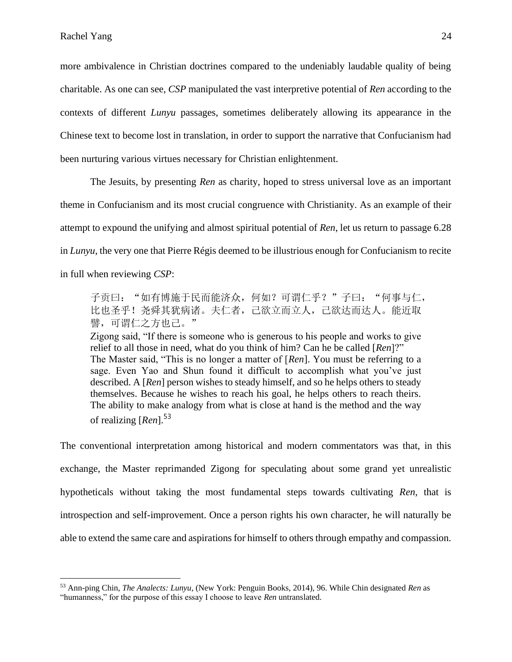more ambivalence in Christian doctrines compared to the undeniably laudable quality of being charitable. As one can see, *CSP* manipulated the vast interpretive potential of *Ren* according to the contexts of different *Lunyu* passages, sometimes deliberately allowing its appearance in the Chinese text to become lost in translation, in order to support the narrative that Confucianism had been nurturing various virtues necessary for Christian enlightenment.

The Jesuits, by presenting *Ren* as charity, hoped to stress universal love as an important theme in Confucianism and its most crucial congruence with Christianity. As an example of their attempt to expound the unifying and almost spiritual potential of *Ren*, let us return to passage 6.28 in *Lunyu*, the very one that Pierre Régis deemed to be illustrious enough for Confucianism to recite in full when reviewing *CSP*:

子贡曰: "如有博施于民而能济众, 何如? 可谓仁乎?"子曰: "何事与仁, 比也圣乎!尧舜其犹病诸。夫仁者,己欲立而立人,己欲达而达人。能近取 譬,可谓仁之方也己。"

Zigong said, "If there is someone who is generous to his people and works to give relief to all those in need, what do you think of him? Can he be called [*Ren*]?" The Master said, "This is no longer a matter of [*Ren*]. You must be referring to a sage. Even Yao and Shun found it difficult to accomplish what you've just described. A [*Ren*] person wishes to steady himself, and so he helps others to steady themselves. Because he wishes to reach his goal, he helps others to reach theirs. The ability to make analogy from what is close at hand is the method and the way of realizing [*Ren*].<sup>53</sup>

The conventional interpretation among historical and modern commentators was that, in this exchange, the Master reprimanded Zigong for speculating about some grand yet unrealistic hypotheticals without taking the most fundamental steps towards cultivating *Ren,* that is introspection and self-improvement. Once a person rights his own character, he will naturally be able to extend the same care and aspirations for himself to others through empathy and compassion.

<sup>53</sup> Ann-ping Chin, *The Analects: Lunyu*, (New York: Penguin Books, 2014), 96. While Chin designated *Ren* as "humanness," for the purpose of this essay I choose to leave *Ren* untranslated.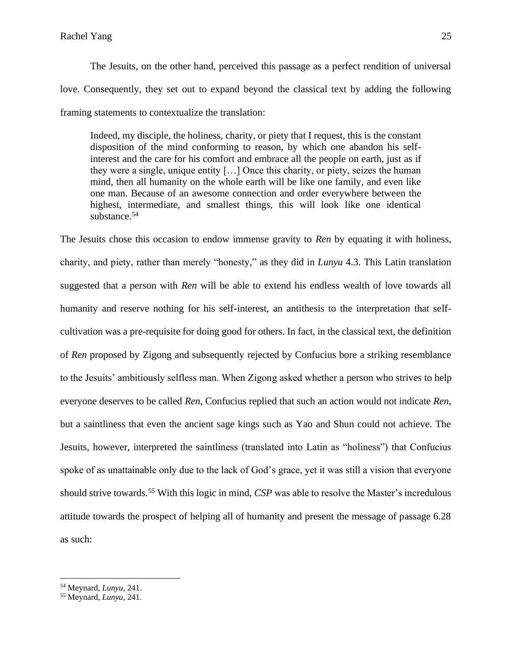The Jesuits*,* on the other hand, perceived this passage as a perfect rendition of universal love. Consequently, they set out to expand beyond the classical text by adding the following framing statements to contextualize the translation:

Indeed, my disciple, the holiness, charity, or piety that I request, this is the constant disposition of the mind conforming to reason, by which one abandon his selfinterest and the care for his comfort and embrace all the people on earth, just as if they were a single, unique entity […] Once this charity, or piety, seizes the human mind, then all humanity on the whole earth will be like one family, and even like one man. Because of an awesome connection and order everywhere between the highest, intermediate, and smallest things, this will look like one identical substance.<sup>54</sup>

The Jesuits chose this occasion to endow immense gravity to *Ren* by equating it with holiness, charity, and piety, rather than merely "honesty," as they did in *Lunyu* 4.3. This Latin translation suggested that a person with *Ren* will be able to extend his endless wealth of love towards all humanity and reserve nothing for his self-interest, an antithesis to the interpretation that selfcultivation was a pre-requisite for doing good for others. In fact, in the classical text, the definition of *Ren* proposed by Zigong and subsequently rejected by Confucius bore a striking resemblance to the Jesuits' ambitiously selfless man. When Zigong asked whether a person who strives to help everyone deserves to be called *Ren*, Confucius replied that such an action would not indicate *Ren,* but a saintliness that even the ancient sage kings such as Yao and Shun could not achieve. The Jesuits, however, interpreted the saintliness (translated into Latin as "holiness") that Confucius spoke of as unattainable only due to the lack of God's grace, yet it was still a vision that everyone should strive towards.<sup>55</sup> With this logic in mind, *CSP* was able to resolve the Master's incredulous attitude towards the prospect of helping all of humanity and present the message of passage 6.28 as such:

<sup>54</sup> Meynard, *Lunyu,* 241.

<sup>55</sup> Meynard, *Lunyu,* 241.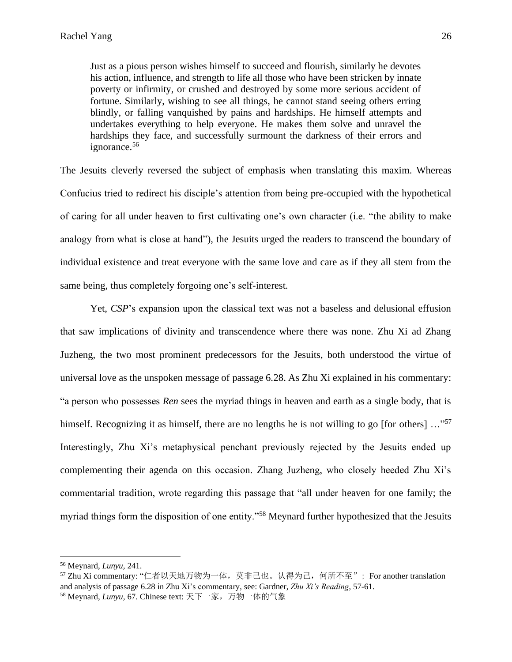Just as a pious person wishes himself to succeed and flourish, similarly he devotes his action, influence, and strength to life all those who have been stricken by innate poverty or infirmity, or crushed and destroyed by some more serious accident of fortune. Similarly, wishing to see all things, he cannot stand seeing others erring blindly, or falling vanquished by pains and hardships. He himself attempts and undertakes everything to help everyone. He makes them solve and unravel the hardships they face, and successfully surmount the darkness of their errors and ignorance.<sup>56</sup>

The Jesuits cleverly reversed the subject of emphasis when translating this maxim. Whereas Confucius tried to redirect his disciple's attention from being pre-occupied with the hypothetical of caring for all under heaven to first cultivating one's own character (i.e. "the ability to make analogy from what is close at hand"), the Jesuits urged the readers to transcend the boundary of individual existence and treat everyone with the same love and care as if they all stem from the same being, thus completely forgoing one's self-interest.

Yet, *CSP*'s expansion upon the classical text was not a baseless and delusional effusion that saw implications of divinity and transcendence where there was none. Zhu Xi ad Zhang Juzheng, the two most prominent predecessors for the Jesuits, both understood the virtue of universal love as the unspoken message of passage 6.28. As Zhu Xi explained in his commentary: "a person who possesses *Ren* sees the myriad things in heaven and earth as a single body, that is himself. Recognizing it as himself, there are no lengths he is not willing to go [for others] ..."<sup>57</sup> Interestingly, Zhu Xi's metaphysical penchant previously rejected by the Jesuits ended up complementing their agenda on this occasion. Zhang Juzheng, who closely heeded Zhu Xi's commentarial tradition, wrote regarding this passage that "all under heaven for one family; the myriad things form the disposition of one entity."<sup>58</sup> Meynard further hypothesized that the Jesuits

<sup>56</sup> Meynard, *Lunyu,* 241.

<sup>57</sup> Zhu Xi commentary: "仁者以天地万物为一体,莫非己也。认得为己,何所不至"; For another translation and analysis of passage 6.28 in Zhu Xi's commentary, see: Gardner, *Zhu Xi's Reading*, 57-61.

<sup>58</sup> Meynard, *Lunyu,* 67. Chinese text: 天下一家,万物一体的气象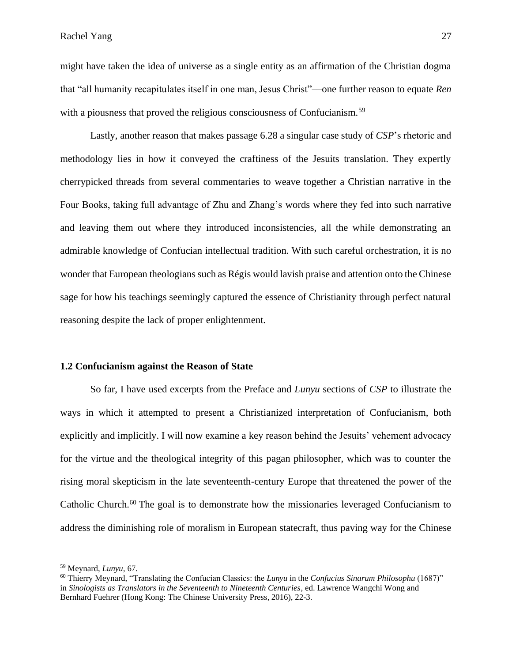might have taken the idea of universe as a single entity as an affirmation of the Christian dogma that "all humanity recapitulates itself in one man, Jesus Christ"––one further reason to equate *Ren* with a piousness that proved the religious consciousness of Confucianism.<sup>59</sup>

Lastly, another reason that makes passage 6.28 a singular case study of *CSP*'s rhetoric and methodology lies in how it conveyed the craftiness of the Jesuits translation. They expertly cherrypicked threads from several commentaries to weave together a Christian narrative in the Four Books, taking full advantage of Zhu and Zhang's words where they fed into such narrative and leaving them out where they introduced inconsistencies, all the while demonstrating an admirable knowledge of Confucian intellectual tradition. With such careful orchestration, it is no wonder that European theologians such as Régis would lavish praise and attention onto the Chinese sage for how his teachings seemingly captured the essence of Christianity through perfect natural reasoning despite the lack of proper enlightenment.

#### **1.2 Confucianism against the Reason of State**

So far, I have used excerpts from the Preface and *Lunyu* sections of *CSP* to illustrate the ways in which it attempted to present a Christianized interpretation of Confucianism, both explicitly and implicitly. I will now examine a key reason behind the Jesuits' vehement advocacy for the virtue and the theological integrity of this pagan philosopher, which was to counter the rising moral skepticism in the late seventeenth-century Europe that threatened the power of the Catholic Church.<sup>60</sup> The goal is to demonstrate how the missionaries leveraged Confucianism to address the diminishing role of moralism in European statecraft, thus paving way for the Chinese

<sup>59</sup> Meynard, *Lunyu,* 67.

<sup>60</sup> Thierry Meynard, "Translating the Confucian Classics: the *Lunyu* in the *Confucius Sinarum Philosophu* (1687)" in *Sinologists as Translators in the Seventeenth to Nineteenth Centuries*, ed. Lawrence Wangchi Wong and Bernhard Fuehrer (Hong Kong: The Chinese University Press, 2016), 22-3.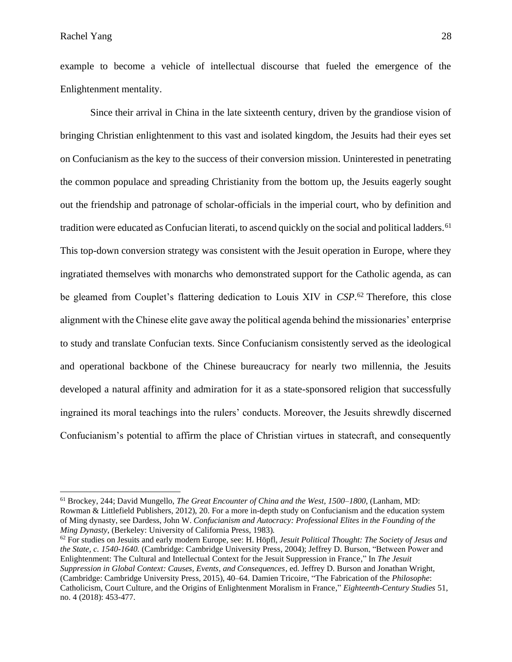example to become a vehicle of intellectual discourse that fueled the emergence of the Enlightenment mentality.

Since their arrival in China in the late sixteenth century, driven by the grandiose vision of bringing Christian enlightenment to this vast and isolated kingdom, the Jesuits had their eyes set on Confucianism as the key to the success of their conversion mission. Uninterested in penetrating the common populace and spreading Christianity from the bottom up, the Jesuits eagerly sought out the friendship and patronage of scholar-officials in the imperial court, who by definition and tradition were educated as Confucian literati, to ascend quickly on the social and political ladders.<sup>61</sup> This top-down conversion strategy was consistent with the Jesuit operation in Europe, where they ingratiated themselves with monarchs who demonstrated support for the Catholic agenda, as can be gleamed from Couplet's flattering dedication to Louis XIV in *CSP*. <sup>62</sup> Therefore, this close alignment with the Chinese elite gave away the political agenda behind the missionaries' enterprise to study and translate Confucian texts. Since Confucianism consistently served as the ideological and operational backbone of the Chinese bureaucracy for nearly two millennia, the Jesuits developed a natural affinity and admiration for it as a state-sponsored religion that successfully ingrained its moral teachings into the rulers' conducts. Moreover, the Jesuits shrewdly discerned Confucianism's potential to affirm the place of Christian virtues in statecraft, and consequently

<sup>61</sup> Brockey, 244; David Mungello, *The Great Encounter of China and the West, 1500–1800*, (Lanham, MD: Rowman & Littlefield Publishers, 2012), 20. For a more in-depth study on Confucianism and the education system of Ming dynasty, see Dardess, John W. *Confucianism and Autocracy: Professional Elites in the Founding of the Ming Dynasty*, (Berkeley: University of California Press, 1983).

<sup>62</sup> For studies on Jesuits and early modern Europe, see: H. Höpfl, *Jesuit Political Thought: The Society of Jesus and the State, c. 1540-1640.* (Cambridge: Cambridge University Press, 2004); Jeffrey D. Burson, "Between Power and Enlightenment: The Cultural and Intellectual Context for the Jesuit Suppression in France," In *The Jesuit Suppression in Global Context: Causes, Events, and Consequences*, ed. Jeffrey D. Burson and Jonathan Wright, (Cambridge: Cambridge University Press, 2015), 40–64. Damien Tricoire, "The Fabrication of the *Philosophe*: Catholicism, Court Culture, and the Origins of Enlightenment Moralism in France," *Eighteenth-Century Studies* 51, no. 4 (2018): 453-477.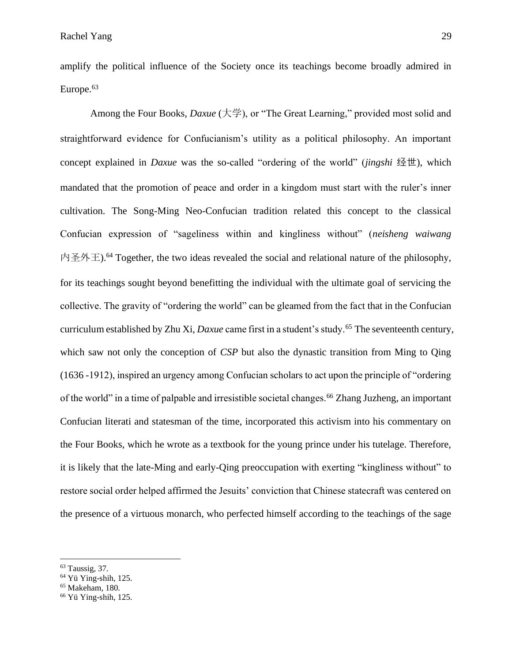amplify the political influence of the Society once its teachings become broadly admired in Europe.<sup>63</sup>

Among the Four Books, *Daxue* (大学), or "The Great Learning," provided most solid and straightforward evidence for Confucianism's utility as a political philosophy. An important concept explained in *Daxue* was the so-called "ordering of the world" (*jingshi* 经世), which mandated that the promotion of peace and order in a kingdom must start with the ruler's inner cultivation. The Song-Ming Neo-Confucian tradition related this concept to the classical Confucian expression of "sageliness within and kingliness without" (*neisheng waiwang* 内圣外王).<sup>64</sup> Together, the two ideas revealed the social and relational nature of the philosophy, for its teachings sought beyond benefitting the individual with the ultimate goal of servicing the collective. The gravity of "ordering the world" can be gleamed from the fact that in the Confucian curriculum established by Zhu Xi, *Daxue* came first in a student's study.<sup>65</sup> The seventeenth century, which saw not only the conception of *CSP* but also the dynastic transition from Ming to Qing (1636 -1912), inspired an urgency among Confucian scholars to act upon the principle of "ordering of the world" in a time of palpable and irresistible societal changes.<sup>66</sup> Zhang Juzheng, an important Confucian literati and statesman of the time, incorporated this activism into his commentary on the Four Books, which he wrote as a textbook for the young prince under his tutelage. Therefore, it is likely that the late-Ming and early-Qing preoccupation with exerting "kingliness without" to restore social order helped affirmed the Jesuits' conviction that Chinese statecraft was centered on the presence of a virtuous monarch, who perfected himself according to the teachings of the sage

 $63$  Taussig, 37.

<sup>64</sup> Yü Ying-shih, 125.

<sup>65</sup> Makeham, 180.

<sup>66</sup> Yü Ying-shih, 125.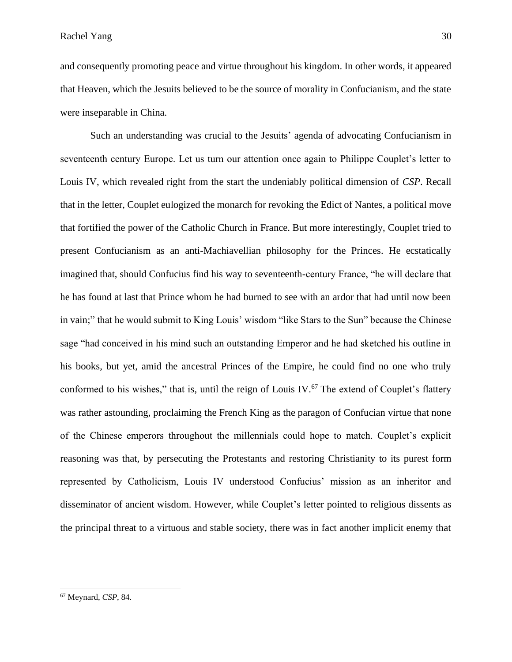and consequently promoting peace and virtue throughout his kingdom. In other words, it appeared that Heaven, which the Jesuits believed to be the source of morality in Confucianism, and the state were inseparable in China.

Such an understanding was crucial to the Jesuits' agenda of advocating Confucianism in seventeenth century Europe. Let us turn our attention once again to Philippe Couplet's letter to Louis IV, which revealed right from the start the undeniably political dimension of *CSP*. Recall that in the letter, Couplet eulogized the monarch for revoking the Edict of Nantes, a political move that fortified the power of the Catholic Church in France. But more interestingly, Couplet tried to present Confucianism as an anti-Machiavellian philosophy for the Princes. He ecstatically imagined that, should Confucius find his way to seventeenth-century France, "he will declare that he has found at last that Prince whom he had burned to see with an ardor that had until now been in vain;" that he would submit to King Louis' wisdom "like Stars to the Sun" because the Chinese sage "had conceived in his mind such an outstanding Emperor and he had sketched his outline in his books, but yet, amid the ancestral Princes of the Empire, he could find no one who truly conformed to his wishes," that is, until the reign of Louis IV. $^{67}$  The extend of Couplet's flattery was rather astounding, proclaiming the French King as the paragon of Confucian virtue that none of the Chinese emperors throughout the millennials could hope to match. Couplet's explicit reasoning was that, by persecuting the Protestants and restoring Christianity to its purest form represented by Catholicism, Louis IV understood Confucius' mission as an inheritor and disseminator of ancient wisdom. However, while Couplet's letter pointed to religious dissents as the principal threat to a virtuous and stable society, there was in fact another implicit enemy that

<sup>67</sup> Meynard, *CSP*, 84.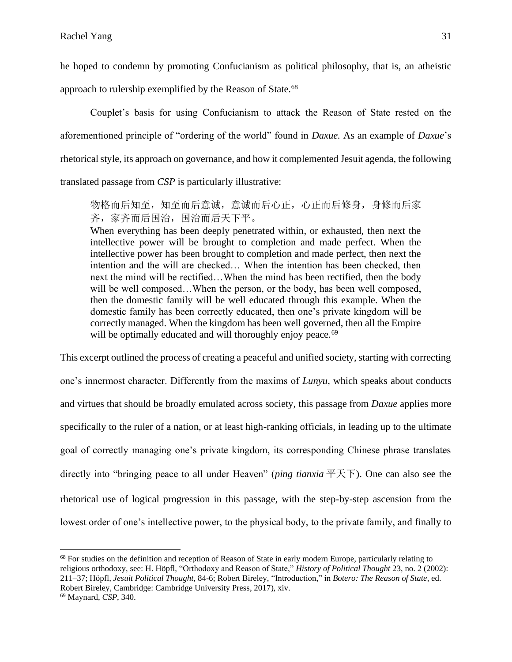he hoped to condemn by promoting Confucianism as political philosophy, that is, an atheistic approach to rulership exemplified by the Reason of State.<sup>68</sup>

Couplet's basis for using Confucianism to attack the Reason of State rested on the aforementioned principle of "ordering of the world" found in *Daxue.* As an example of *Daxue*'s rhetorical style, its approach on governance, and how it complemented Jesuit agenda, the following translated passage from *CSP* is particularly illustrative:

物格而后知至,知至而后意诚,意诚而后心正,心正而后修身,身修而后家 齐,家齐而后国治,国治而后天下平。

When everything has been deeply penetrated within, or exhausted, then next the intellective power will be brought to completion and made perfect. When the intellective power has been brought to completion and made perfect, then next the intention and the will are checked… When the intention has been checked, then next the mind will be rectified…When the mind has been rectified, then the body will be well composed...When the person, or the body, has been well composed, then the domestic family will be well educated through this example. When the domestic family has been correctly educated, then one's private kingdom will be correctly managed. When the kingdom has been well governed, then all the Empire will be optimally educated and will thoroughly enjoy peace.<sup>69</sup>

This excerpt outlined the process of creating a peaceful and unified society, starting with correcting one's innermost character. Differently from the maxims of *Lunyu*, which speaks about conducts and virtues that should be broadly emulated across society, this passage from *Daxue* applies more specifically to the ruler of a nation, or at least high-ranking officials, in leading up to the ultimate goal of correctly managing one's private kingdom, its corresponding Chinese phrase translates directly into "bringing peace to all under Heaven" (*ping tianxia* 平天下). One can also see the rhetorical use of logical progression in this passage, with the step-by-step ascension from the lowest order of one's intellective power, to the physical body, to the private family, and finally to

<sup>&</sup>lt;sup>68</sup> For studies on the definition and reception of Reason of State in early modern Europe, particularly relating to religious orthodoxy, see: H. Höpfl, "Orthodoxy and Reason of State," *History of Political Thought* 23, no. 2 (2002): 211–37; Höpfl, *Jesuit Political Thought*, 84-6; Robert Bireley, "Introduction," in *Botero: The Reason of State*, ed. Robert Bireley, Cambridge: Cambridge University Press, 2017), xiv.

<sup>69</sup> Maynard, *CSP*, 340.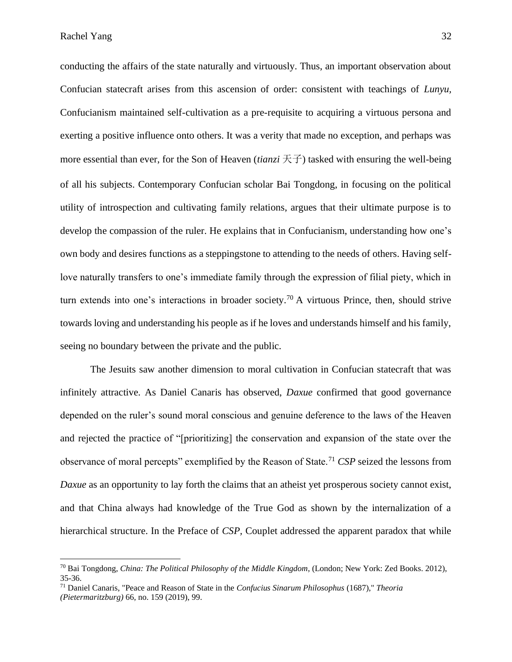conducting the affairs of the state naturally and virtuously. Thus, an important observation about Confucian statecraft arises from this ascension of order: consistent with teachings of *Lunyu,* Confucianism maintained self-cultivation as a pre-requisite to acquiring a virtuous persona and exerting a positive influence onto others. It was a verity that made no exception, and perhaps was more essential than ever, for the Son of Heaven (*tianzi* 天子) tasked with ensuring the well-being of all his subjects. Contemporary Confucian scholar Bai Tongdong, in focusing on the political utility of introspection and cultivating family relations, argues that their ultimate purpose is to develop the compassion of the ruler. He explains that in Confucianism, understanding how one's own body and desires functions as a steppingstone to attending to the needs of others. Having selflove naturally transfers to one's immediate family through the expression of filial piety, which in turn extends into one's interactions in broader society.<sup>70</sup> A virtuous Prince, then, should strive towards loving and understanding his people as if he loves and understands himself and his family, seeing no boundary between the private and the public.

The Jesuits saw another dimension to moral cultivation in Confucian statecraft that was infinitely attractive. As Daniel Canaris has observed, *Daxue* confirmed that good governance depended on the ruler's sound moral conscious and genuine deference to the laws of the Heaven and rejected the practice of "[prioritizing] the conservation and expansion of the state over the observance of moral percepts" exemplified by the Reason of State.<sup>71</sup> *CSP* seized the lessons from *Daxue* as an opportunity to lay forth the claims that an atheist yet prosperous society cannot exist, and that China always had knowledge of the True God as shown by the internalization of a hierarchical structure. In the Preface of *CSP,* Couplet addressed the apparent paradox that while

<sup>70</sup> Bai Tongdong, *China: The Political Philosophy of the Middle Kingdom*, (London; New York: Zed Books. 2012), 35-36.

<sup>71</sup> Daniel Canaris, "Peace and Reason of State in the *Confucius Sinarum Philosophus* (1687)," *Theoria (Pietermaritzburg)* 66, no. 159 (2019), 99.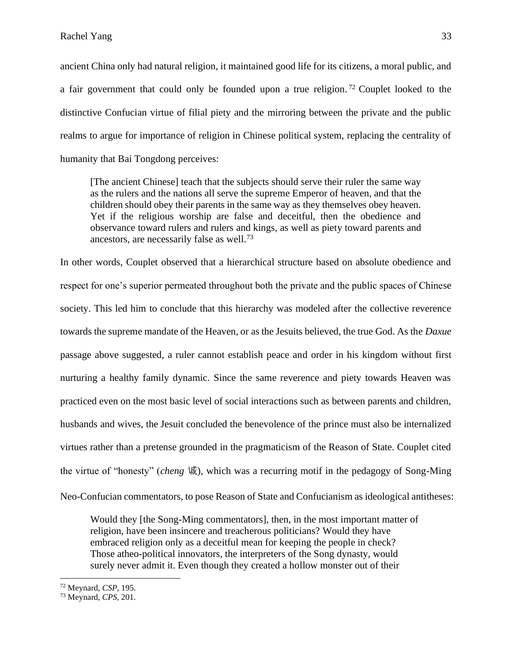ancient China only had natural religion, it maintained good life for its citizens, a moral public, and a fair government that could only be founded upon a true religion. <sup>72</sup> Couplet looked to the distinctive Confucian virtue of filial piety and the mirroring between the private and the public realms to argue for importance of religion in Chinese political system, replacing the centrality of humanity that Bai Tongdong perceives:

[The ancient Chinese] teach that the subjects should serve their ruler the same way as the rulers and the nations all serve the supreme Emperor of heaven, and that the children should obey their parents in the same way as they themselves obey heaven. Yet if the religious worship are false and deceitful, then the obedience and observance toward rulers and rulers and kings, as well as piety toward parents and ancestors, are necessarily false as well.<sup>73</sup>

In other words, Couplet observed that a hierarchical structure based on absolute obedience and respect for one's superior permeated throughout both the private and the public spaces of Chinese society. This led him to conclude that this hierarchy was modeled after the collective reverence towards the supreme mandate of the Heaven, or as the Jesuits believed, the true God. As the *Daxue* passage above suggested, a ruler cannot establish peace and order in his kingdom without first nurturing a healthy family dynamic. Since the same reverence and piety towards Heaven was practiced even on the most basic level of social interactions such as between parents and children, husbands and wives, the Jesuit concluded the benevolence of the prince must also be internalized virtues rather than a pretense grounded in the pragmaticism of the Reason of State. Couplet cited the virtue of "honesty" (*cheng* 诚), which was a recurring motif in the pedagogy of Song-Ming Neo-Confucian commentators, to pose Reason of State and Confucianism as ideological antitheses:

Would they [the Song-Ming commentators], then, in the most important matter of religion, have been insincere and treacherous politicians? Would they have embraced religion only as a deceitful mean for keeping the people in check? Those atheo-political innovators, the interpreters of the Song dynasty, would surely never admit it. Even though they created a hollow monster out of their

<sup>72</sup> Meynard, *CSP,* 195.

<sup>73</sup> Meynard, *CPS,* 201.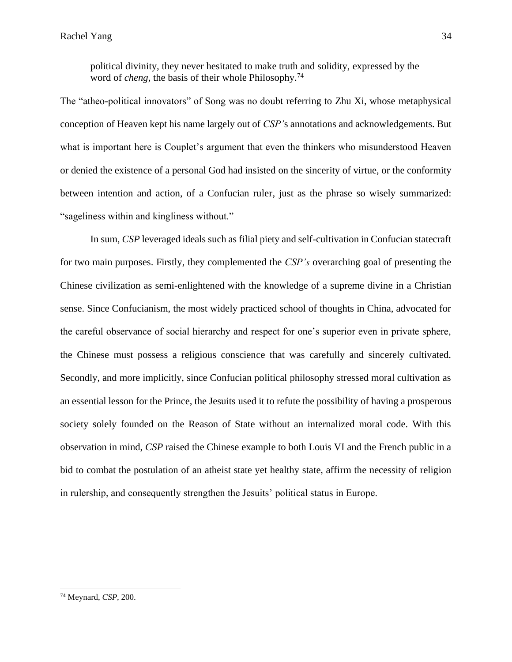political divinity, they never hesitated to make truth and solidity, expressed by the word of *cheng*, the basis of their whole Philosophy.<sup>74</sup>

The "atheo-political innovators" of Song was no doubt referring to Zhu Xi, whose metaphysical conception of Heaven kept his name largely out of *CSP'*s annotations and acknowledgements. But what is important here is Couplet's argument that even the thinkers who misunderstood Heaven or denied the existence of a personal God had insisted on the sincerity of virtue, or the conformity between intention and action, of a Confucian ruler, just as the phrase so wisely summarized: "sageliness within and kingliness without."

In sum, *CSP* leveraged ideals such as filial piety and self-cultivation in Confucian statecraft for two main purposes. Firstly, they complemented the *CSP's* overarching goal of presenting the Chinese civilization as semi-enlightened with the knowledge of a supreme divine in a Christian sense. Since Confucianism, the most widely practiced school of thoughts in China, advocated for the careful observance of social hierarchy and respect for one's superior even in private sphere, the Chinese must possess a religious conscience that was carefully and sincerely cultivated. Secondly, and more implicitly, since Confucian political philosophy stressed moral cultivation as an essential lesson for the Prince, the Jesuits used it to refute the possibility of having a prosperous society solely founded on the Reason of State without an internalized moral code. With this observation in mind, *CSP* raised the Chinese example to both Louis VI and the French public in a bid to combat the postulation of an atheist state yet healthy state, affirm the necessity of religion in rulership, and consequently strengthen the Jesuits' political status in Europe.

<sup>74</sup> Meynard, *CSP,* 200.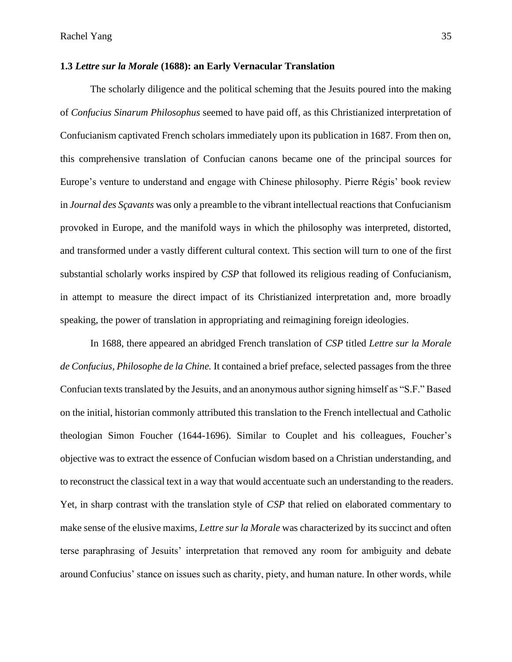### **1.3** *Lettre sur la Morale* **(1688): an Early Vernacular Translation**

The scholarly diligence and the political scheming that the Jesuits poured into the making of *Confucius Sinarum Philosophus* seemed to have paid off, as this Christianized interpretation of Confucianism captivated French scholars immediately upon its publication in 1687. From then on, this comprehensive translation of Confucian canons became one of the principal sources for Europe's venture to understand and engage with Chinese philosophy. Pierre Régis' book review in *Journal des Sçavants* was only a preamble to the vibrant intellectual reactions that Confucianism provoked in Europe, and the manifold ways in which the philosophy was interpreted, distorted, and transformed under a vastly different cultural context. This section will turn to one of the first substantial scholarly works inspired by *CSP* that followed its religious reading of Confucianism, in attempt to measure the direct impact of its Christianized interpretation and, more broadly speaking, the power of translation in appropriating and reimagining foreign ideologies.

In 1688, there appeared an abridged French translation of *CSP* titled *Lettre sur la Morale de Confucius, Philosophe de la Chine.* It contained a brief preface, selected passages from the three Confucian texts translated by the Jesuits, and an anonymous author signing himself as "S.F." Based on the initial, historian commonly attributed this translation to the French intellectual and Catholic theologian Simon Foucher (1644-1696). Similar to Couplet and his colleagues, Foucher's objective was to extract the essence of Confucian wisdom based on a Christian understanding, and to reconstruct the classical text in a way that would accentuate such an understanding to the readers. Yet, in sharp contrast with the translation style of *CSP* that relied on elaborated commentary to make sense of the elusive maxims, *Lettre sur la Morale* was characterized by its succinct and often terse paraphrasing of Jesuits' interpretation that removed any room for ambiguity and debate around Confucius' stance on issues such as charity, piety, and human nature. In other words, while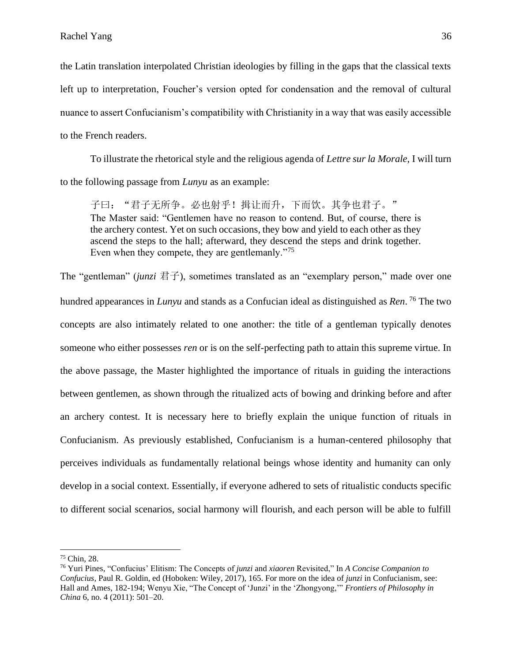the Latin translation interpolated Christian ideologies by filling in the gaps that the classical texts left up to interpretation, Foucher's version opted for condensation and the removal of cultural nuance to assert Confucianism's compatibility with Christianity in a way that was easily accessible to the French readers.

To illustrate the rhetorical style and the religious agenda of *Lettre sur la Morale*, I will turn to the following passage from *Lunyu* as an example:

子曰: "君子无所争。必也射乎!揖让而升,下而饮。其争也君子。" The Master said: "Gentlemen have no reason to contend. But, of course, there is the archery contest. Yet on such occasions, they bow and yield to each other as they ascend the steps to the hall; afterward, they descend the steps and drink together. Even when they compete, they are gentlemanly."<sup>75</sup>

The "gentleman" (*junzi* 君子), sometimes translated as an "exemplary person," made over one hundred appearances in *Lunyu* and stands as a Confucian ideal as distinguished as *Ren*. <sup>76</sup> The two concepts are also intimately related to one another: the title of a gentleman typically denotes someone who either possesses *ren* or is on the self-perfecting path to attain this supreme virtue. In the above passage, the Master highlighted the importance of rituals in guiding the interactions between gentlemen, as shown through the ritualized acts of bowing and drinking before and after an archery contest. It is necessary here to briefly explain the unique function of rituals in Confucianism. As previously established, Confucianism is a human-centered philosophy that perceives individuals as fundamentally relational beings whose identity and humanity can only develop in a social context. Essentially, if everyone adhered to sets of ritualistic conducts specific to different social scenarios, social harmony will flourish, and each person will be able to fulfill

<sup>75</sup> Chin, 28.

<sup>76</sup> Yuri Pines, "Confucius' Elitism: The Concepts of *junzi* and *xiaoren* Revisited," In *A Concise Companion to Confucius,* Paul R. Goldin, ed (Hoboken: Wiley, 2017), 165. For more on the idea of *junzi* in Confucianism*,* see: Hall and Ames, 182-194; Wenyu Xie, "The Concept of 'Junzi' in the 'Zhongyong,'" *Frontiers of Philosophy in China* 6, no. 4 (2011): 501–20.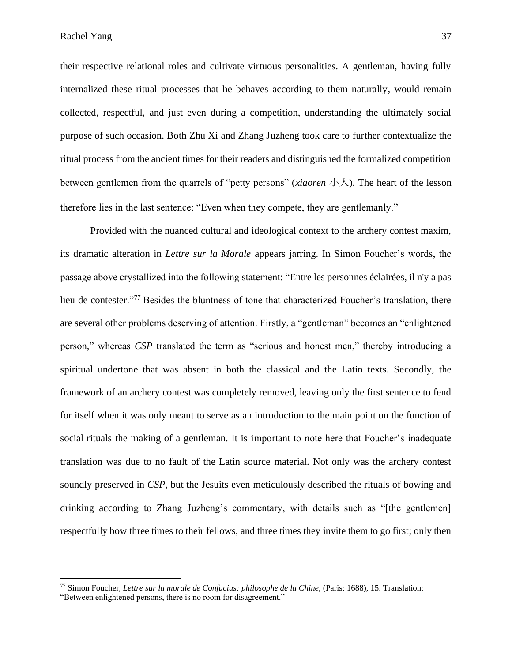their respective relational roles and cultivate virtuous personalities. A gentleman, having fully internalized these ritual processes that he behaves according to them naturally*,* would remain collected, respectful, and just even during a competition, understanding the ultimately social purpose of such occasion. Both Zhu Xi and Zhang Juzheng took care to further contextualize the ritual process from the ancient times for their readers and distinguished the formalized competition between gentlemen from the quarrels of "petty persons" (*xiaoren* 小人). The heart of the lesson therefore lies in the last sentence: "Even when they compete, they are gentlemanly."

Provided with the nuanced cultural and ideological context to the archery contest maxim, its dramatic alteration in *Lettre sur la Morale* appears jarring. In Simon Foucher's words, the passage above crystallized into the following statement: "Entre les personnes éclairées, il n'y a pas lieu de contester."<sup>77</sup> Besides the bluntness of tone that characterized Foucher's translation, there are several other problems deserving of attention. Firstly, a "gentleman" becomes an "enlightened person," whereas *CSP* translated the term as "serious and honest men," thereby introducing a spiritual undertone that was absent in both the classical and the Latin texts. Secondly, the framework of an archery contest was completely removed, leaving only the first sentence to fend for itself when it was only meant to serve as an introduction to the main point on the function of social rituals the making of a gentleman. It is important to note here that Foucher's inadequate translation was due to no fault of the Latin source material. Not only was the archery contest soundly preserved in *CSP*, but the Jesuits even meticulously described the rituals of bowing and drinking according to Zhang Juzheng's commentary, with details such as "[the gentlemen] respectfully bow three times to their fellows, and three times they invite them to go first; only then

<sup>77</sup> Simon Foucher, *Lettre sur la morale de Confucius: philosophe de la Chine,* (Paris: 1688), 15. Translation:

<sup>&</sup>quot;Between enlightened persons, there is no room for disagreement."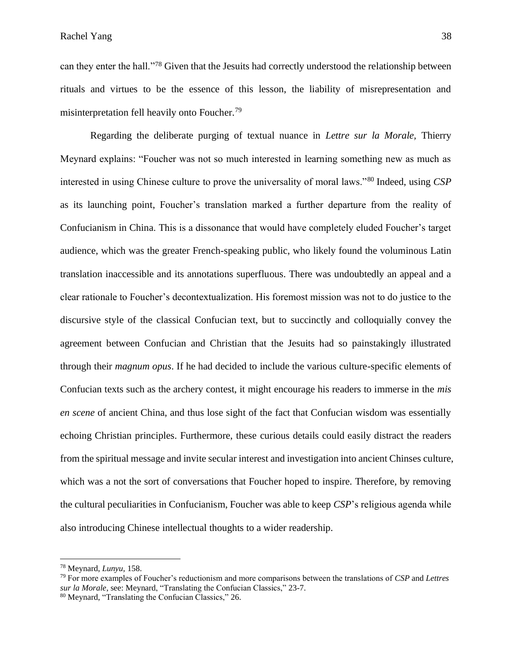can they enter the hall."<sup>78</sup> Given that the Jesuits had correctly understood the relationship between rituals and virtues to be the essence of this lesson, the liability of misrepresentation and misinterpretation fell heavily onto Foucher.<sup>79</sup>

Regarding the deliberate purging of textual nuance in *Lettre sur la Morale,* Thierry Meynard explains: "Foucher was not so much interested in learning something new as much as interested in using Chinese culture to prove the universality of moral laws."<sup>80</sup> Indeed, using *CSP* as its launching point, Foucher's translation marked a further departure from the reality of Confucianism in China. This is a dissonance that would have completely eluded Foucher's target audience, which was the greater French-speaking public, who likely found the voluminous Latin translation inaccessible and its annotations superfluous. There was undoubtedly an appeal and a clear rationale to Foucher's decontextualization. His foremost mission was not to do justice to the discursive style of the classical Confucian text, but to succinctly and colloquially convey the agreement between Confucian and Christian that the Jesuits had so painstakingly illustrated through their *magnum opus*. If he had decided to include the various culture-specific elements of Confucian texts such as the archery contest, it might encourage his readers to immerse in the *mis en scene* of ancient China, and thus lose sight of the fact that Confucian wisdom was essentially echoing Christian principles. Furthermore, these curious details could easily distract the readers from the spiritual message and invite secular interest and investigation into ancient Chinses culture, which was a not the sort of conversations that Foucher hoped to inspire. Therefore, by removing the cultural peculiarities in Confucianism, Foucher was able to keep *CSP*'s religious agenda while also introducing Chinese intellectual thoughts to a wider readership.

<sup>78</sup> Meynard, *Lunyu*, 158.

<sup>79</sup> For more examples of Foucher's reductionism and more comparisons between the translations of *CSP* and *Lettres sur la Morale*, see: Meynard, "Translating the Confucian Classics," 23-7.

<sup>80</sup> Meynard, "Translating the Confucian Classics," 26.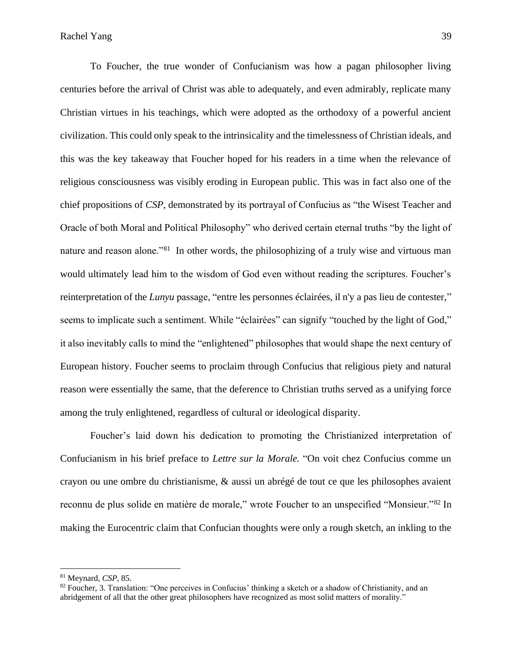To Foucher, the true wonder of Confucianism was how a pagan philosopher living centuries before the arrival of Christ was able to adequately, and even admirably, replicate many Christian virtues in his teachings, which were adopted as the orthodoxy of a powerful ancient civilization. This could only speak to the intrinsicality and the timelessness of Christian ideals, and this was the key takeaway that Foucher hoped for his readers in a time when the relevance of religious consciousness was visibly eroding in European public. This was in fact also one of the chief propositions of *CSP*, demonstrated by its portrayal of Confucius as "the Wisest Teacher and Oracle of both Moral and Political Philosophy" who derived certain eternal truths "by the light of nature and reason alone."<sup>81</sup> In other words, the philosophizing of a truly wise and virtuous man would ultimately lead him to the wisdom of God even without reading the scriptures. Foucher's reinterpretation of the *Lunyu* passage, "entre les personnes éclairées, il n'y a pas lieu de contester," seems to implicate such a sentiment. While "éclairées" can signify "touched by the light of God," it also inevitably calls to mind the "enlightened" philosophes that would shape the next century of European history. Foucher seems to proclaim through Confucius that religious piety and natural reason were essentially the same, that the deference to Christian truths served as a unifying force among the truly enlightened, regardless of cultural or ideological disparity.

Foucher's laid down his dedication to promoting the Christianized interpretation of Confucianism in his brief preface to *Lettre sur la Morale.* "On voit chez Confucius comme un crayon ou une ombre du christianisme, & aussi un abrégé de tout ce que les philosophes avaient reconnu de plus solide en matière de morale," wrote Foucher to an unspecified "Monsieur."<sup>82</sup> In making the Eurocentric claim that Confucian thoughts were only a rough sketch, an inkling to the

<sup>81</sup> Meynard, *CSP,* 85.

<sup>82</sup> Foucher, 3. Translation: "One perceives in Confucius' thinking a sketch or a shadow of Christianity, and an abridgement of all that the other great philosophers have recognized as most solid matters of morality."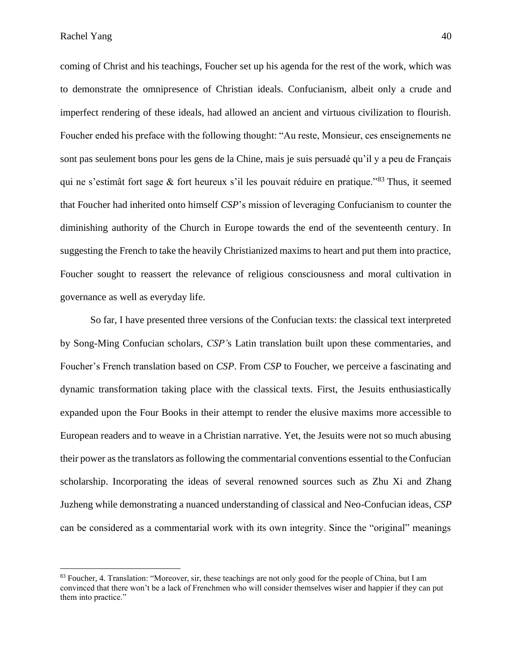coming of Christ and his teachings, Foucher set up his agenda for the rest of the work, which was to demonstrate the omnipresence of Christian ideals. Confucianism, albeit only a crude and imperfect rendering of these ideals, had allowed an ancient and virtuous civilization to flourish. Foucher ended his preface with the following thought: "Au reste, Monsieur, ces enseignements ne sont pas seulement bons pour les gens de la Chine, mais je suis persuadé qu'il y a peu de Français qui ne s'estimât fort sage & fort heureux s'il les pouvait réduire en pratique."<sup>83</sup> Thus, it seemed that Foucher had inherited onto himself *CSP*'s mission of leveraging Confucianism to counter the diminishing authority of the Church in Europe towards the end of the seventeenth century. In suggesting the French to take the heavily Christianized maxims to heart and put them into practice, Foucher sought to reassert the relevance of religious consciousness and moral cultivation in governance as well as everyday life.

So far, I have presented three versions of the Confucian texts: the classical text interpreted by Song-Ming Confucian scholars, *CSP'*s Latin translation built upon these commentaries, and Foucher's French translation based on *CSP*. From *CSP* to Foucher, we perceive a fascinating and dynamic transformation taking place with the classical texts. First, the Jesuits enthusiastically expanded upon the Four Books in their attempt to render the elusive maxims more accessible to European readers and to weave in a Christian narrative. Yet, the Jesuits were not so much abusing their power as the translators as following the commentarial conventions essential to the Confucian scholarship. Incorporating the ideas of several renowned sources such as Zhu Xi and Zhang Juzheng while demonstrating a nuanced understanding of classical and Neo-Confucian ideas, *CSP* can be considered as a commentarial work with its own integrity. Since the "original" meanings

<sup>&</sup>lt;sup>83</sup> Foucher, 4. Translation: "Moreover, sir, these teachings are not only good for the people of China, but I am convinced that there won't be a lack of Frenchmen who will consider themselves wiser and happier if they can put them into practice."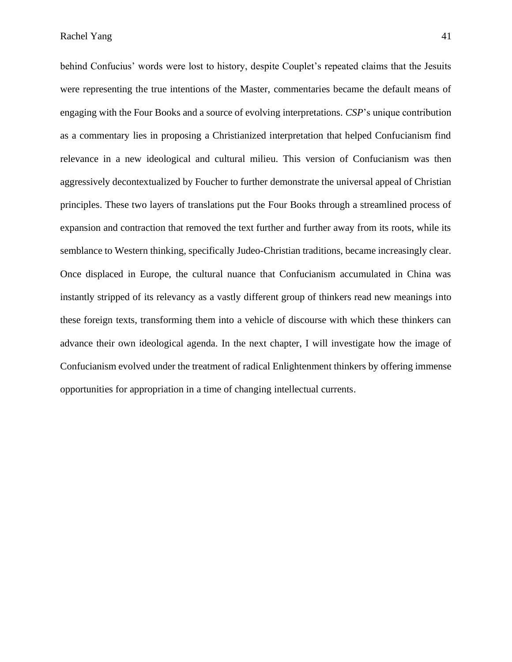behind Confucius' words were lost to history, despite Couplet's repeated claims that the Jesuits were representing the true intentions of the Master, commentaries became the default means of engaging with the Four Books and a source of evolving interpretations. *CSP*'s unique contribution as a commentary lies in proposing a Christianized interpretation that helped Confucianism find relevance in a new ideological and cultural milieu. This version of Confucianism was then aggressively decontextualized by Foucher to further demonstrate the universal appeal of Christian principles. These two layers of translations put the Four Books through a streamlined process of expansion and contraction that removed the text further and further away from its roots, while its semblance to Western thinking, specifically Judeo-Christian traditions, became increasingly clear. Once displaced in Europe, the cultural nuance that Confucianism accumulated in China was instantly stripped of its relevancy as a vastly different group of thinkers read new meanings into these foreign texts, transforming them into a vehicle of discourse with which these thinkers can advance their own ideological agenda. In the next chapter, I will investigate how the image of Confucianism evolved under the treatment of radical Enlightenment thinkers by offering immense opportunities for appropriation in a time of changing intellectual currents.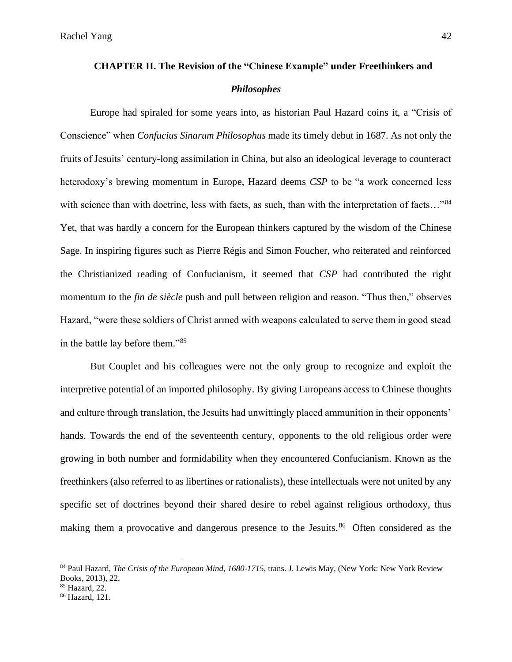# **CHAPTER II. The Revision of the "Chinese Example" under Freethinkers and**  *Philosophes*

Europe had spiraled for some years into, as historian Paul Hazard coins it, a "Crisis of Conscience" when *Confucius Sinarum Philosophus* made its timely debut in 1687. As not only the fruits of Jesuits' century-long assimilation in China, but also an ideological leverage to counteract heterodoxy's brewing momentum in Europe, Hazard deems *CSP* to be "a work concerned less with science than with doctrine, less with facts, as such, than with the interpretation of facts..."<sup>84</sup> Yet, that was hardly a concern for the European thinkers captured by the wisdom of the Chinese Sage. In inspiring figures such as Pierre Régis and Simon Foucher, who reiterated and reinforced the Christianized reading of Confucianism, it seemed that *CSP* had contributed the right momentum to the *fin de siècle* push and pull between religion and reason. "Thus then," observes Hazard, "were these soldiers of Christ armed with weapons calculated to serve them in good stead in the battle lay before them."<sup>85</sup>

But Couplet and his colleagues were not the only group to recognize and exploit the interpretive potential of an imported philosophy. By giving Europeans access to Chinese thoughts and culture through translation, the Jesuits had unwittingly placed ammunition in their opponents' hands. Towards the end of the seventeenth century, opponents to the old religious order were growing in both number and formidability when they encountered Confucianism. Known as the freethinkers (also referred to as libertines or rationalists), these intellectuals were not united by any specific set of doctrines beyond their shared desire to rebel against religious orthodoxy, thus making them a provocative and dangerous presence to the Jesuits.<sup>86</sup> Often considered as the

<sup>84</sup> Paul Hazard, *The Crisis of the European Mind*, *1680-1715,* trans. J. Lewis May, (New York: New York Review Books, 2013), 22.

<sup>85</sup> Hazard, 22.

<sup>86</sup> Hazard, 121.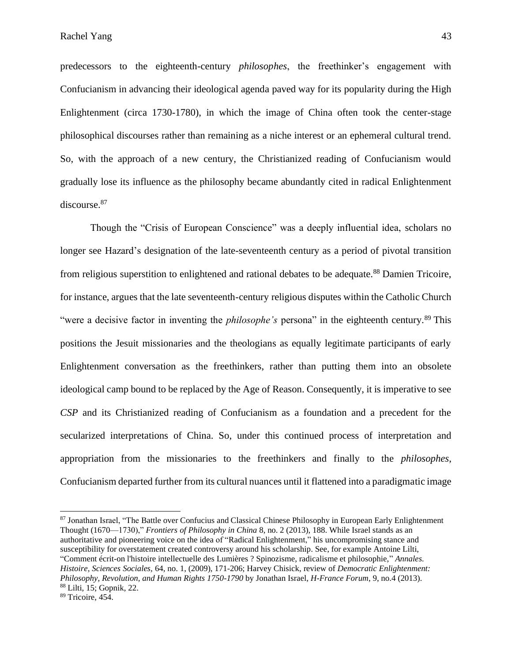predecessors to the eighteenth-century *philosophes*, the freethinker's engagement with Confucianism in advancing their ideological agenda paved way for its popularity during the High Enlightenment (circa 1730-1780), in which the image of China often took the center-stage philosophical discourses rather than remaining as a niche interest or an ephemeral cultural trend. So, with the approach of a new century, the Christianized reading of Confucianism would gradually lose its influence as the philosophy became abundantly cited in radical Enlightenment discourse.<sup>87</sup>

Though the "Crisis of European Conscience" was a deeply influential idea, scholars no longer see Hazard's designation of the late-seventeenth century as a period of pivotal transition from religious superstition to enlightened and rational debates to be adequate.<sup>88</sup> Damien Tricoire, for instance, argues that the late seventeenth-century religious disputes within the Catholic Church "were a decisive factor in inventing the *philosophe's* persona" in the eighteenth century.<sup>89</sup> This positions the Jesuit missionaries and the theologians as equally legitimate participants of early Enlightenment conversation as the freethinkers, rather than putting them into an obsolete ideological camp bound to be replaced by the Age of Reason. Consequently, it is imperative to see *CSP* and its Christianized reading of Confucianism as a foundation and a precedent for the secularized interpretations of China. So, under this continued process of interpretation and appropriation from the missionaries to the freethinkers and finally to the *philosophes*, Confucianism departed further from its cultural nuances until it flattened into a paradigmatic image

<sup>87</sup> Jonathan Israel, "The Battle over Confucius and Classical Chinese Philosophy in European Early Enlightenment Thought (1670—1730)," *Frontiers of Philosophy in China* 8, no. 2 (2013), 188. While Israel stands as an authoritative and pioneering voice on the idea of "Radical Enlightenment," his uncompromising stance and susceptibility for overstatement created controversy around his scholarship. See, for example Antoine Lilti, "Comment écrit-on l'histoire intellectuelle des Lumières ? Spinozisme, radicalisme et philosophie," *Annales. Histoire, Sciences Sociales,* 64, no. 1, (2009), 171-206; Harvey Chisick, review of *Democratic Enlightenment: Philosophy, Revolution, and Human Rights 1750-1790* by Jonathan Israel, *H-France Forum*, 9, no.4 (2013). <sup>88</sup> Lilti, 15; Gopnik, 22.

<sup>89</sup> Tricoire, 454.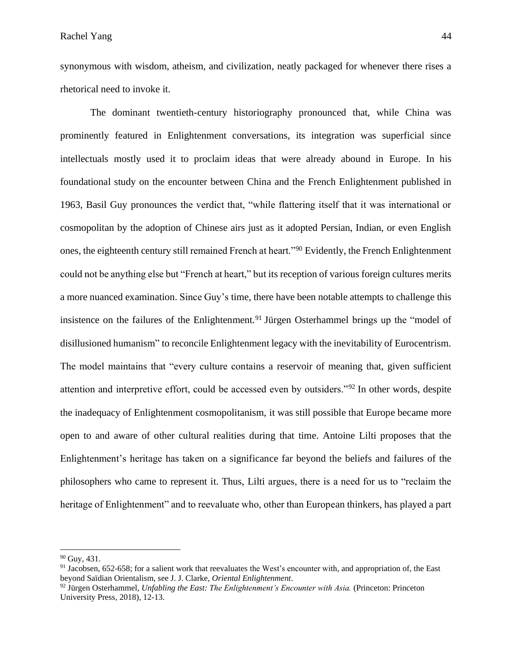synonymous with wisdom, atheism, and civilization, neatly packaged for whenever there rises a rhetorical need to invoke it.

The dominant twentieth-century historiography pronounced that, while China was prominently featured in Enlightenment conversations, its integration was superficial since intellectuals mostly used it to proclaim ideas that were already abound in Europe. In his foundational study on the encounter between China and the French Enlightenment published in 1963, Basil Guy pronounces the verdict that, "while flattering itself that it was international or cosmopolitan by the adoption of Chinese airs just as it adopted Persian, Indian, or even English ones, the eighteenth century still remained French at heart."<sup>90</sup> Evidently, the French Enlightenment could not be anything else but "French at heart," but its reception of various foreign cultures merits a more nuanced examination. Since Guy's time, there have been notable attempts to challenge this insistence on the failures of the Enlightenment.<sup>91</sup> Jürgen Osterhammel brings up the "model of disillusioned humanism" to reconcile Enlightenment legacy with the inevitability of Eurocentrism. The model maintains that "every culture contains a reservoir of meaning that, given sufficient attention and interpretive effort, could be accessed even by outsiders."<sup>92</sup> In other words, despite the inadequacy of Enlightenment cosmopolitanism, it was still possible that Europe became more open to and aware of other cultural realities during that time. Antoine Lilti proposes that the Enlightenment's heritage has taken on a significance far beyond the beliefs and failures of the philosophers who came to represent it. Thus, Lilti argues, there is a need for us to "reclaim the heritage of Enlightenment" and to reevaluate who, other than European thinkers, has played a part

<sup>&</sup>lt;sup>90</sup> Guy, 431.

 $91$  Jacobsen, 652-658; for a salient work that reevaluates the West's encounter with, and appropriation of, the East beyond Saïdian Orientalism, see J. J. Clarke, *Oriental Enlightenment*.

<sup>92</sup> Jürgen Osterhammel, *Unfabling the East: The Enlightenment's Encounter with Asia.* (Princeton: Princeton University Press, 2018), 12-13.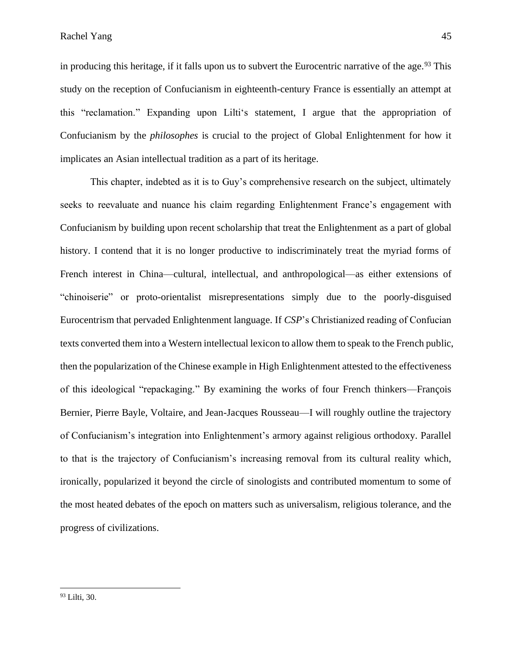in producing this heritage, if it falls upon us to subvert the Eurocentric narrative of the age.<sup>93</sup> This study on the reception of Confucianism in eighteenth-century France is essentially an attempt at this "reclamation." Expanding upon Lilti's statement, I argue that the appropriation of Confucianism by the *philosophes* is crucial to the project of Global Enlightenment for how it implicates an Asian intellectual tradition as a part of its heritage.

This chapter, indebted as it is to Guy's comprehensive research on the subject, ultimately seeks to reevaluate and nuance his claim regarding Enlightenment France's engagement with Confucianism by building upon recent scholarship that treat the Enlightenment as a part of global history. I contend that it is no longer productive to indiscriminately treat the myriad forms of French interest in China—cultural, intellectual, and anthropological—as either extensions of "chinoiserie" or proto-orientalist misrepresentations simply due to the poorly-disguised Eurocentrism that pervaded Enlightenment language. If *CSP*'s Christianized reading of Confucian texts converted them into a Western intellectual lexicon to allow them to speak to the French public, then the popularization of the Chinese example in High Enlightenment attested to the effectiveness of this ideological "repackaging." By examining the works of four French thinkers––François Bernier, Pierre Bayle, Voltaire, and Jean-Jacques Rousseau—I will roughly outline the trajectory of Confucianism's integration into Enlightenment's armory against religious orthodoxy. Parallel to that is the trajectory of Confucianism's increasing removal from its cultural reality which, ironically, popularized it beyond the circle of sinologists and contributed momentum to some of the most heated debates of the epoch on matters such as universalism, religious tolerance, and the progress of civilizations.

<sup>93</sup> Lilti, 30.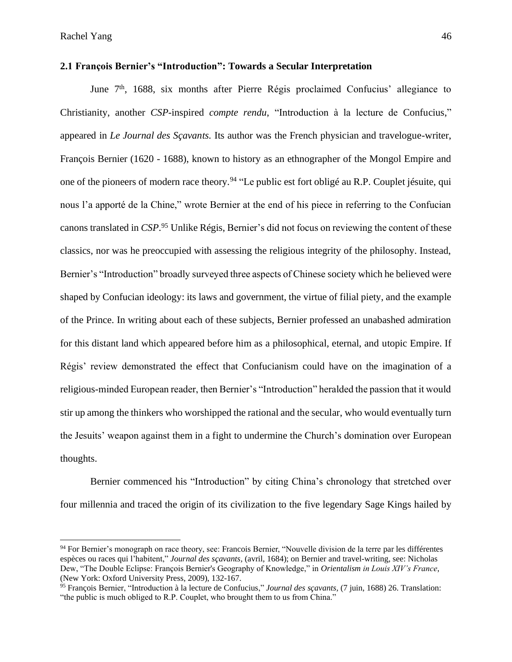## **2.1 François Bernier's "Introduction": Towards a Secular Interpretation**

June 7<sup>th</sup>, 1688, six months after Pierre Régis proclaimed Confucius' allegiance to Christianity, another *CSP-*inspired *compte rendu*, "Introduction à la lecture de Confucius," appeared in *Le Journal des Sçavants.* Its author was the French physician and travelogue-writer, François Bernier (1620 - 1688), known to history as an ethnographer of the Mongol Empire and one of the pioneers of modern race theory.<sup>94</sup> "Le public est fort obligé au R.P. Couplet jésuite, qui nous l'a apporté de la Chine," wrote Bernier at the end of his piece in referring to the Confucian canons translated in *CSP*. <sup>95</sup> Unlike Régis, Bernier's did not focus on reviewing the content of these classics, nor was he preoccupied with assessing the religious integrity of the philosophy. Instead, Bernier's "Introduction" broadly surveyed three aspects of Chinese society which he believed were shaped by Confucian ideology: its laws and government, the virtue of filial piety, and the example of the Prince. In writing about each of these subjects, Bernier professed an unabashed admiration for this distant land which appeared before him as a philosophical, eternal, and utopic Empire. If Régis' review demonstrated the effect that Confucianism could have on the imagination of a religious-minded European reader, then Bernier's "Introduction" heralded the passion that it would stir up among the thinkers who worshipped the rational and the secular, who would eventually turn the Jesuits' weapon against them in a fight to undermine the Church's domination over European thoughts.

Bernier commenced his "Introduction" by citing China's chronology that stretched over four millennia and traced the origin of its civilization to the five legendary Sage Kings hailed by

<sup>&</sup>lt;sup>94</sup> For Bernier's monograph on race theory, see: Francois Bernier, "Nouvelle division de la terre par les différentes espèces ou races qui l'habitent," *Journal des sçavants,* (avril, 1684); on Bernier and travel-writing, see: Nicholas Dew, "The Double Eclipse: François Bernier's Geography of Knowledge," in *Orientalism in Louis XIV's France*, (New York: Oxford University Press, 2009), 132-167.

<sup>95</sup> François Bernier, "Introduction à la lecture de Confucius," *Journal des sçavants,* (7 juin, 1688) 26. Translation: "the public is much obliged to R.P. Couplet, who brought them to us from China."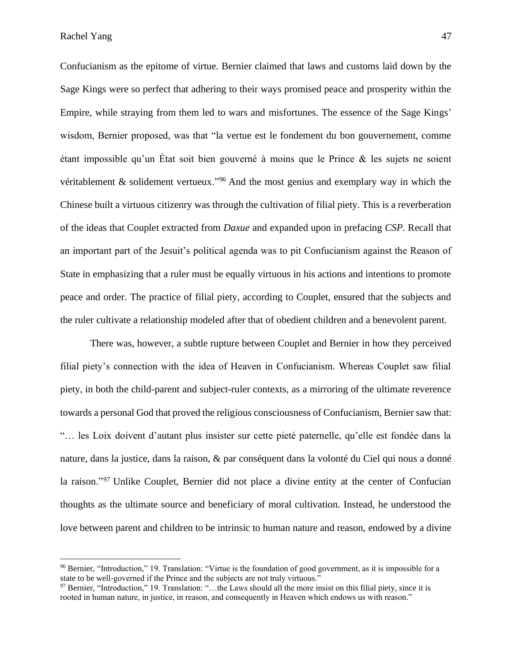Confucianism as the epitome of virtue. Bernier claimed that laws and customs laid down by the Sage Kings were so perfect that adhering to their ways promised peace and prosperity within the Empire, while straying from them led to wars and misfortunes. The essence of the Sage Kings' wisdom, Bernier proposed, was that "la vertue est le fondement du bon gouvernement, comme étant impossible qu'un État soit bien gouverné à moins que le Prince & les sujets ne soient véritablement & solidement vertueux."<sup>96</sup> And the most genius and exemplary way in which the Chinese built a virtuous citizenry was through the cultivation of filial piety. This is a reverberation of the ideas that Couplet extracted from *Daxue* and expanded upon in prefacing *CSP.* Recall that an important part of the Jesuit's political agenda was to pit Confucianism against the Reason of State in emphasizing that a ruler must be equally virtuous in his actions and intentions to promote peace and order. The practice of filial piety, according to Couplet, ensured that the subjects and the ruler cultivate a relationship modeled after that of obedient children and a benevolent parent.

There was, however, a subtle rupture between Couplet and Bernier in how they perceived filial piety's connection with the idea of Heaven in Confucianism. Whereas Couplet saw filial piety, in both the child-parent and subject-ruler contexts, as a mirroring of the ultimate reverence towards a personal God that proved the religious consciousness of Confucianism, Bernier saw that: "… les Loix doivent d'autant plus insister sur cette pieté paternelle, qu'elle est fondée dans la nature, dans la justice, dans la raison, & par conséquent dans la volonté du Ciel qui nous a donné la raison."<sup>97</sup> Unlike Couplet, Bernier did not place a divine entity at the center of Confucian thoughts as the ultimate source and beneficiary of moral cultivation. Instead, he understood the love between parent and children to be intrinsic to human nature and reason, endowed by a divine

<sup>96</sup> Bernier, "Introduction," 19. Translation: "Virtue is the foundation of good government, as it is impossible for a state to be well-governed if the Prince and the subjects are not truly virtuous."

<sup>97</sup> Bernier, "Introduction," 19. Translation: "...the Laws should all the more insist on this filial piety, since it is rooted in human nature, in justice, in reason, and consequently in Heaven which endows us with reason."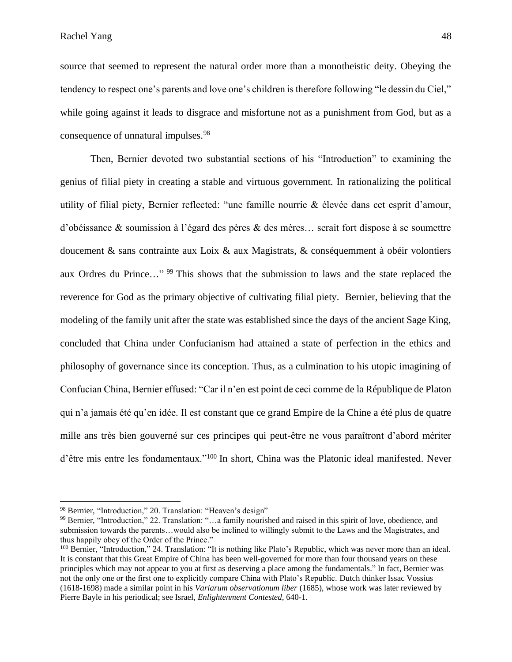Rachel Yang 48

source that seemed to represent the natural order more than a monotheistic deity. Obeying the tendency to respect one's parents and love one's children is therefore following "le dessin du Ciel," while going against it leads to disgrace and misfortune not as a punishment from God, but as a consequence of unnatural impulses.<sup>98</sup>

Then, Bernier devoted two substantial sections of his "Introduction" to examining the genius of filial piety in creating a stable and virtuous government. In rationalizing the political utility of filial piety, Bernier reflected: "une famille nourrie & élevée dans cet esprit d'amour, d'obéissance & soumission à l'égard des pères & des mères… serait fort dispose à se soumettre doucement & sans contrainte aux Loix & aux Magistrats, & conséquemment à obéir volontiers aux Ordres du Prince…" <sup>99</sup> This shows that the submission to laws and the state replaced the reverence for God as the primary objective of cultivating filial piety. Bernier, believing that the modeling of the family unit after the state was established since the days of the ancient Sage King, concluded that China under Confucianism had attained a state of perfection in the ethics and philosophy of governance since its conception. Thus, as a culmination to his utopic imagining of Confucian China, Bernier effused: "Car il n'en est point de ceci comme de la République de Platon qui n'a jamais été qu'en idée. Il est constant que ce grand Empire de la Chine a été plus de quatre mille ans très bien gouverné sur ces principes qui peut-être ne vous paraîtront d'abord mériter d'être mis entre les fondamentaux."<sup>100</sup> In short, China was the Platonic ideal manifested. Never

<sup>98</sup> Bernier, "Introduction," 20. Translation: "Heaven's design"

<sup>99</sup> Bernier, "Introduction," 22. Translation: "…a family nourished and raised in this spirit of love, obedience, and submission towards the parents…would also be inclined to willingly submit to the Laws and the Magistrates, and thus happily obey of the Order of the Prince."

<sup>100</sup> Bernier, "Introduction," 24. Translation: "It is nothing like Plato's Republic, which was never more than an ideal. It is constant that this Great Empire of China has been well-governed for more than four thousand years on these principles which may not appear to you at first as deserving a place among the fundamentals." In fact, Bernier was not the only one or the first one to explicitly compare China with Plato's Republic. Dutch thinker Issac Vossius (1618-1698) made a similar point in his *Variarum observationum liber* (1685), whose work was later reviewed by Pierre Bayle in his periodical; see Israel, *Enlightenment Contested,* 640-1.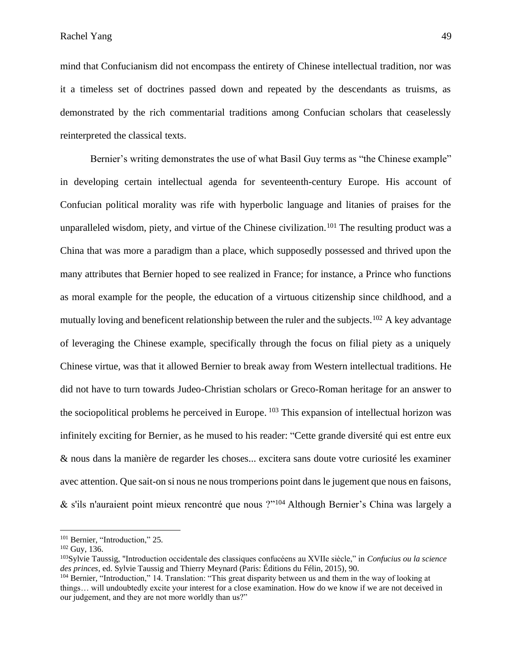mind that Confucianism did not encompass the entirety of Chinese intellectual tradition, nor was it a timeless set of doctrines passed down and repeated by the descendants as truisms, as demonstrated by the rich commentarial traditions among Confucian scholars that ceaselessly reinterpreted the classical texts.

Bernier's writing demonstrates the use of what Basil Guy terms as "the Chinese example" in developing certain intellectual agenda for seventeenth-century Europe. His account of Confucian political morality was rife with hyperbolic language and litanies of praises for the unparalleled wisdom, piety, and virtue of the Chinese civilization.<sup>101</sup> The resulting product was a China that was more a paradigm than a place, which supposedly possessed and thrived upon the many attributes that Bernier hoped to see realized in France; for instance, a Prince who functions as moral example for the people, the education of a virtuous citizenship since childhood, and a mutually loving and beneficent relationship between the ruler and the subjects.<sup>102</sup> A key advantage of leveraging the Chinese example, specifically through the focus on filial piety as a uniquely Chinese virtue, was that it allowed Bernier to break away from Western intellectual traditions. He did not have to turn towards Judeo-Christian scholars or Greco-Roman heritage for an answer to the sociopolitical problems he perceived in Europe. <sup>103</sup> This expansion of intellectual horizon was infinitely exciting for Bernier, as he mused to his reader: "Cette grande diversité qui est entre eux & nous dans la manière de regarder les choses... excitera sans doute votre curiosité les examiner avec attention. Que sait-on si nous ne nous tromperions point dans le jugement que nous en faisons, & s'ils n'auraient point mieux rencontré que nous ?"<sup>104</sup> Although Bernier's China was largely a

<sup>&</sup>lt;sup>101</sup> Bernier, "Introduction," 25.

 $102$  Guy, 136.

<sup>103</sup>Sylvie Taussig, "Introduction occidentale des classiques confucéens au XVIIe siècle," in *Confucius ou la science des princes*, ed. Sylvie Taussig and Thierry Meynard (Paris: Éditions du Félin, 2015)*,* 90.

<sup>&</sup>lt;sup>104</sup> Bernier, "Introduction," 14. Translation: "This great disparity between us and them in the way of looking at things… will undoubtedly excite your interest for a close examination. How do we know if we are not deceived in our judgement, and they are not more worldly than us?"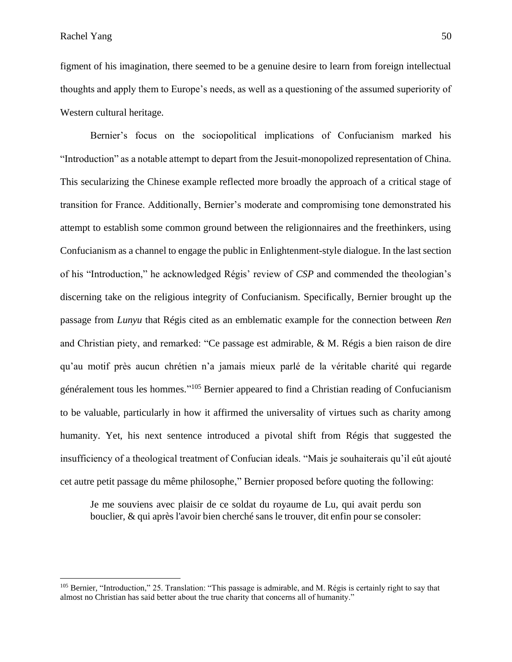figment of his imagination, there seemed to be a genuine desire to learn from foreign intellectual thoughts and apply them to Europe's needs, as well as a questioning of the assumed superiority of Western cultural heritage.

Bernier's focus on the sociopolitical implications of Confucianism marked his "Introduction" as a notable attempt to depart from the Jesuit-monopolized representation of China. This secularizing the Chinese example reflected more broadly the approach of a critical stage of transition for France. Additionally, Bernier's moderate and compromising tone demonstrated his attempt to establish some common ground between the religionnaires and the freethinkers, using Confucianism as a channel to engage the public in Enlightenment-style dialogue. In the last section of his "Introduction," he acknowledged Régis' review of *CSP* and commended the theologian's discerning take on the religious integrity of Confucianism. Specifically, Bernier brought up the passage from *Lunyu* that Régis cited as an emblematic example for the connection between *Ren* and Christian piety, and remarked: "Ce passage est admirable, & M. Régis a bien raison de dire qu'au motif près aucun chrétien n'a jamais mieux parlé de la véritable charité qui regarde généralement tous les hommes."<sup>105</sup> Bernier appeared to find a Christian reading of Confucianism to be valuable, particularly in how it affirmed the universality of virtues such as charity among humanity. Yet, his next sentence introduced a pivotal shift from Régis that suggested the insufficiency of a theological treatment of Confucian ideals. "Mais je souhaiterais qu'il eût ajouté cet autre petit passage du même philosophe," Bernier proposed before quoting the following:

Je me souviens avec plaisir de ce soldat du royaume de Lu, qui avait perdu son bouclier, & qui après l'avoir bien cherché sans le trouver, dit enfin pour se consoler:

<sup>&</sup>lt;sup>105</sup> Bernier, "Introduction," 25. Translation: "This passage is admirable, and M. Régis is certainly right to say that almost no Christian has said better about the true charity that concerns all of humanity."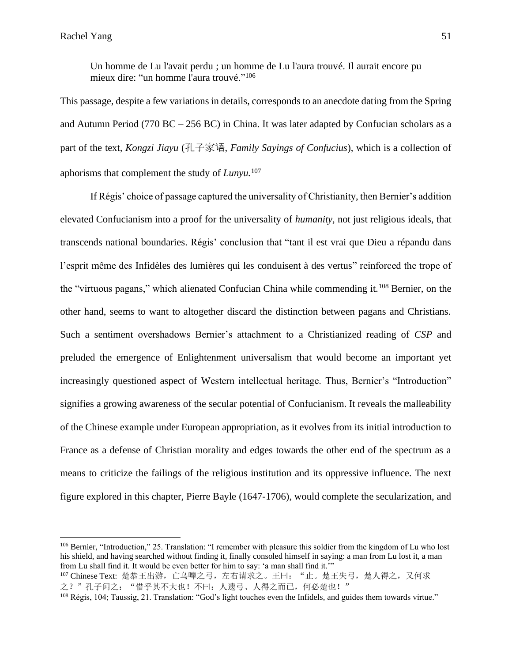Un homme de Lu l'avait perdu ; un homme de Lu l'aura trouvé. Il aurait encore pu mieux dire: "un homme l'aura trouvé."<sup>106</sup>

This passage, despite a few variations in details, corresponds to an anecdote dating from the Spring and Autumn Period (770 BC – 256 BC) in China. It was later adapted by Confucian scholars as a part of the text, *Kongzi Jiayu* (孔子家语, *Family Sayings of Confucius*), which is a collection of aphorisms that complement the study of *Lunyu.* 107

If Régis' choice of passage captured the universality of Christianity, then Bernier's addition elevated Confucianism into a proof for the universality of *humanity,* not just religious ideals, that transcends national boundaries. Régis' conclusion that "tant il est vrai que Dieu a répandu dans l'esprit même des Infidèles des lumières qui les conduisent à des vertus" reinforced the trope of the "virtuous pagans," which alienated Confucian China while commending it.<sup>108</sup> Bernier, on the other hand, seems to want to altogether discard the distinction between pagans and Christians. Such a sentiment overshadows Bernier's attachment to a Christianized reading of *CSP* and preluded the emergence of Enlightenment universalism that would become an important yet increasingly questioned aspect of Western intellectual heritage. Thus, Bernier's "Introduction" signifies a growing awareness of the secular potential of Confucianism. It reveals the malleability of the Chinese example under European appropriation, as it evolves from its initial introduction to France as a defense of Christian morality and edges towards the other end of the spectrum as a means to criticize the failings of the religious institution and its oppressive influence. The next figure explored in this chapter, Pierre Bayle (1647-1706), would complete the secularization, and

<sup>106</sup> Bernier, "Introduction," 25. Translation: "I remember with pleasure this soldier from the kingdom of Lu who lost his shield, and having searched without finding it, finally consoled himself in saying: a man from Lu lost it, a man from Lu shall find it. It would be even better for him to say: 'a man shall find it.'"

<sup>107</sup> Chinese Text: 楚恭王出游, 亡乌嘷之弓, 左右请求之。王曰: "止。楚王失弓, 楚人得之, 又何求 之?"孔子闻之: "惜乎其不大也!不曰: 人遗弓、人得之而已, 何必楚也!"

<sup>108</sup> Régis, 104; Taussig, 21. Translation: "God's light touches even the Infidels, and guides them towards virtue."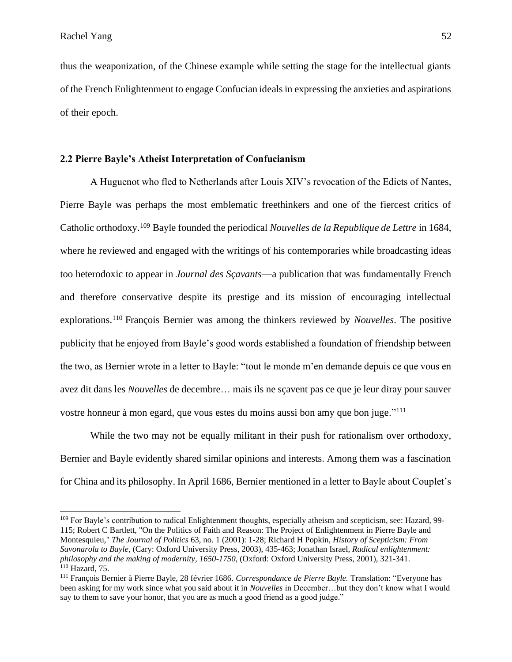thus the weaponization, of the Chinese example while setting the stage for the intellectual giants of the French Enlightenment to engage Confucian ideals in expressing the anxieties and aspirations of their epoch.

## **2.2 Pierre Bayle's Atheist Interpretation of Confucianism**

A Huguenot who fled to Netherlands after Louis XIV's revocation of the Edicts of Nantes, Pierre Bayle was perhaps the most emblematic freethinkers and one of the fiercest critics of Catholic orthodoxy.<sup>109</sup> Bayle founded the periodical *Nouvelles de la Republique de Lettre* in 1684, where he reviewed and engaged with the writings of his contemporaries while broadcasting ideas too heterodoxic to appear in *Journal des Sçavants*––a publication that was fundamentally French and therefore conservative despite its prestige and its mission of encouraging intellectual explorations.<sup>110</sup> François Bernier was among the thinkers reviewed by *Nouvelles*. The positive publicity that he enjoyed from Bayle's good words established a foundation of friendship between the two, as Bernier wrote in a letter to Bayle: "tout le monde m'en demande depuis ce que vous en avez dit dans les *Nouvelles* de decembre… mais ils ne sçavent pas ce que je leur diray pour sauver vostre honneur à mon egard, que vous estes du moins aussi bon amy que bon juge."<sup>111</sup>

While the two may not be equally militant in their push for rationalism over orthodoxy, Bernier and Bayle evidently shared similar opinions and interests. Among them was a fascination for China and its philosophy. In April 1686, Bernier mentioned in a letter to Bayle about Couplet's

<sup>&</sup>lt;sup>109</sup> For Bayle's contribution to radical Enlightenment thoughts, especially atheism and scepticism, see: Hazard, 99-115; Robert C Bartlett, "On the Politics of Faith and Reason: The Project of Enlightenment in Pierre Bayle and Montesquieu," *The Journal of Politics* 63, no. 1 (2001): 1-28; Richard H Popkin, *History of Scepticism: From Savonarola to Bayle*, (Cary: Oxford University Press, 2003), 435-463; Jonathan Israel, *Radical enlightenment: philosophy and the making of modernity, 1650-1750,* (Oxford: Oxford University Press, 2001), 321-341. <sup>110</sup> Hazard, 75.

<sup>111</sup> François Bernier à Pierre Bayle, 28 février 1686. *Correspondance de Pierre Bayle.* Translation: "Everyone has been asking for my work since what you said about it in *Nouvelles* in December…but they don't know what I would say to them to save your honor, that you are as much a good friend as a good judge."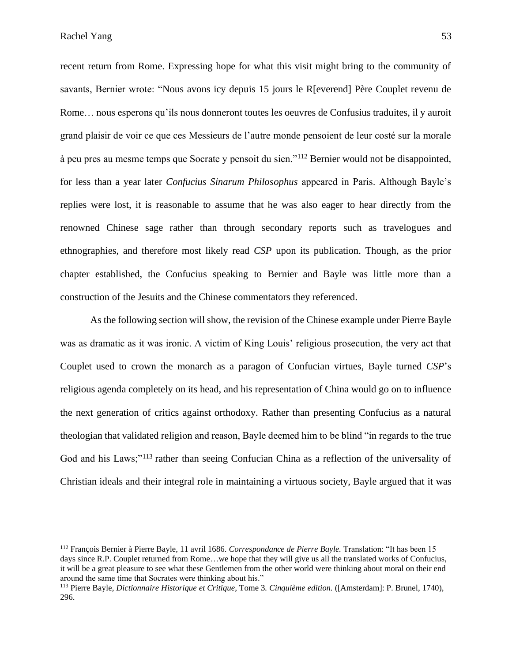recent return from Rome. Expressing hope for what this visit might bring to the community of savants, Bernier wrote: "Nous avons icy depuis 15 jours le R[everend] Père Couplet revenu de Rome… nous esperons qu'ils nous donneront toutes les oeuvres de Confusius traduites, il y auroit grand plaisir de voir ce que ces Messieurs de l'autre monde pensoient de leur costé sur la morale à peu pres au mesme temps que Socrate y pensoit du sien."<sup>112</sup> Bernier would not be disappointed, for less than a year later *Confucius Sinarum Philosophus* appeared in Paris. Although Bayle's replies were lost, it is reasonable to assume that he was also eager to hear directly from the renowned Chinese sage rather than through secondary reports such as travelogues and ethnographies, and therefore most likely read *CSP* upon its publication. Though, as the prior chapter established, the Confucius speaking to Bernier and Bayle was little more than a construction of the Jesuits and the Chinese commentators they referenced.

As the following section will show, the revision of the Chinese example under Pierre Bayle was as dramatic as it was ironic. A victim of King Louis' religious prosecution, the very act that Couplet used to crown the monarch as a paragon of Confucian virtues, Bayle turned *CSP*'s religious agenda completely on its head, and his representation of China would go on to influence the next generation of critics against orthodoxy. Rather than presenting Confucius as a natural theologian that validated religion and reason, Bayle deemed him to be blind "in regards to the true God and his Laws;"<sup>113</sup> rather than seeing Confucian China as a reflection of the universality of Christian ideals and their integral role in maintaining a virtuous society, Bayle argued that it was

<sup>112</sup> François Bernier à Pierre Bayle, 11 avril 1686. *Correspondance de Pierre Bayle.* Translation: "It has been 15 days since R.P. Couplet returned from Rome…we hope that they will give us all the translated works of Confucius, it will be a great pleasure to see what these Gentlemen from the other world were thinking about moral on their end around the same time that Socrates were thinking about his."

<sup>113</sup> Pierre Bayle, *Dictionnaire Historique et Critique,* Tome 3*. Cinquième edition.* ([Amsterdam]: P. Brunel, 1740), 296.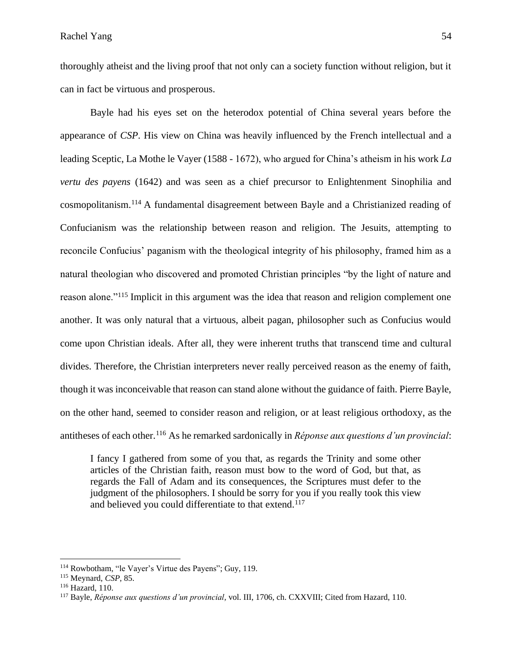thoroughly atheist and the living proof that not only can a society function without religion, but it can in fact be virtuous and prosperous.

Bayle had his eyes set on the heterodox potential of China several years before the appearance of *CSP*. His view on China was heavily influenced by the French intellectual and a leading Sceptic, La Mothe le Vayer (1588 - 1672), who argued for China's atheism in his work *La vertu des payens* (1642) and was seen as a chief precursor to Enlightenment Sinophilia and cosmopolitanism. <sup>114</sup> A fundamental disagreement between Bayle and a Christianized reading of Confucianism was the relationship between reason and religion. The Jesuits, attempting to reconcile Confucius' paganism with the theological integrity of his philosophy, framed him as a natural theologian who discovered and promoted Christian principles "by the light of nature and reason alone."<sup>115</sup> Implicit in this argument was the idea that reason and religion complement one another. It was only natural that a virtuous, albeit pagan, philosopher such as Confucius would come upon Christian ideals. After all, they were inherent truths that transcend time and cultural divides. Therefore, the Christian interpreters never really perceived reason as the enemy of faith, though it was inconceivable that reason can stand alone without the guidance of faith. Pierre Bayle, on the other hand, seemed to consider reason and religion, or at least religious orthodoxy, as the antitheses of each other.<sup>116</sup> As he remarked sardonically in *Réponse aux questions d'un provincial*:

I fancy I gathered from some of you that, as regards the Trinity and some other articles of the Christian faith, reason must bow to the word of God, but that, as regards the Fall of Adam and its consequences, the Scriptures must defer to the judgment of the philosophers. I should be sorry for you if you really took this view and believed you could differentiate to that extend.<sup>117</sup>

<sup>114</sup> Rowbotham, "le Vayer's Virtue des Payens"; Guy, 119.

<sup>115</sup> Meynard, *CSP*, 85.

<sup>116</sup> Hazard, 110.

<sup>117</sup> Bayle, *Réponse aux questions d'un provincial,* vol. III, 1706, ch. CXXVIII; Cited from Hazard, 110.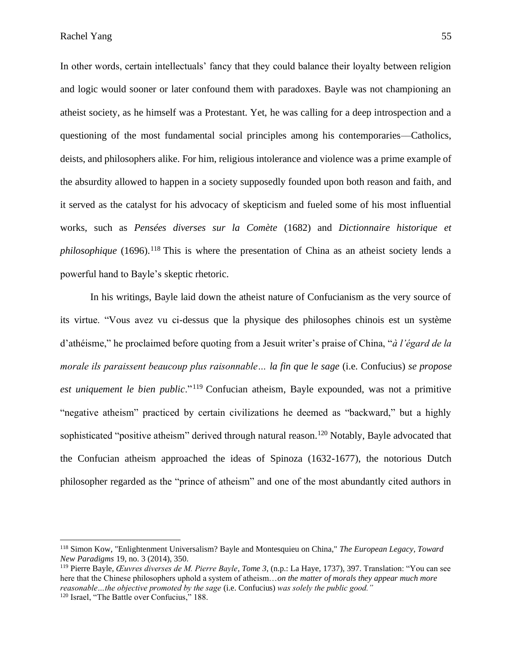In other words, certain intellectuals' fancy that they could balance their loyalty between religion and logic would sooner or later confound them with paradoxes. Bayle was not championing an atheist society, as he himself was a Protestant. Yet, he was calling for a deep introspection and a questioning of the most fundamental social principles among his contemporaries––Catholics, deists, and philosophers alike. For him, religious intolerance and violence was a prime example of the absurdity allowed to happen in a society supposedly founded upon both reason and faith, and it served as the catalyst for his advocacy of skepticism and fueled some of his most influential works, such as *Pensées diverses sur la Comète* (1682) and *Dictionnaire historique et philosophique* (1696).<sup>118</sup> This is where the presentation of China as an atheist society lends a powerful hand to Bayle's skeptic rhetoric.

In his writings, Bayle laid down the atheist nature of Confucianism as the very source of its virtue. "Vous avez vu ci-dessus que la physique des philosophes chinois est un système d'athéisme," he proclaimed before quoting from a Jesuit writer's praise of China, "*à l'égard de la morale ils paraissent beaucoup plus raisonnable… la fin que le sage* (i.e. Confucius) *se propose est uniquement le bien public*."<sup>119</sup> Confucian atheism, Bayle expounded, was not a primitive "negative atheism" practiced by certain civilizations he deemed as "backward," but a highly sophisticated "positive atheism" derived through natural reason.<sup>120</sup> Notably, Bayle advocated that the Confucian atheism approached the ideas of Spinoza (1632-1677), the notorious Dutch philosopher regarded as the "prince of atheism" and one of the most abundantly cited authors in

<sup>118</sup> Simon Kow, "Enlightenment Universalism? Bayle and Montesquieu on China," *The European Legacy, Toward New Paradigms* 19, no. 3 (2014), 350.

<sup>119</sup> Pierre Bayle, *Œuvres diverses de M. Pierre Bayle*, *Tome 3*, (n.p.: La Haye, 1737), 397. Translation: "You can see here that the Chinese philosophers uphold a system of atheism…*on the matter of morals they appear much more reasonable…the objective promoted by the sage* (i.e. Confucius) *was solely the public good."* <sup>120</sup> Israel, "The Battle over Confucius," 188.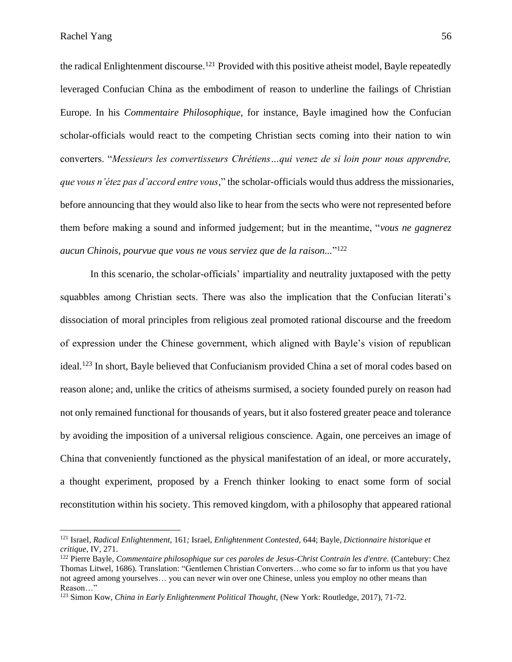the radical Enlightenment discourse.<sup>121</sup> Provided with this positive atheist model, Bayle repeatedly leveraged Confucian China as the embodiment of reason to underline the failings of Christian Europe. In his *Commentaire Philosophique*, for instance, Bayle imagined how the Confucian scholar-officials would react to the competing Christian sects coming into their nation to win converters. "*Messieurs les convertisseurs Chrétiens…qui venez de si loin pour nous apprendre, que vous n'étez pas d'accord entre vous*," the scholar-officials would thus address the missionaries, before announcing that they would also like to hear from the sects who were not represented before them before making a sound and informed judgement; but in the meantime, "*vous ne gagnerez aucun Chinois, pourvue que vous ne vous serviez que de la raison...*" 122

In this scenario, the scholar-officials' impartiality and neutrality juxtaposed with the petty squabbles among Christian sects. There was also the implication that the Confucian literati's dissociation of moral principles from religious zeal promoted rational discourse and the freedom of expression under the Chinese government, which aligned with Bayle's vision of republican ideal.<sup>123</sup> In short, Bayle believed that Confucianism provided China a set of moral codes based on reason alone; and, unlike the critics of atheisms surmised, a society founded purely on reason had not only remained functional for thousands of years, but it also fostered greater peace and tolerance by avoiding the imposition of a universal religious conscience. Again, one perceives an image of China that conveniently functioned as the physical manifestation of an ideal, or more accurately, a thought experiment, proposed by a French thinker looking to enact some form of social reconstitution within his society. This removed kingdom, with a philosophy that appeared rational

<sup>121</sup> Israel, *Radical Enlightenment,* 161*;* Israel, *Enlightenment Contested,* 644; Bayle, *Dictionnaire historique et critique,* IV, 271.

<sup>122</sup> Pierre Bayle, *Commentaire philosophique sur ces paroles de Jesus-Christ Contrain les d'entre.* (Cantebury: Chez Thomas Litwel, 1686)*.* Translation: "Gentlemen Christian Converters…who come so far to inform us that you have not agreed among yourselves… you can never win over one Chinese, unless you employ no other means than Reason…"

<sup>123</sup> Simon Kow, *China in Early Enlightenment Political Thought,* (New York: Routledge, 2017), 71-72.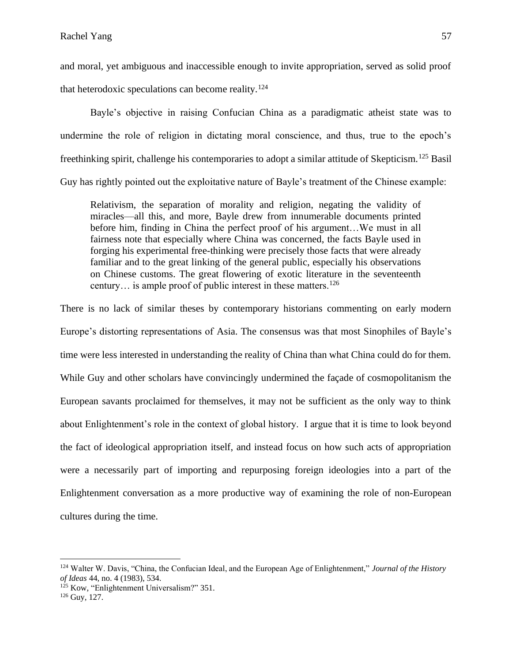and moral, yet ambiguous and inaccessible enough to invite appropriation, served as solid proof that heterodoxic speculations can become reality.<sup>124</sup>

Bayle's objective in raising Confucian China as a paradigmatic atheist state was to undermine the role of religion in dictating moral conscience, and thus, true to the epoch's freethinking spirit, challenge his contemporaries to adopt a similar attitude of Skepticism.<sup>125</sup> Basil Guy has rightly pointed out the exploitative nature of Bayle's treatment of the Chinese example:

Relativism, the separation of morality and religion, negating the validity of miracles––all this, and more, Bayle drew from innumerable documents printed before him, finding in China the perfect proof of his argument…We must in all fairness note that especially where China was concerned, the facts Bayle used in forging his experimental free-thinking were precisely those facts that were already familiar and to the great linking of the general public, especially his observations on Chinese customs. The great flowering of exotic literature in the seventeenth century... is ample proof of public interest in these matters.<sup>126</sup>

There is no lack of similar theses by contemporary historians commenting on early modern Europe's distorting representations of Asia. The consensus was that most Sinophiles of Bayle's time were less interested in understanding the reality of China than what China could do for them. While Guy and other scholars have convincingly undermined the façade of cosmopolitanism the European savants proclaimed for themselves, it may not be sufficient as the only way to think about Enlightenment's role in the context of global history. I argue that it is time to look beyond the fact of ideological appropriation itself, and instead focus on how such acts of appropriation were a necessarily part of importing and repurposing foreign ideologies into a part of the Enlightenment conversation as a more productive way of examining the role of non-European cultures during the time.

<sup>124</sup> Walter W. Davis, "China, the Confucian Ideal, and the European Age of Enlightenment," *Journal of the History of Ideas* 44, no. 4 (1983), 534.

<sup>&</sup>lt;sup>125</sup> Kow, "Enlightenment Universalism?" 351.

 $126$  Guy, 127.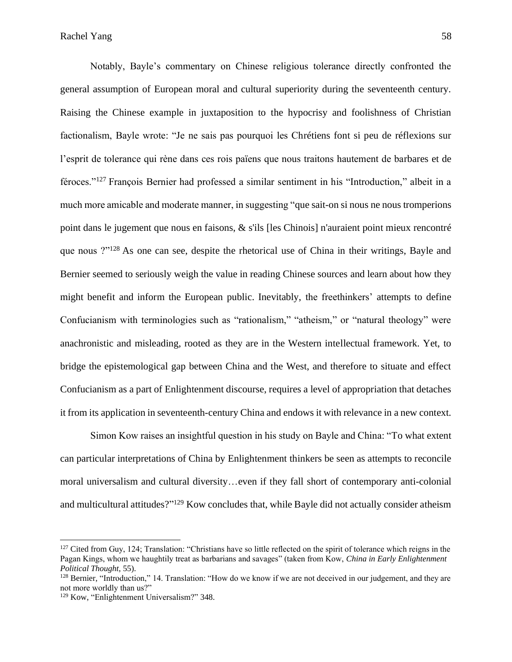Notably, Bayle's commentary on Chinese religious tolerance directly confronted the general assumption of European moral and cultural superiority during the seventeenth century. Raising the Chinese example in juxtaposition to the hypocrisy and foolishness of Christian factionalism, Bayle wrote: "Je ne sais pas pourquoi les Chrétiens font si peu de réflexions sur l'esprit de tolerance qui rène dans ces rois païens que nous traitons hautement de barbares et de féroces."<sup>127</sup> François Bernier had professed a similar sentiment in his "Introduction," albeit in a much more amicable and moderate manner, in suggesting "que sait-on si nous ne nous tromperions point dans le jugement que nous en faisons, & s'ils [les Chinois] n'auraient point mieux rencontré que nous ?"<sup>128</sup> As one can see, despite the rhetorical use of China in their writings, Bayle and Bernier seemed to seriously weigh the value in reading Chinese sources and learn about how they might benefit and inform the European public. Inevitably, the freethinkers' attempts to define Confucianism with terminologies such as "rationalism," "atheism," or "natural theology" were anachronistic and misleading, rooted as they are in the Western intellectual framework. Yet, to bridge the epistemological gap between China and the West, and therefore to situate and effect Confucianism as a part of Enlightenment discourse, requires a level of appropriation that detaches it from its application in seventeenth-century China and endows it with relevance in a new context.

Simon Kow raises an insightful question in his study on Bayle and China: "To what extent can particular interpretations of China by Enlightenment thinkers be seen as attempts to reconcile moral universalism and cultural diversity…even if they fall short of contemporary anti-colonial and multicultural attitudes?"<sup>129</sup> Kow concludes that, while Bayle did not actually consider atheism

 $127$  Cited from Guy, 124; Translation: "Christians have so little reflected on the spirit of tolerance which reigns in the Pagan Kings, whom we haughtily treat as barbarians and savages" (taken from Kow, *China in Early Enlightenment Political Thought*, 55).

<sup>&</sup>lt;sup>128</sup> Bernier, "Introduction," 14. Translation: "How do we know if we are not deceived in our judgement, and they are not more worldly than us?"

<sup>129</sup> Kow, "Enlightenment Universalism?" 348.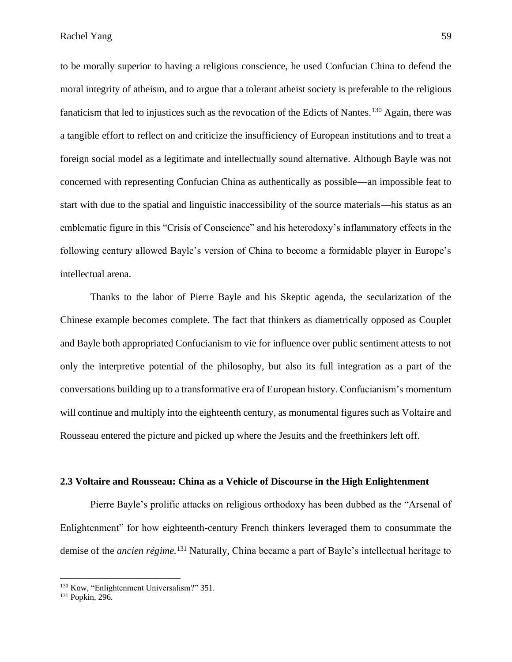Rachel Yang 59

to be morally superior to having a religious conscience, he used Confucian China to defend the moral integrity of atheism, and to argue that a tolerant atheist society is preferable to the religious fanaticism that led to injustices such as the revocation of the Edicts of Nantes.<sup>130</sup> Again, there was a tangible effort to reflect on and criticize the insufficiency of European institutions and to treat a foreign social model as a legitimate and intellectually sound alternative. Although Bayle was not concerned with representing Confucian China as authentically as possible––an impossible feat to start with due to the spatial and linguistic inaccessibility of the source materials––his status as an emblematic figure in this "Crisis of Conscience" and his heterodoxy's inflammatory effects in the following century allowed Bayle's version of China to become a formidable player in Europe's intellectual arena.

Thanks to the labor of Pierre Bayle and his Skeptic agenda, the secularization of the Chinese example becomes complete. The fact that thinkers as diametrically opposed as Couplet and Bayle both appropriated Confucianism to vie for influence over public sentiment attests to not only the interpretive potential of the philosophy, but also its full integration as a part of the conversations building up to a transformative era of European history. Confucianism's momentum will continue and multiply into the eighteenth century, as monumental figures such as Voltaire and Rousseau entered the picture and picked up where the Jesuits and the freethinkers left off.

#### **2.3 Voltaire and Rousseau: China as a Vehicle of Discourse in the High Enlightenment**

Pierre Bayle's prolific attacks on religious orthodoxy has been dubbed as the "Arsenal of Enlightenment" for how eighteenth-century French thinkers leveraged them to consummate the demise of the *ancien régime.*<sup>131</sup> Naturally, China became a part of Bayle's intellectual heritage to

<sup>&</sup>lt;sup>130</sup> Kow, "Enlightenment Universalism?" 351.

<sup>131</sup> Popkin, 296.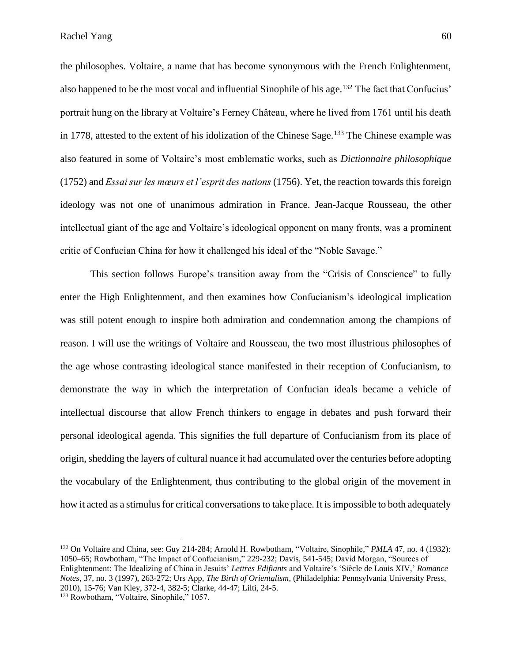the philosophes. Voltaire, a name that has become synonymous with the French Enlightenment, also happened to be the most vocal and influential Sinophile of his age.<sup>132</sup> The fact that Confucius' portrait hung on the library at Voltaire's Ferney Château, where he lived from 1761 until his death in 1778, attested to the extent of his idolization of the Chinese Sage.<sup>133</sup> The Chinese example was also featured in some of Voltaire's most emblematic works, such as *Dictionnaire philosophique*  (1752) and *Essai sur les mœurs et l'esprit des nations* (1756). Yet, the reaction towards this foreign ideology was not one of unanimous admiration in France. Jean-Jacque Rousseau, the other intellectual giant of the age and Voltaire's ideological opponent on many fronts, was a prominent critic of Confucian China for how it challenged his ideal of the "Noble Savage."

This section follows Europe's transition away from the "Crisis of Conscience" to fully enter the High Enlightenment, and then examines how Confucianism's ideological implication was still potent enough to inspire both admiration and condemnation among the champions of reason. I will use the writings of Voltaire and Rousseau, the two most illustrious philosophes of the age whose contrasting ideological stance manifested in their reception of Confucianism, to demonstrate the way in which the interpretation of Confucian ideals became a vehicle of intellectual discourse that allow French thinkers to engage in debates and push forward their personal ideological agenda. This signifies the full departure of Confucianism from its place of origin, shedding the layers of cultural nuance it had accumulated over the centuries before adopting the vocabulary of the Enlightenment, thus contributing to the global origin of the movement in how it acted as a stimulus for critical conversations to take place. It is impossible to both adequately

<sup>132</sup> On Voltaire and China, see: Guy 214-284; Arnold H. Rowbotham, "Voltaire, Sinophile," *PMLA* 47, no. 4 (1932): 1050–65; Rowbotham, "The Impact of Confucianism," 229-232; Davis, 541-545; David Morgan, "Sources of Enlightenment: The Idealizing of China in Jesuits' *Lettres Edifiants* and Voltaire's 'Siècle de Louis XIV,' *Romance Notes,* 37, no. 3 (1997), 263-272; Urs App, *The Birth of Orientalism*, (Philadelphia: Pennsylvania University Press, 2010), 15-76; Van Kley, 372-4, 382-5; Clarke, 44-47; Lilti, 24-5.

<sup>&</sup>lt;sup>133</sup> Rowbotham, "Voltaire, Sinophile," 1057.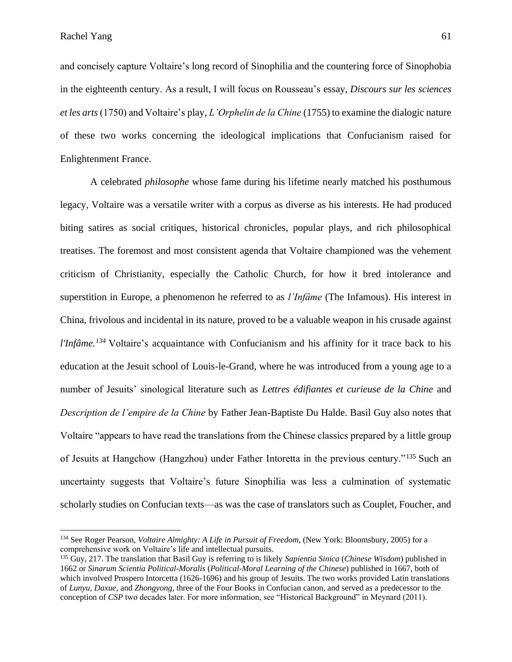and concisely capture Voltaire's long record of Sinophilia and the countering force of Sinophobia in the eighteenth century. As a result, I will focus on Rousseau's essay, *Discours sur les sciences et les arts* (1750) and Voltaire's play, *L'Orphelin de la Chine* (1755) to examine the dialogic nature of these two works concerning the ideological implications that Confucianism raised for Enlightenment France.

A celebrated *philosophe* whose fame during his lifetime nearly matched his posthumous legacy, Voltaire was a versatile writer with a corpus as diverse as his interests. He had produced biting satires as social critiques, historical chronicles, popular plays, and rich philosophical treatises. The foremost and most consistent agenda that Voltaire championed was the vehement criticism of Christianity, especially the Catholic Church, for how it bred intolerance and superstition in Europe, a phenomenon he referred to as *l'Infâme* (The Infamous). His interest in China, frivolous and incidental in its nature, proved to be a valuable weapon in his crusade against *l'Infâme.<sup>134</sup>* Voltaire's acquaintance with Confucianism and his affinity for it trace back to his education at the Jesuit school of Louis-le-Grand, where he was introduced from a young age to a number of Jesuits' sinological literature such as *Lettres édifiantes et curieuse de la Chine* and *Description de l'empire de la Chine* by Father Jean-Baptiste Du Halde. Basil Guy also notes that Voltaire "appears to have read the translations from the Chinese classics prepared by a little group of Jesuits at Hangchow (Hangzhou) under Father Intoretta in the previous century."<sup>135</sup> Such an uncertainty suggests that Voltaire's future Sinophilia was less a culmination of systematic scholarly studies on Confucian texts––as was the case of translators such as Couplet, Foucher, and

<sup>134</sup> See Roger Pearson, *Voltaire Almighty: A Life in Pursuit of Freedom*, (New York: Bloomsbury, 2005) for a comprehensive work on Voltaire's life and intellectual pursuits.

<sup>135</sup> Guy, 217. The translation that Basil Guy is referring to is likely *Sapientia Sinica* (*Chinese Wisdom*) published in 1662 or *Sinarum Scientia Political-Moralis* (*Political-Moral Learning of the Chinese*) published in 1667, both of which involved Prospero Intorcetta (1626-1696) and his group of Jesuits. The two works provided Latin translations of *Lunyu, Daxue,* and *Zhongyong,* three of the Four Books in Confucian canon, and served as a predecessor to the conception of *CSP* two decades later. For more information, see "Historical Background" in Meynard (2011).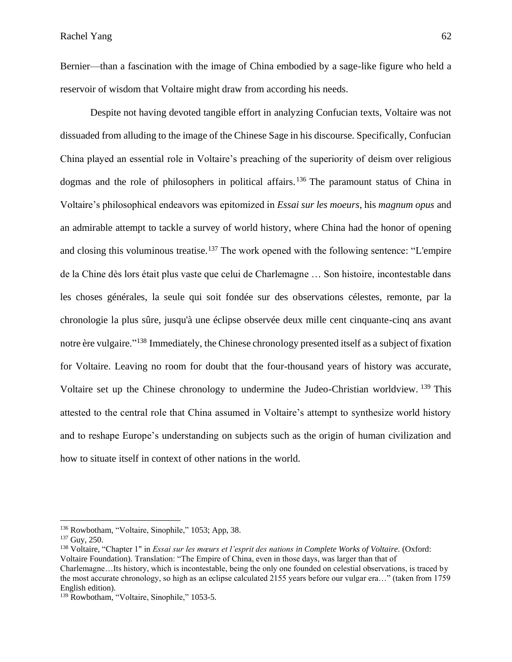Bernier––than a fascination with the image of China embodied by a sage-like figure who held a reservoir of wisdom that Voltaire might draw from according his needs.

Despite not having devoted tangible effort in analyzing Confucian texts, Voltaire was not dissuaded from alluding to the image of the Chinese Sage in his discourse. Specifically, Confucian China played an essential role in Voltaire's preaching of the superiority of deism over religious dogmas and the role of philosophers in political affairs.<sup>136</sup> The paramount status of China in Voltaire's philosophical endeavors was epitomized in *Essai sur les moeurs*, his *magnum opus* and an admirable attempt to tackle a survey of world history, where China had the honor of opening and closing this voluminous treatise.<sup>137</sup> The work opened with the following sentence: "L'empire de la Chine dès lors était plus vaste que celui de Charlemagne … Son histoire, incontestable dans les choses générales, la seule qui soit fondée sur des observations célestes, remonte, par la chronologie la plus sûre, jusqu'à une éclipse observée deux mille cent cinquante-cinq ans avant notre ère vulgaire."<sup>138</sup> Immediately, the Chinese chronology presented itself as a subject of fixation for Voltaire. Leaving no room for doubt that the four-thousand years of history was accurate, Voltaire set up the Chinese chronology to undermine the Judeo-Christian worldview. <sup>139</sup> This attested to the central role that China assumed in Voltaire's attempt to synthesize world history and to reshape Europe's understanding on subjects such as the origin of human civilization and how to situate itself in context of other nations in the world.

<sup>136</sup> Rowbotham, "Voltaire, Sinophile," 1053; App, 38.

<sup>137</sup> Guy, 250.

<sup>138</sup> Voltaire, "Chapter 1" in *Essai sur les mœurs et l'esprit des nations in Complete Works of Voltaire.* (Oxford: Voltaire Foundation). Translation: "The Empire of China, even in those days, was larger than that of Charlemagne…Its history, which is incontestable, being the only one founded on celestial observations, is traced by the most accurate chronology, so high as an eclipse calculated 2155 years before our vulgar era…" (taken from 1759 English edition).

<sup>&</sup>lt;sup>139</sup> Rowbotham, "Voltaire, Sinophile," 1053-5.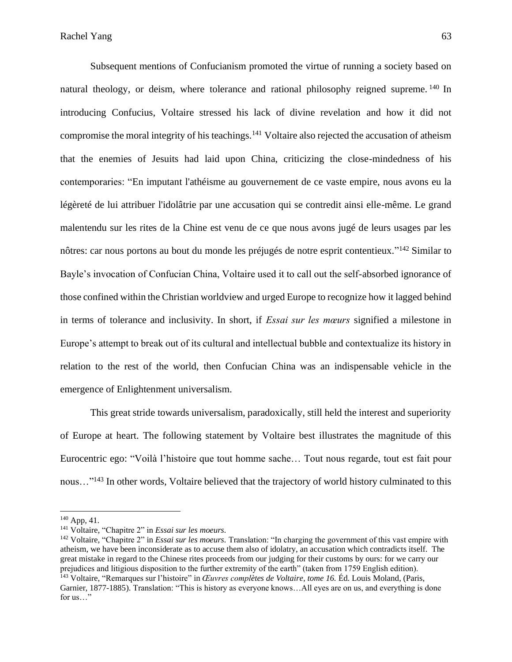Subsequent mentions of Confucianism promoted the virtue of running a society based on natural theology, or deism, where tolerance and rational philosophy reigned supreme. <sup>140</sup> In introducing Confucius, Voltaire stressed his lack of divine revelation and how it did not compromise the moral integrity of his teachings.<sup>141</sup> Voltaire also rejected the accusation of atheism that the enemies of Jesuits had laid upon China, criticizing the close-mindedness of his contemporaries: "En imputant l'athéisme au gouvernement de ce vaste empire, nous avons eu la légèreté de lui attribuer l'idolâtrie par une accusation qui se contredit ainsi elle-même. Le grand malentendu sur les rites de la Chine est venu de ce que nous avons jugé de leurs usages par les nôtres: car nous portons au bout du monde les préjugés de notre esprit contentieux."<sup>142</sup> Similar to Bayle's invocation of Confucian China, Voltaire used it to call out the self-absorbed ignorance of those confined within the Christian worldview and urged Europe to recognize how it lagged behind in terms of tolerance and inclusivity. In short, if *Essai sur les mœurs* signified a milestone in Europe's attempt to break out of its cultural and intellectual bubble and contextualize its history in relation to the rest of the world, then Confucian China was an indispensable vehicle in the emergence of Enlightenment universalism.

This great stride towards universalism, paradoxically, still held the interest and superiority of Europe at heart. The following statement by Voltaire best illustrates the magnitude of this Eurocentric ego: "Voilà l'histoire que tout homme sache… Tout nous regarde, tout est fait pour nous..."<sup>143</sup> In other words, Voltaire believed that the trajectory of world history culminated to this

<sup>142</sup> Voltaire*,* "Chapitre 2" in *Essai sur les moeurs.* Translation: "In charging the government of this vast empire with atheism, we have been inconsiderate as to accuse them also of idolatry, an accusation which contradicts itself. The great mistake in regard to the Chinese rites proceeds from our judging for their customs by ours: for we carry our prejudices and litigious disposition to the further extremity of the earth" (taken from 1759 English edition).

<sup>140</sup> App, 41.

<sup>141</sup> Voltaire*,* "Chapitre 2" in *Essai sur les moeurs.*

<sup>143</sup> Voltaire, "Remarques sur l'histoire" in *Œuvres complètes de Voltaire, tome 16.* Éd. Louis Moland, (Paris, Garnier, 1877-1885). Translation: "This is history as everyone knows…All eyes are on us, and everything is done for us…"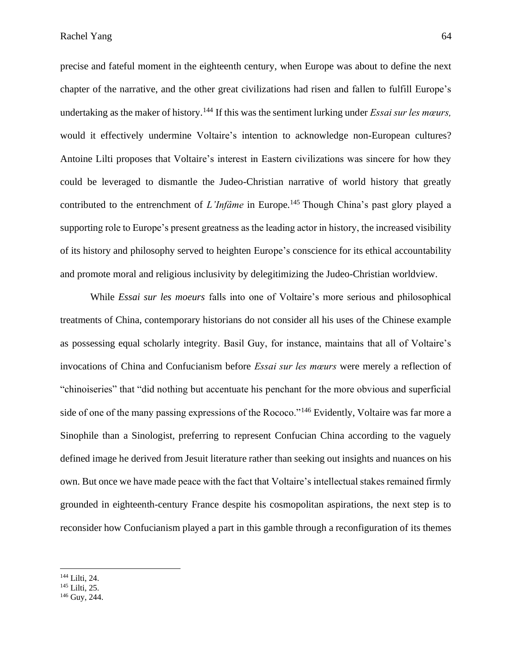precise and fateful moment in the eighteenth century, when Europe was about to define the next chapter of the narrative, and the other great civilizations had risen and fallen to fulfill Europe's undertaking as the maker of history.<sup>144</sup> If this was the sentiment lurking under *Essai sur les mœurs,*  would it effectively undermine Voltaire's intention to acknowledge non-European cultures? Antoine Lilti proposes that Voltaire's interest in Eastern civilizations was sincere for how they could be leveraged to dismantle the Judeo-Christian narrative of world history that greatly contributed to the entrenchment of *L'Infâme* in Europe.<sup>145</sup> Though China's past glory played a supporting role to Europe's present greatness as the leading actor in history, the increased visibility of its history and philosophy served to heighten Europe's conscience for its ethical accountability and promote moral and religious inclusivity by delegitimizing the Judeo-Christian worldview.

While *Essai sur les moeurs* falls into one of Voltaire's more serious and philosophical treatments of China, contemporary historians do not consider all his uses of the Chinese example as possessing equal scholarly integrity. Basil Guy, for instance, maintains that all of Voltaire's invocations of China and Confucianism before *Essai sur les mœurs* were merely a reflection of "chinoiseries" that "did nothing but accentuate his penchant for the more obvious and superficial side of one of the many passing expressions of the Rococo."<sup>146</sup> Evidently, Voltaire was far more a Sinophile than a Sinologist, preferring to represent Confucian China according to the vaguely defined image he derived from Jesuit literature rather than seeking out insights and nuances on his own. But once we have made peace with the fact that Voltaire's intellectual stakes remained firmly grounded in eighteenth-century France despite his cosmopolitan aspirations, the next step is to reconsider how Confucianism played a part in this gamble through a reconfiguration of its themes

<sup>144</sup> Lilti, 24.

<sup>145</sup> Lilti, 25.

<sup>146</sup> Guy, 244.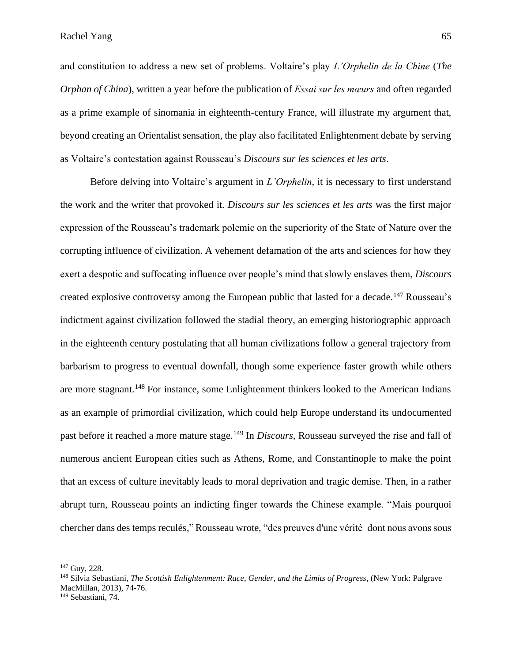and constitution to address a new set of problems. Voltaire's play *L'Orphelin de la Chine* (*The Orphan of China*), written a year before the publication of *Essai sur les mœurs* and often regarded as a prime example of sinomania in eighteenth-century France, will illustrate my argument that, beyond creating an Orientalist sensation, the play also facilitated Enlightenment debate by serving as Voltaire's contestation against Rousseau's *Discours sur les sciences et les arts*.

Before delving into Voltaire's argument in *L'Orphelin*, it is necessary to first understand the work and the writer that provoked it. *Discours sur les sciences et les arts* was the first major expression of the Rousseau's trademark polemic on the superiority of the State of Nature over the corrupting influence of civilization. A vehement defamation of the arts and sciences for how they exert a despotic and suffocating influence over people's mind that slowly enslaves them, *Discours*  created explosive controversy among the European public that lasted for a decade.<sup>147</sup> Rousseau's indictment against civilization followed the stadial theory, an emerging historiographic approach in the eighteenth century postulating that all human civilizations follow a general trajectory from barbarism to progress to eventual downfall, though some experience faster growth while others are more stagnant.<sup>148</sup> For instance, some Enlightenment thinkers looked to the American Indians as an example of primordial civilization, which could help Europe understand its undocumented past before it reached a more mature stage.<sup>149</sup> In *Discours*, Rousseau surveyed the rise and fall of numerous ancient European cities such as Athens, Rome, and Constantinople to make the point that an excess of culture inevitably leads to moral deprivation and tragic demise. Then, in a rather abrupt turn, Rousseau points an indicting finger towards the Chinese example. "Mais pourquoi chercher dans des temps reculés," Rousseau wrote, "des preuves d'une vérité dont nous avons sous

<sup>147</sup> Guy, 228.

<sup>&</sup>lt;sup>148</sup> Silvia Sebastiani, *The Scottish Enlightenment: Race, Gender, and the Limits of Progress, (New York: Palgrave* MacMillan, 2013), 74-76.

<sup>149</sup> Sebastiani, 74.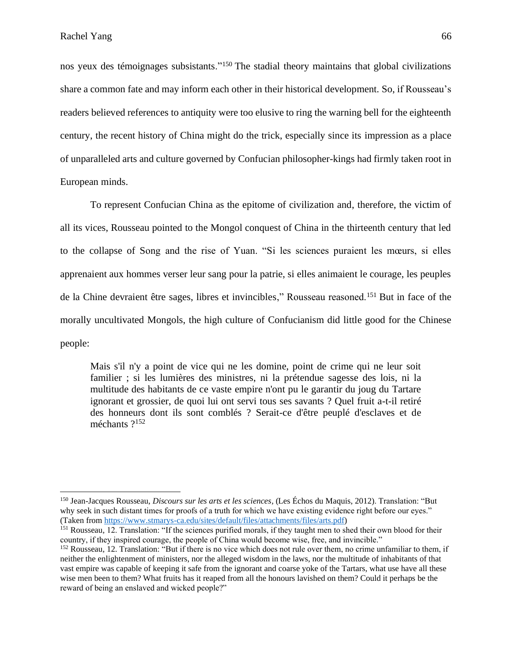nos yeux des témoignages subsistants."<sup>150</sup> The stadial theory maintains that global civilizations share a common fate and may inform each other in their historical development. So, if Rousseau's readers believed references to antiquity were too elusive to ring the warning bell for the eighteenth century, the recent history of China might do the trick, especially since its impression as a place of unparalleled arts and culture governed by Confucian philosopher-kings had firmly taken root in European minds.

To represent Confucian China as the epitome of civilization and, therefore, the victim of all its vices, Rousseau pointed to the Mongol conquest of China in the thirteenth century that led to the collapse of Song and the rise of Yuan. "Si les sciences puraient les mœurs, si elles apprenaient aux hommes verser leur sang pour la patrie, si elles animaient le courage, les peuples de la Chine devraient être sages, libres et invincibles," Rousseau reasoned.<sup>151</sup> But in face of the morally uncultivated Mongols, the high culture of Confucianism did little good for the Chinese people:

Mais s'il n'y a point de vice qui ne les domine, point de crime qui ne leur soit familier ; si les lumières des ministres, ni la prétendue sagesse des lois, ni la multitude des habitants de ce vaste empire n'ont pu le garantir du joug du Tartare ignorant et grossier, de quoi lui ont servi tous ses savants ? Quel fruit a-t-il retiré des honneurs dont ils sont comblés ? Serait-ce d'être peuplé d'esclaves et de méchants ?<sup>152</sup>

<sup>150</sup> Jean-Jacques Rousseau, *Discours sur les arts et les sciences,* (Les Échos du Maquis, 2012). Translation: "But why seek in such distant times for proofs of a truth for which we have existing evidence right before our eyes." (Taken fro[m https://www.stmarys-ca.edu/sites/default/files/attachments/files/arts.pdf\)](https://www.stmarys-ca.edu/sites/default/files/attachments/files/arts.pdf)

<sup>&</sup>lt;sup>151</sup> Rousseau, 12. Translation: "If the sciences purified morals, if they taught men to shed their own blood for their country, if they inspired courage, the people of China would become wise, free, and invincible."

<sup>&</sup>lt;sup>152</sup> Rousseau, 12. Translation: "But if there is no vice which does not rule over them, no crime unfamiliar to them, if neither the enlightenment of ministers, nor the alleged wisdom in the laws, nor the multitude of inhabitants of that vast empire was capable of keeping it safe from the ignorant and coarse yoke of the Tartars, what use have all these wise men been to them? What fruits has it reaped from all the honours lavished on them? Could it perhaps be the reward of being an enslaved and wicked people?"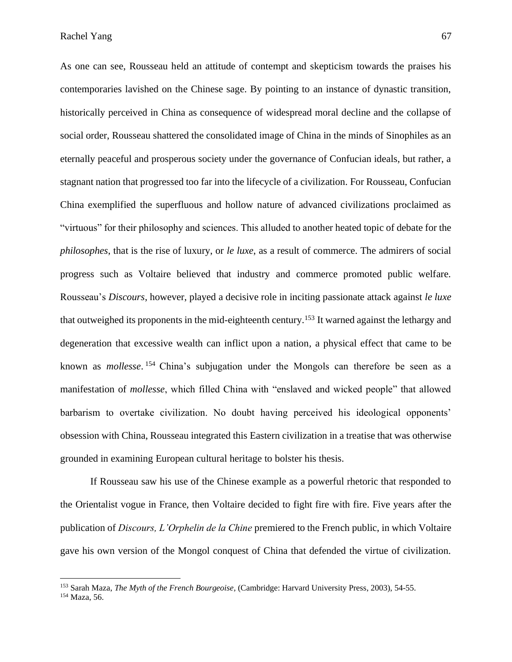As one can see, Rousseau held an attitude of contempt and skepticism towards the praises his contemporaries lavished on the Chinese sage. By pointing to an instance of dynastic transition, historically perceived in China as consequence of widespread moral decline and the collapse of social order, Rousseau shattered the consolidated image of China in the minds of Sinophiles as an eternally peaceful and prosperous society under the governance of Confucian ideals, but rather, a stagnant nation that progressed too far into the lifecycle of a civilization. For Rousseau, Confucian China exemplified the superfluous and hollow nature of advanced civilizations proclaimed as "virtuous" for their philosophy and sciences. This alluded to another heated topic of debate for the *philosophes*, that is the rise of luxury, or *le luxe*, as a result of commerce. The admirers of social progress such as Voltaire believed that industry and commerce promoted public welfare. Rousseau's *Discours*, however, played a decisive role in inciting passionate attack against *le luxe*  that outweighed its proponents in the mid-eighteenth century.<sup>153</sup> It warned against the lethargy and degeneration that excessive wealth can inflict upon a nation*,* a physical effect that came to be known as *mollesse*. <sup>154</sup> China's subjugation under the Mongols can therefore be seen as a manifestation of *mollesse*, which filled China with "enslaved and wicked people" that allowed barbarism to overtake civilization. No doubt having perceived his ideological opponents' obsession with China, Rousseau integrated this Eastern civilization in a treatise that was otherwise grounded in examining European cultural heritage to bolster his thesis.

If Rousseau saw his use of the Chinese example as a powerful rhetoric that responded to the Orientalist vogue in France, then Voltaire decided to fight fire with fire. Five years after the publication of *Discours, L'Orphelin de la Chine* premiered to the French public, in which Voltaire gave his own version of the Mongol conquest of China that defended the virtue of civilization.

<sup>153</sup> Sarah Maza, *The Myth of the French Bourgeoise,* (Cambridge: Harvard University Press, 2003), 54-55.

<sup>154</sup> Maza, 56.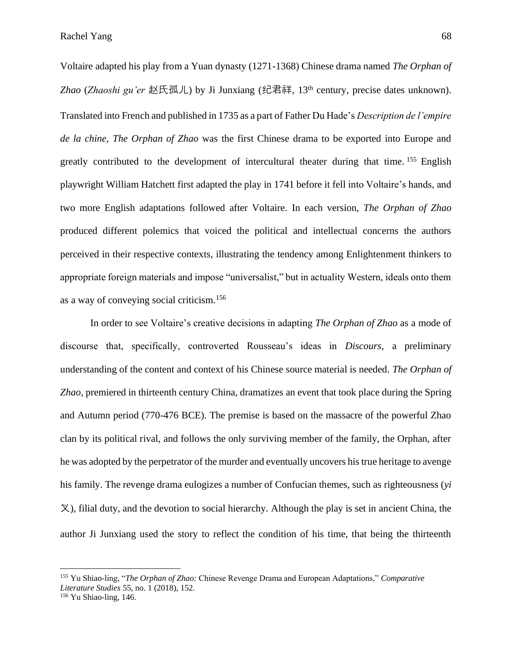Voltaire adapted his play from a Yuan dynasty (1271-1368) Chinese drama named *The Orphan of Zhao* (*Zhaoshi gu'er* 赵氏孤儿) by Ji Junxiang (纪君祥, 13th century, precise dates unknown). Translated into French and published in 1735 as a part of Father Du Hade's *Description de l'empire de la chine, The Orphan of Zhao* was the first Chinese drama to be exported into Europe and greatly contributed to the development of intercultural theater during that time.  $155$  English playwright William Hatchett first adapted the play in 1741 before it fell into Voltaire's hands, and two more English adaptations followed after Voltaire. In each version, *The Orphan of Zhao* produced different polemics that voiced the political and intellectual concerns the authors perceived in their respective contexts, illustrating the tendency among Enlightenment thinkers to appropriate foreign materials and impose "universalist," but in actuality Western, ideals onto them as a way of conveying social criticism.<sup>156</sup>

In order to see Voltaire's creative decisions in adapting *The Orphan of Zhao* as a mode of discourse that, specifically, controverted Rousseau's ideas in *Discours*, a preliminary understanding of the content and context of his Chinese source material is needed. *The Orphan of Zhao,* premiered in thirteenth century China, dramatizes an event that took place during the Spring and Autumn period (770-476 BCE). The premise is based on the massacre of the powerful Zhao clan by its political rival, and follows the only surviving member of the family, the Orphan, after he was adopted by the perpetrator of the murder and eventually uncovers his true heritage to avenge his family. The revenge drama eulogizes a number of Confucian themes, such as righteousness (*yi*  义), filial duty, and the devotion to social hierarchy. Although the play is set in ancient China, the author Ji Junxiang used the story to reflect the condition of his time, that being the thirteenth

<sup>155</sup> Yu Shiao-ling, "*The Orphan of Zhao:* Chinese Revenge Drama and European Adaptations," *Comparative Literature Studies* 55, no. 1 (2018), 152.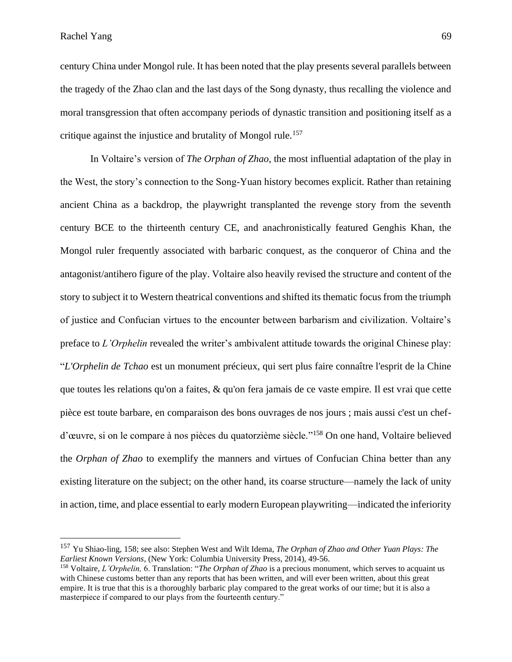Rachel Yang 69

century China under Mongol rule. It has been noted that the play presents several parallels between the tragedy of the Zhao clan and the last days of the Song dynasty, thus recalling the violence and moral transgression that often accompany periods of dynastic transition and positioning itself as a critique against the injustice and brutality of Mongol rule.<sup>157</sup>

In Voltaire's version of *The Orphan of Zhao*, the most influential adaptation of the play in the West, the story's connection to the Song-Yuan history becomes explicit. Rather than retaining ancient China as a backdrop, the playwright transplanted the revenge story from the seventh century BCE to the thirteenth century CE, and anachronistically featured Genghis Khan, the Mongol ruler frequently associated with barbaric conquest, as the conqueror of China and the antagonist/antihero figure of the play. Voltaire also heavily revised the structure and content of the story to subject it to Western theatrical conventions and shifted its thematic focus from the triumph of justice and Confucian virtues to the encounter between barbarism and civilization. Voltaire's preface to *L'Orphelin* revealed the writer's ambivalent attitude towards the original Chinese play: "*L'Orphelin de Tchao* est un monument précieux, qui sert plus faire connaître l'esprit de la Chine que toutes les relations qu'on a faites, & qu'on fera jamais de ce vaste empire. Il est vrai que cette pièce est toute barbare, en comparaison des bons ouvrages de nos jours ; mais aussi c'est un chefd'œuvre, si on le compare à nos pièces du quatorzième siècle." <sup>158</sup> On one hand, Voltaire believed the *Orphan of Zhao* to exemplify the manners and virtues of Confucian China better than any existing literature on the subject; on the other hand, its coarse structure––namely the lack of unity in action, time, and place essential to early modern European playwriting––indicated the inferiority

<sup>157</sup> Yu Shiao-ling, 158; see also: Stephen West and Wilt Idema, *The Orphan of Zhao and Other Yuan Plays: The Earliest Known Versions*, (New York: Columbia University Press, 2014), 49-56.

<sup>158</sup> Voltaire, *L'Orphelin,* 6. Translation: "*The Orphan of Zhao* is a precious monument, which serves to acquaint us with Chinese customs better than any reports that has been written, and will ever been written, about this great empire. It is true that this is a thoroughly barbaric play compared to the great works of our time; but it is also a masterpiece if compared to our plays from the fourteenth century."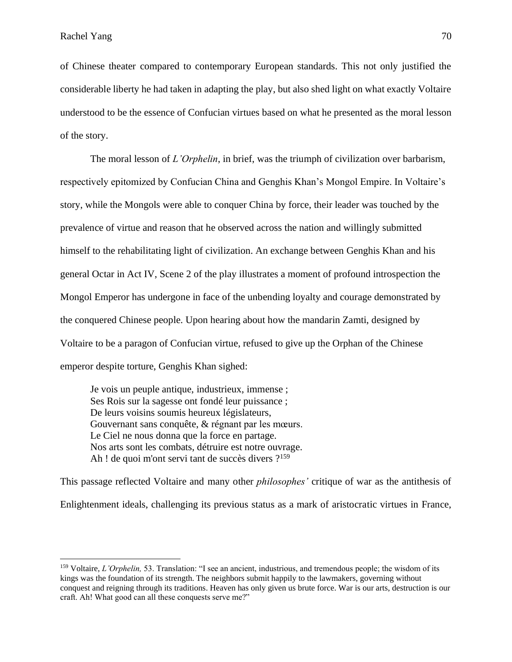of Chinese theater compared to contemporary European standards. This not only justified the considerable liberty he had taken in adapting the play, but also shed light on what exactly Voltaire understood to be the essence of Confucian virtues based on what he presented as the moral lesson of the story.

The moral lesson of *L'Orphelin*, in brief, was the triumph of civilization over barbarism, respectively epitomized by Confucian China and Genghis Khan's Mongol Empire. In Voltaire's story, while the Mongols were able to conquer China by force, their leader was touched by the prevalence of virtue and reason that he observed across the nation and willingly submitted himself to the rehabilitating light of civilization. An exchange between Genghis Khan and his general Octar in Act IV, Scene 2 of the play illustrates a moment of profound introspection the Mongol Emperor has undergone in face of the unbending loyalty and courage demonstrated by the conquered Chinese people. Upon hearing about how the mandarin Zamti, designed by Voltaire to be a paragon of Confucian virtue, refused to give up the Orphan of the Chinese emperor despite torture, Genghis Khan sighed:

Je vois un peuple antique, industrieux, immense ; Ses Rois sur la sagesse ont fondé leur puissance ; De leurs voisins soumis heureux législateurs, Gouvernant sans conquête, & régnant par les mœurs. Le Ciel ne nous donna que la force en partage. Nos arts sont les combats, détruire est notre ouvrage. Ah ! de quoi m'ont servi tant de succès divers ?<sup>159</sup>

This passage reflected Voltaire and many other *philosophes'* critique of war as the antithesis of Enlightenment ideals, challenging its previous status as a mark of aristocratic virtues in France,

<sup>159</sup> Voltaire, *L'Orphelin,* 53. Translation: "I see an ancient, industrious, and tremendous people; the wisdom of its kings was the foundation of its strength. The neighbors submit happily to the lawmakers, governing without conquest and reigning through its traditions. Heaven has only given us brute force. War is our arts, destruction is our craft. Ah! What good can all these conquests serve me?"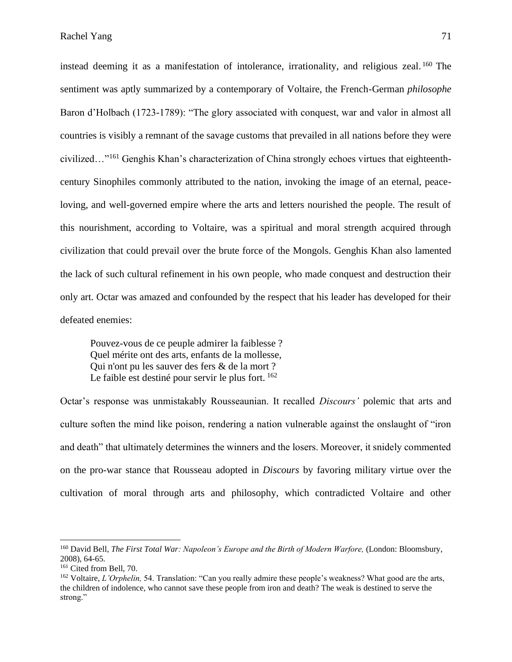instead deeming it as a manifestation of intolerance, irrationality, and religious zeal.<sup>160</sup> The sentiment was aptly summarized by a contemporary of Voltaire, the French-German *philosophe*  Baron d'Holbach (1723-1789): "The glory associated with conquest, war and valor in almost all countries is visibly a remnant of the savage customs that prevailed in all nations before they were civilized…"<sup>161</sup> Genghis Khan's characterization of China strongly echoes virtues that eighteenthcentury Sinophiles commonly attributed to the nation, invoking the image of an eternal, peaceloving, and well-governed empire where the arts and letters nourished the people. The result of this nourishment, according to Voltaire, was a spiritual and moral strength acquired through civilization that could prevail over the brute force of the Mongols. Genghis Khan also lamented the lack of such cultural refinement in his own people, who made conquest and destruction their only art. Octar was amazed and confounded by the respect that his leader has developed for their defeated enemies:

Pouvez-vous de ce peuple admirer la faiblesse ? Quel mérite ont des arts, enfants de la mollesse, Qui n'ont pu les sauver des fers & de la mort ? Le faible est destiné pour servir le plus fort.  $162$ 

Octar's response was unmistakably Rousseaunian. It recalled *Discours'* polemic that arts and culture soften the mind like poison, rendering a nation vulnerable against the onslaught of "iron and death" that ultimately determines the winners and the losers. Moreover, it snidely commented on the pro-war stance that Rousseau adopted in *Discours* by favoring military virtue over the cultivation of moral through arts and philosophy, which contradicted Voltaire and other

<sup>160</sup> David Bell, *The First Total War: Napoleon's Europe and the Birth of Modern Warfore,* (London: Bloomsbury, 2008), 64-65.

<sup>&</sup>lt;sup>161</sup> Cited from Bell, 70.

<sup>162</sup> Voltaire, *L'Orphelin,* 54. Translation: "Can you really admire these people's weakness? What good are the arts, the children of indolence, who cannot save these people from iron and death? The weak is destined to serve the strong."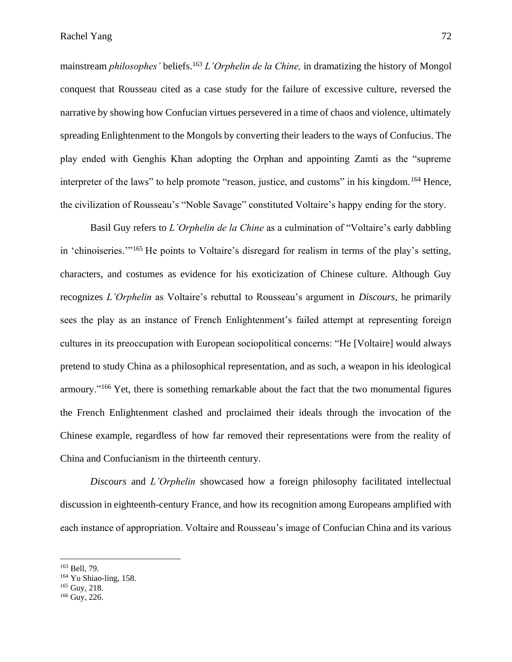mainstream *philosophes'* beliefs.<sup>163</sup> *L'Orphelin de la Chine,* in dramatizing the history of Mongol conquest that Rousseau cited as a case study for the failure of excessive culture, reversed the narrative by showing how Confucian virtues persevered in a time of chaos and violence, ultimately spreading Enlightenment to the Mongols by converting their leaders to the ways of Confucius. The play ended with Genghis Khan adopting the Orphan and appointing Zamti as the "supreme interpreter of the laws" to help promote "reason, justice, and customs" in his kingdom.<sup>164</sup> Hence, the civilization of Rousseau's "Noble Savage" constituted Voltaire's happy ending for the story.

Basil Guy refers to *L'Orphelin de la Chine* as a culmination of "Voltaire's early dabbling in 'chinoiseries.'"<sup>165</sup> He points to Voltaire's disregard for realism in terms of the play's setting, characters, and costumes as evidence for his exoticization of Chinese culture. Although Guy recognizes *L'Orphelin* as Voltaire's rebuttal to Rousseau's argument in *Discours,* he primarily sees the play as an instance of French Enlightenment's failed attempt at representing foreign cultures in its preoccupation with European sociopolitical concerns: "He [Voltaire] would always pretend to study China as a philosophical representation, and as such, a weapon in his ideological armoury."<sup>166</sup> Yet, there is something remarkable about the fact that the two monumental figures the French Enlightenment clashed and proclaimed their ideals through the invocation of the Chinese example, regardless of how far removed their representations were from the reality of China and Confucianism in the thirteenth century.

*Discours* and *L'Orphelin* showcased how a foreign philosophy facilitated intellectual discussion in eighteenth-century France, and how its recognition among Europeans amplified with each instance of appropriation. Voltaire and Rousseau's image of Confucian China and its various

<sup>163</sup> Bell, 79.

<sup>164</sup> Yu Shiao-ling, 158.

<sup>165</sup> Guy, 218.

<sup>166</sup> Guy, 226.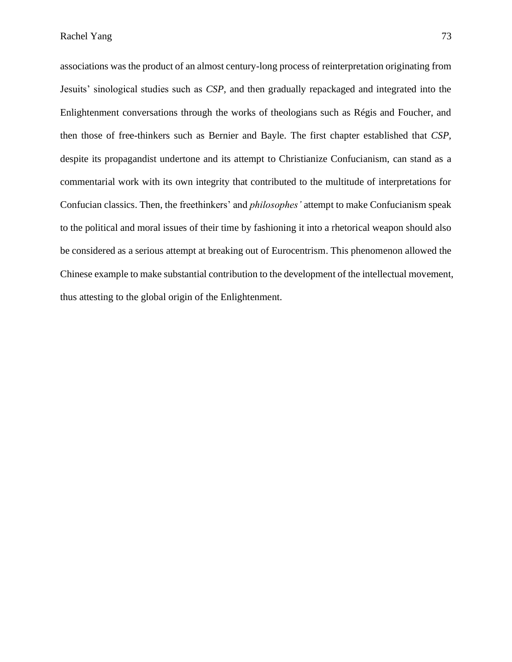associations was the product of an almost century-long process of reinterpretation originating from Jesuits' sinological studies such as *CSP,* and then gradually repackaged and integrated into the Enlightenment conversations through the works of theologians such as Régis and Foucher, and then those of free-thinkers such as Bernier and Bayle. The first chapter established that *CSP,*  despite its propagandist undertone and its attempt to Christianize Confucianism, can stand as a commentarial work with its own integrity that contributed to the multitude of interpretations for Confucian classics. Then, the freethinkers' and *philosophes'* attempt to make Confucianism speak to the political and moral issues of their time by fashioning it into a rhetorical weapon should also be considered as a serious attempt at breaking out of Eurocentrism. This phenomenon allowed the Chinese example to make substantial contribution to the development of the intellectual movement, thus attesting to the global origin of the Enlightenment.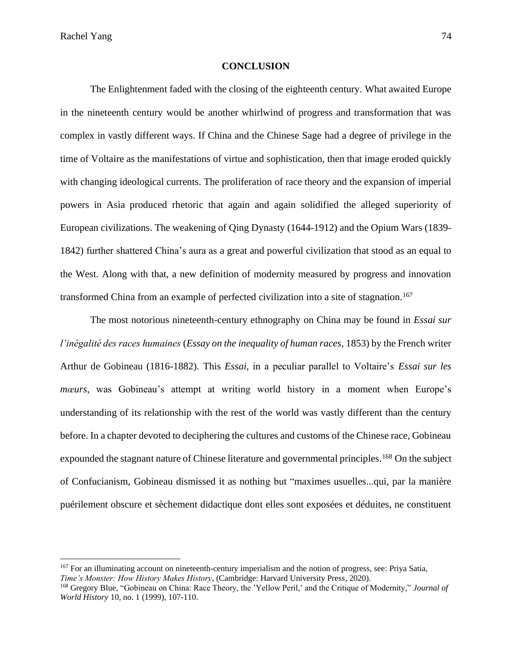Rachel Yang 74

#### **CONCLUSION**

The Enlightenment faded with the closing of the eighteenth century. What awaited Europe in the nineteenth century would be another whirlwind of progress and transformation that was complex in vastly different ways. If China and the Chinese Sage had a degree of privilege in the time of Voltaire as the manifestations of virtue and sophistication, then that image eroded quickly with changing ideological currents. The proliferation of race theory and the expansion of imperial powers in Asia produced rhetoric that again and again solidified the alleged superiority of European civilizations. The weakening of Qing Dynasty (1644-1912) and the Opium Wars (1839- 1842) further shattered China's aura as a great and powerful civilization that stood as an equal to the West. Along with that, a new definition of modernity measured by progress and innovation transformed China from an example of perfected civilization into a site of stagnation.<sup>167</sup>

The most notorious nineteenth-century ethnography on China may be found in *Essai sur l'inégalité des races humaines* (*Essay on the inequality of human races,* 1853) by the French writer Arthur de Gobineau (1816-1882). This *Essai,* in a peculiar parallel to Voltaire's *Essai sur les mœurs,* was Gobineau's attempt at writing world history in a moment when Europe's understanding of its relationship with the rest of the world was vastly different than the century before. In a chapter devoted to deciphering the cultures and customs of the Chinese race, Gobineau expounded the stagnant nature of Chinese literature and governmental principles.<sup>168</sup> On the subject of Confucianism, Gobineau dismissed it as nothing but "maximes usuelles...qui, par la manière puérilement obscure et sèchement didactique dont elles sont exposées et déduites, ne constituent

<sup>&</sup>lt;sup>167</sup> For an illuminating account on nineteenth-century imperialism and the notion of progress, see: Priya Satia, *Time's Monster: How History Makes History*, (Cambridge: Harvard University Press, 2020).

<sup>168</sup> Gregory Blue, "Gobineau on China: Race Theory, the 'Yellow Peril,' and the Critique of Modernity," *Journal of World History* 10, no. 1 (1999), 107-110.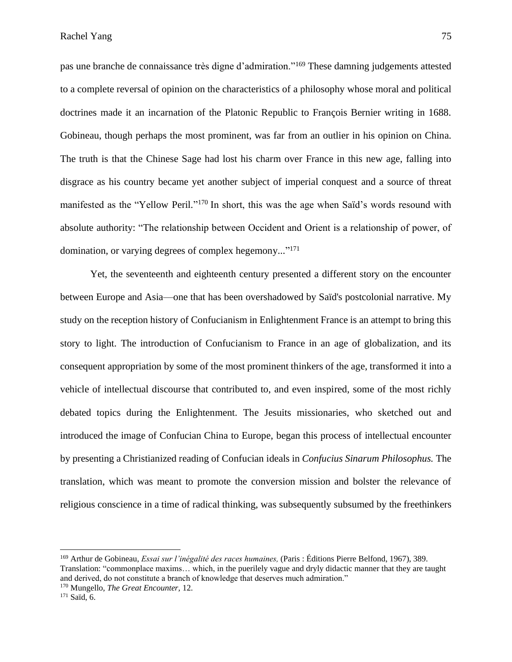pas une branche de connaissance très digne d'admiration."<sup>169</sup> These damning judgements attested to a complete reversal of opinion on the characteristics of a philosophy whose moral and political doctrines made it an incarnation of the Platonic Republic to François Bernier writing in 1688. Gobineau, though perhaps the most prominent, was far from an outlier in his opinion on China. The truth is that the Chinese Sage had lost his charm over France in this new age, falling into disgrace as his country became yet another subject of imperial conquest and a source of threat manifested as the "Yellow Peril."<sup>170</sup> In short, this was the age when Saïd's words resound with absolute authority: "The relationship between Occident and Orient is a relationship of power, of domination, or varying degrees of complex hegemony..."<sup>171</sup>

Yet, the seventeenth and eighteenth century presented a different story on the encounter between Europe and Asia––one that has been overshadowed by Saïd's postcolonial narrative. My study on the reception history of Confucianism in Enlightenment France is an attempt to bring this story to light. The introduction of Confucianism to France in an age of globalization, and its consequent appropriation by some of the most prominent thinkers of the age, transformed it into a vehicle of intellectual discourse that contributed to, and even inspired, some of the most richly debated topics during the Enlightenment. The Jesuits missionaries, who sketched out and introduced the image of Confucian China to Europe, began this process of intellectual encounter by presenting a Christianized reading of Confucian ideals in *Confucius Sinarum Philosophus.* The translation, which was meant to promote the conversion mission and bolster the relevance of religious conscience in a time of radical thinking, was subsequently subsumed by the freethinkers

<sup>169</sup> Arthur de Gobineau, *Essai sur l'inégalité des races humaines,* (Paris : Éditions Pierre Belfond, 1967), 389. Translation: "commonplace maxims… which, in the puerilely vague and dryly didactic manner that they are taught and derived, do not constitute a branch of knowledge that deserves much admiration."

<sup>170</sup> Mungello, *The Great Encounter,* 12.

<sup>171</sup> Saïd, 6.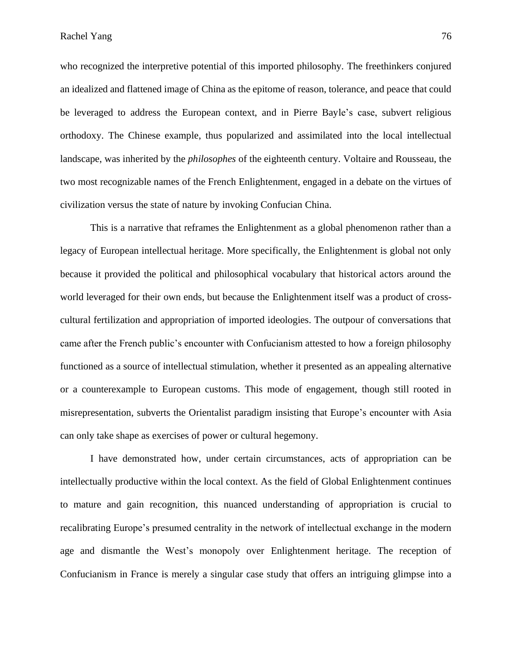who recognized the interpretive potential of this imported philosophy. The freethinkers conjured an idealized and flattened image of China as the epitome of reason, tolerance, and peace that could be leveraged to address the European context, and in Pierre Bayle's case, subvert religious orthodoxy. The Chinese example, thus popularized and assimilated into the local intellectual landscape, was inherited by the *philosophes* of the eighteenth century. Voltaire and Rousseau, the two most recognizable names of the French Enlightenment, engaged in a debate on the virtues of civilization versus the state of nature by invoking Confucian China.

This is a narrative that reframes the Enlightenment as a global phenomenon rather than a legacy of European intellectual heritage. More specifically, the Enlightenment is global not only because it provided the political and philosophical vocabulary that historical actors around the world leveraged for their own ends, but because the Enlightenment itself was a product of crosscultural fertilization and appropriation of imported ideologies. The outpour of conversations that came after the French public's encounter with Confucianism attested to how a foreign philosophy functioned as a source of intellectual stimulation, whether it presented as an appealing alternative or a counterexample to European customs. This mode of engagement, though still rooted in misrepresentation, subverts the Orientalist paradigm insisting that Europe's encounter with Asia can only take shape as exercises of power or cultural hegemony.

I have demonstrated how, under certain circumstances, acts of appropriation can be intellectually productive within the local context. As the field of Global Enlightenment continues to mature and gain recognition, this nuanced understanding of appropriation is crucial to recalibrating Europe's presumed centrality in the network of intellectual exchange in the modern age and dismantle the West's monopoly over Enlightenment heritage. The reception of Confucianism in France is merely a singular case study that offers an intriguing glimpse into a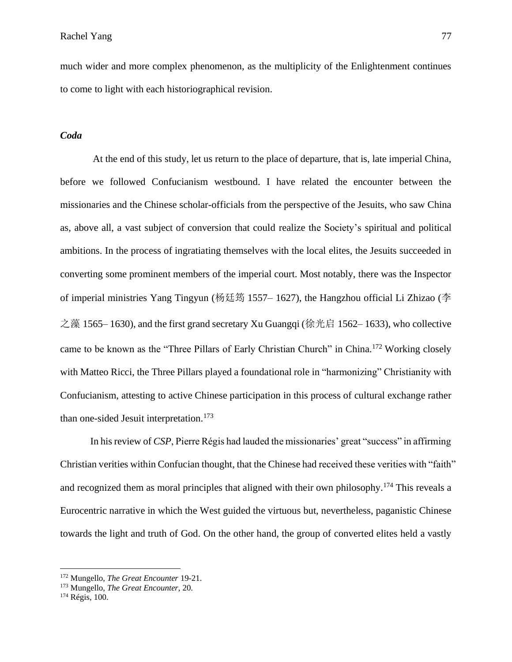much wider and more complex phenomenon, as the multiplicity of the Enlightenment continues to come to light with each historiographical revision.

### *Coda*

At the end of this study, let us return to the place of departure, that is, late imperial China, before we followed Confucianism westbound. I have related the encounter between the missionaries and the Chinese scholar-officials from the perspective of the Jesuits, who saw China as, above all, a vast subject of conversion that could realize the Society's spiritual and political ambitions. In the process of ingratiating themselves with the local elites, the Jesuits succeeded in converting some prominent members of the imperial court. Most notably, there was the Inspector of imperial ministries Yang Tingyun (杨廷筠 1557– 1627), the Hangzhou official Li Zhizao (李 之藻 1565– 1630), and the first grand secretary Xu Guangqi (徐光启 1562– 1633), who collective came to be known as the "Three Pillars of Early Christian Church" in China.<sup>172</sup> Working closely with Matteo Ricci, the Three Pillars played a foundational role in "harmonizing" Christianity with Confucianism, attesting to active Chinese participation in this process of cultural exchange rather than one-sided Jesuit interpretation. 173

In his review of *CSP*, Pierre Régis had lauded the missionaries' great "success" in affirming Christian verities within Confucian thought, that the Chinese had received these verities with "faith" and recognized them as moral principles that aligned with their own philosophy.<sup>174</sup> This reveals a Eurocentric narrative in which the West guided the virtuous but, nevertheless, paganistic Chinese towards the light and truth of God. On the other hand, the group of converted elites held a vastly

<sup>172</sup> Mungello, *The Great Encounter* 19-21.

<sup>173</sup> Mungello, *The Great Encounter,* 20.

<sup>174</sup> Régis, 100.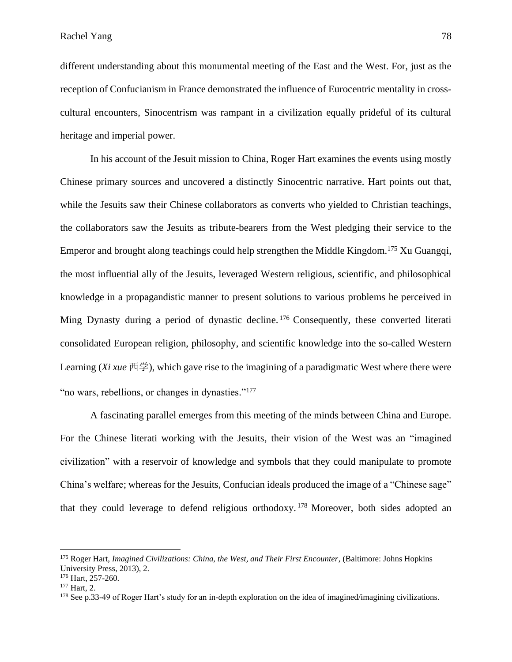different understanding about this monumental meeting of the East and the West. For, just as the reception of Confucianism in France demonstrated the influence of Eurocentric mentality in crosscultural encounters, Sinocentrism was rampant in a civilization equally prideful of its cultural heritage and imperial power.

In his account of the Jesuit mission to China, Roger Hart examines the events using mostly Chinese primary sources and uncovered a distinctly Sinocentric narrative. Hart points out that, while the Jesuits saw their Chinese collaborators as converts who yielded to Christian teachings, the collaborators saw the Jesuits as tribute-bearers from the West pledging their service to the Emperor and brought along teachings could help strengthen the Middle Kingdom.<sup>175</sup> Xu Guangqi, the most influential ally of the Jesuits, leveraged Western religious, scientific, and philosophical knowledge in a propagandistic manner to present solutions to various problems he perceived in Ming Dynasty during a period of dynastic decline.<sup>176</sup> Consequently, these converted literati consolidated European religion, philosophy, and scientific knowledge into the so-called Western Learning (*Xi xue* 西学), which gave rise to the imagining of a paradigmatic West where there were "no wars, rebellions, or changes in dynasties."<sup>177</sup>

A fascinating parallel emerges from this meeting of the minds between China and Europe. For the Chinese literati working with the Jesuits, their vision of the West was an "imagined civilization" with a reservoir of knowledge and symbols that they could manipulate to promote China's welfare; whereas for the Jesuits, Confucian ideals produced the image of a "Chinese sage" that they could leverage to defend religious orthodoxy. <sup>178</sup> Moreover, both sides adopted an

<sup>175</sup> Roger Hart, *Imagined Civilizations: China, the West, and Their First Encounter*, (Baltimore: Johns Hopkins University Press, 2013), 2.

<sup>&</sup>lt;sup>176</sup> Hart, 257-260.

<sup>177</sup> Hart, 2.

<sup>&</sup>lt;sup>178</sup> See p.33-49 of Roger Hart's study for an in-depth exploration on the idea of imagined/imagining civilizations.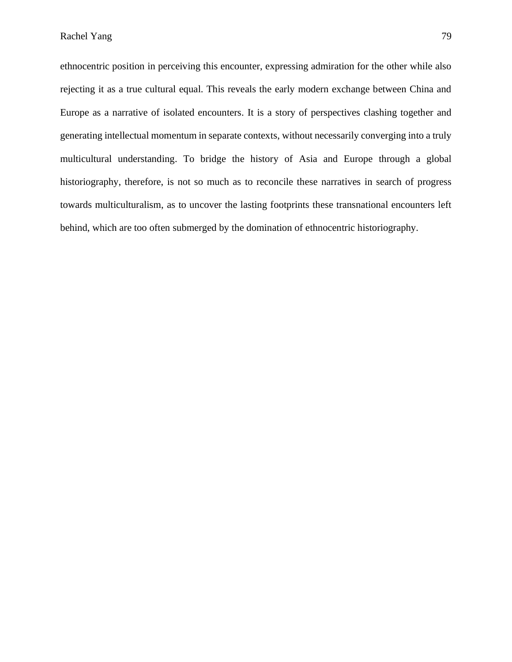ethnocentric position in perceiving this encounter, expressing admiration for the other while also rejecting it as a true cultural equal. This reveals the early modern exchange between China and Europe as a narrative of isolated encounters. It is a story of perspectives clashing together and generating intellectual momentum in separate contexts, without necessarily converging into a truly multicultural understanding. To bridge the history of Asia and Europe through a global historiography, therefore, is not so much as to reconcile these narratives in search of progress towards multiculturalism, as to uncover the lasting footprints these transnational encounters left behind, which are too often submerged by the domination of ethnocentric historiography.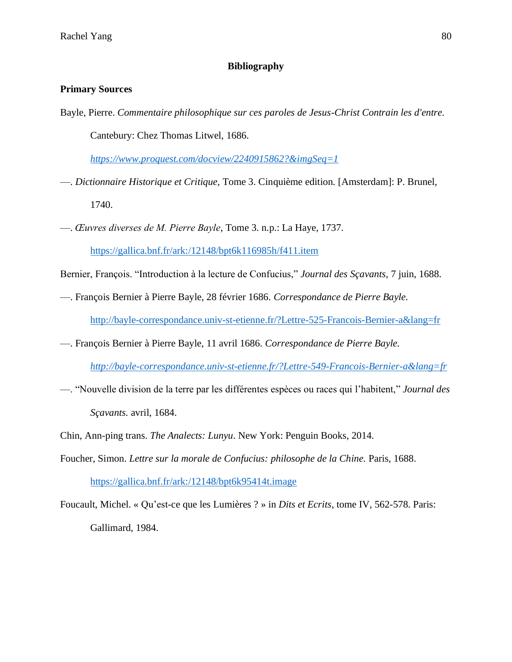# **Bibliography**

# **Primary Sources**

Bayle, Pierre. *Commentaire philosophique sur ces paroles de Jesus-Christ Contrain les d'entre.*  Cantebury: Chez Thomas Litwel, 1686.

*<https://www.proquest.com/docview/2240915862?&imgSeq=1>*

- ––. *Dictionnaire Historique et Critique,* Tome 3. Cinquième edition*.* [Amsterdam]: P. Brunel, 1740.
- ––. *Œuvres diverses de M. Pierre Bayle*, Tome 3. n.p.: La Haye, 1737.

<https://gallica.bnf.fr/ark:/12148/bpt6k116985h/f411.item>

Bernier, François. "Introduction à la lecture de Confucius," *Journal des Sçavants,* 7 juin, 1688.

––. François Bernier à Pierre Bayle, 28 février 1686. *Correspondance de Pierre Bayle.*

<http://bayle-correspondance.univ-st-etienne.fr/?Lettre-525-Francois-Bernier-a&lang=fr>

- ––. François Bernier à Pierre Bayle, 11 avril 1686. *Correspondance de Pierre Bayle.*
	- *<http://bayle-correspondance.univ-st-etienne.fr/?Lettre-549-Francois-Bernier-a&lang=fr>*
- ––. "Nouvelle division de la terre par les différentes espèces ou races qui l'habitent," *Journal des*

*Sçavants.* avril, 1684.

- Chin, Ann-ping trans. *The Analects: Lunyu*. New York: Penguin Books, 2014.
- Foucher, Simon. *Lettre sur la morale de Confucius: philosophe de la Chine.* Paris, 1688. <https://gallica.bnf.fr/ark:/12148/bpt6k95414t.image>
- Foucault, Michel. « Qu'est-ce que les Lumières ? » in *Dits et Ecrits*, tome IV, 562-578. Paris: Gallimard, 1984.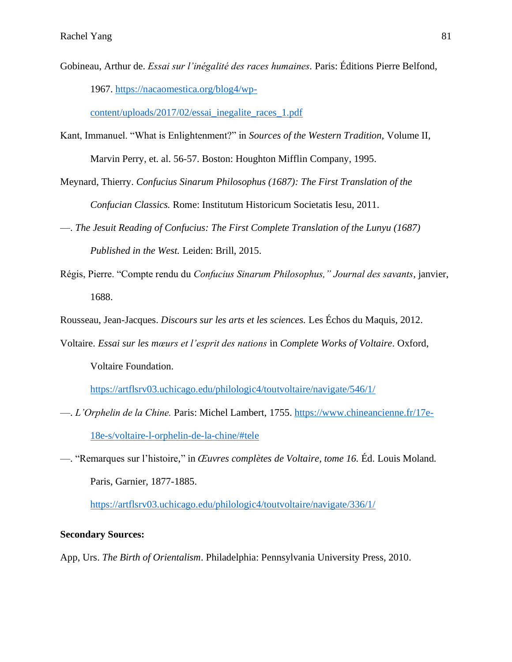Gobineau, Arthur de. *Essai sur l'inégalité des races humaines.* Paris: Éditions Pierre Belfond, 1967. [https://nacaomestica.org/blog4/wp-](https://nacaomestica.org/blog4/wp-content/uploads/2017/02/essai_inegalite_races_1.pdf)

[content/uploads/2017/02/essai\\_inegalite\\_races\\_1.pdf](https://nacaomestica.org/blog4/wp-content/uploads/2017/02/essai_inegalite_races_1.pdf)

- Kant, Immanuel. "What is Enlightenment?" in *Sources of the Western Tradition,* Volume II, Marvin Perry, et. al. 56-57. Boston: Houghton Mifflin Company, 1995.
- Meynard, Thierry. *Confucius Sinarum Philosophus (1687): The First Translation of the*

*Confucian Classics.* Rome: Institutum Historicum Societatis Iesu, 2011.

- —. *The Jesuit Reading of Confucius: The First Complete Translation of the Lunyu (1687) Published in the West.* Leiden: Brill, 2015.
- Régis, Pierre. "Compte rendu du *Confucius Sinarum Philosophus," Journal des savants*, janvier, 1688.

Rousseau, Jean-Jacques. *Discours sur les arts et les sciences.* Les Échos du Maquis, 2012.

Voltaire. *Essai sur les mœurs et l'esprit des nations* in *Complete Works of Voltaire*. Oxford,

Voltaire Foundation.

<https://artflsrv03.uchicago.edu/philologic4/toutvoltaire/navigate/546/1/>

- ––. *L'Orphelin de la Chine.* Paris: Michel Lambert, 1755. [https://www.chineancienne.fr/17e-](https://www.chineancienne.fr/17e-18e-s/voltaire-l-orphelin-de-la-chine/#tele)[18e-s/voltaire-l-orphelin-de-la-chine/#tele](https://www.chineancienne.fr/17e-18e-s/voltaire-l-orphelin-de-la-chine/#tele)
- ––. "Remarques sur l'histoire," in *Œuvres complètes de Voltaire, tome 16.* Éd. Louis Moland*.*  Paris, Garnier, 1877-1885.

<https://artflsrv03.uchicago.edu/philologic4/toutvoltaire/navigate/336/1/>

### **Secondary Sources:**

App, Urs. *The Birth of Orientalism*. Philadelphia: Pennsylvania University Press, 2010.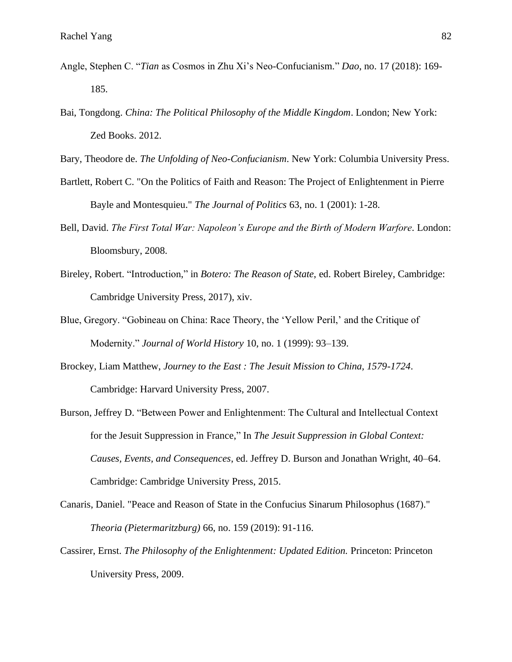- Angle, Stephen C. "*Tian* as Cosmos in Zhu Xi's Neo-Confucianism." *Dao*, no. 17 (2018): 169- 185.
- Bai, Tongdong. *China: The Political Philosophy of the Middle Kingdom*. London; New York: Zed Books. 2012.

Bary, Theodore de. *The Unfolding of Neo-Confucianism*. New York: Columbia University Press.

- Bartlett, Robert C. "On the Politics of Faith and Reason: The Project of Enlightenment in Pierre Bayle and Montesquieu." *The Journal of Politics* 63, no. 1 (2001): 1-28.
- Bell, David. *The First Total War: Napoleon's Europe and the Birth of Modern Warfore.* London: Bloomsbury, 2008.
- Bireley, Robert. "Introduction," in *Botero: The Reason of State*, ed. Robert Bireley, Cambridge: Cambridge University Press, 2017), xiv.
- Blue, Gregory. "Gobineau on China: Race Theory, the 'Yellow Peril,' and the Critique of Modernity." *Journal of World History* 10, no. 1 (1999): 93–139.
- Brockey, Liam Matthew, *Journey to the East : The Jesuit Mission to China, 1579-1724*. Cambridge: Harvard University Press, 2007.
- Burson, Jeffrey D. "Between Power and Enlightenment: The Cultural and Intellectual Context for the Jesuit Suppression in France," In *The Jesuit Suppression in Global Context: Causes, Events, and Consequences*, ed. Jeffrey D. Burson and Jonathan Wright, 40–64. Cambridge: Cambridge University Press, 2015.
- Canaris, Daniel. "Peace and Reason of State in the Confucius Sinarum Philosophus (1687)." *Theoria (Pietermaritzburg)* 66, no. 159 (2019): 91-116.
- Cassirer, Ernst. *The Philosophy of the Enlightenment: Updated Edition.* Princeton: Princeton University Press, 2009.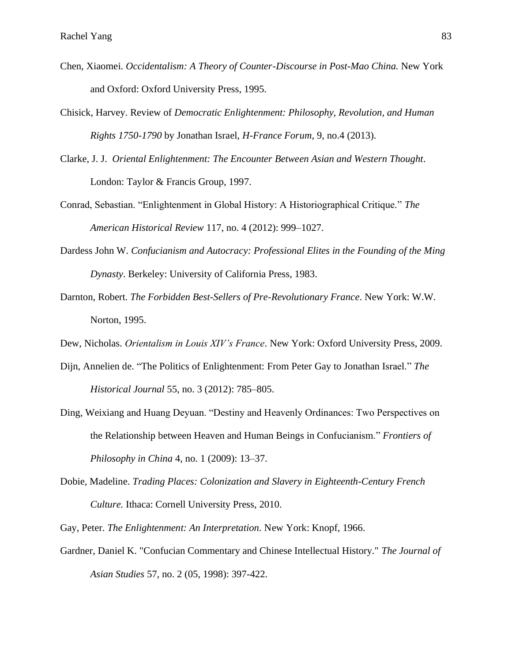- Chen, Xiaomei. *Occidentalism: A Theory of Counter-Discourse in Post-Mao China.* New York and Oxford: Oxford University Press, 1995.
- Chisick, Harvey. Review of *Democratic Enlightenment: Philosophy, Revolution, and Human Rights 1750-1790* by Jonathan Israel, *H-France Forum*, 9, no.4 (2013).
- Clarke, J. J. *Oriental Enlightenment: The Encounter Between Asian and Western Thought*. London: Taylor & Francis Group, 1997.
- Conrad, Sebastian. "Enlightenment in Global History: A Historiographical Critique." *The American Historical Review* 117, no. 4 (2012): 999–1027.
- Dardess John W. *Confucianism and Autocracy: Professional Elites in the Founding of the Ming Dynasty*. Berkeley: University of California Press, 1983.
- Darnton, Robert. *The Forbidden Best-Sellers of Pre-Revolutionary France*. New York: W.W. Norton, 1995.
- Dew, Nicholas. *Orientalism in Louis XIV's France*. New York: Oxford University Press, 2009.
- Dijn, Annelien de. "The Politics of Enlightenment: From Peter Gay to Jonathan Israel." *The Historical Journal* 55, no. 3 (2012): 785–805.
- Ding, Weixiang and Huang Deyuan. "Destiny and Heavenly Ordinances: Two Perspectives on the Relationship between Heaven and Human Beings in Confucianism." *Frontiers of Philosophy in China* 4, no. 1 (2009): 13–37.
- Dobie, Madeline. *Trading Places: Colonization and Slavery in Eighteenth-Century French Culture.* Ithaca: Cornell University Press, 2010.

Gay, Peter. *The Enlightenment: An Interpretation.* New York: Knopf, 1966.

Gardner, Daniel K. "Confucian Commentary and Chinese Intellectual History." *The Journal of Asian Studies* 57, no. 2 (05, 1998): 397-422.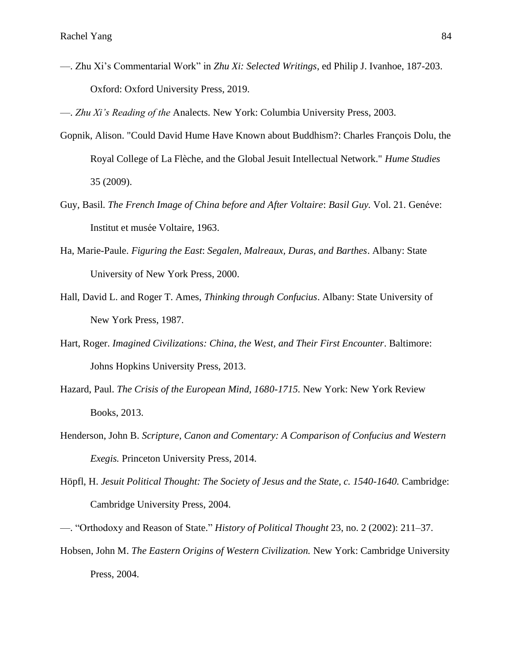––. Zhu Xi's Commentarial Work" in *Zhu Xi: Selected Writings*, ed Philip J. Ivanhoe, 187-203. Oxford: Oxford University Press, 2019.

––. *Zhu Xi's Reading of the* Analects*.* New York: Columbia University Press, 2003.

- Gopnik, Alison. "Could David Hume Have Known about Buddhism?: Charles François Dolu, the Royal College of La Flèche, and the Global Jesuit Intellectual Network." *Hume Studies* 35 (2009).
- Guy, Basil. *The French Image of China before and After Voltaire*: *Basil Guy.* Vol. 21. Genéve: Institut et musée Voltaire, 1963.
- Ha, Marie-Paule. *Figuring the East*: *Segalen, Malreaux, Duras, and Barthes*. Albany: State University of New York Press, 2000.
- Hall, David L. and Roger T. Ames, *Thinking through Confucius*. Albany: State University of New York Press, 1987.
- Hart, Roger. *Imagined Civilizations: China, the West, and Their First Encounter*. Baltimore: Johns Hopkins University Press, 2013.
- Hazard, Paul. *The Crisis of the European Mind, 1680-1715.* New York: New York Review Books, 2013.
- Henderson, John B. *Scripture, Canon and Comentary: A Comparison of Confucius and Western Exegis.* Princeton University Press, 2014.
- Höpfl, H. *Jesuit Political Thought: The Society of Jesus and the State, c. 1540-1640.* Cambridge: Cambridge University Press, 2004.
- ––. "Orthodoxy and Reason of State." *History of Political Thought* 23, no. 2 (2002): 211–37.
- Hobsen, John M. *The Eastern Origins of Western Civilization.* New York: Cambridge University Press, 2004.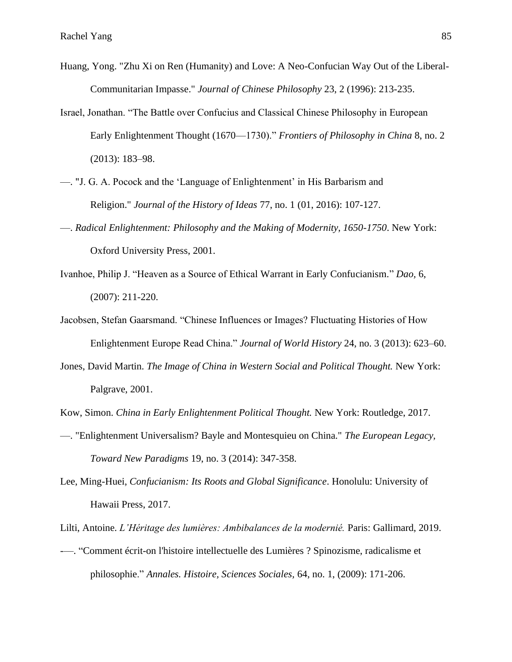- Huang, Yong. "Zhu Xi on Ren (Humanity) and Love: A Neo-Confucian Way Out of the Liberal-Communitarian Impasse." *Journal of Chinese Philosophy* 23, 2 (1996): 213-235.
- Israel, Jonathan. "The Battle over Confucius and Classical Chinese Philosophy in European Early Enlightenment Thought (1670—1730)." *Frontiers of Philosophy in China* 8, no. 2 (2013): 183–98.
- ––. "J. G. A. Pocock and the 'Language of Enlightenment' in His Barbarism and Religion." *Journal of the History of Ideas* 77, no. 1 (01, 2016): 107-127.
- ––. *Radical Enlightenment: Philosophy and the Making of Modernity, 1650-1750*. New York: Oxford University Press, 2001.
- Ivanhoe, Philip J. "Heaven as a Source of Ethical Warrant in Early Confucianism." *Dao,* 6, (2007): 211-220.
- Jacobsen, Stefan Gaarsmand. "Chinese Influences or Images? Fluctuating Histories of How Enlightenment Europe Read China." *Journal of World History* 24, no. 3 (2013): 623–60.
- Jones, David Martin. *The Image of China in Western Social and Political Thought.* New York: Palgrave, 2001.

Kow, Simon. *China in Early Enlightenment Political Thought.* New York: Routledge, 2017.

- ––. "Enlightenment Universalism? Bayle and Montesquieu on China." *The European Legacy, Toward New Paradigms* 19, no. 3 (2014): 347-358.
- Lee, Ming-Huei, *Confucianism: Its Roots and Global Significance*. Honolulu: University of Hawaii Press, 2017.

Lilti, Antoine. *L'Héritage des lumières: Ambibalances de la modernié.* Paris: Gallimard, 2019.

-––. "Comment écrit-on l'histoire intellectuelle des Lumières ? Spinozisme, radicalisme et philosophie." *Annales. Histoire, Sciences Sociales,* 64, no. 1, (2009): 171-206.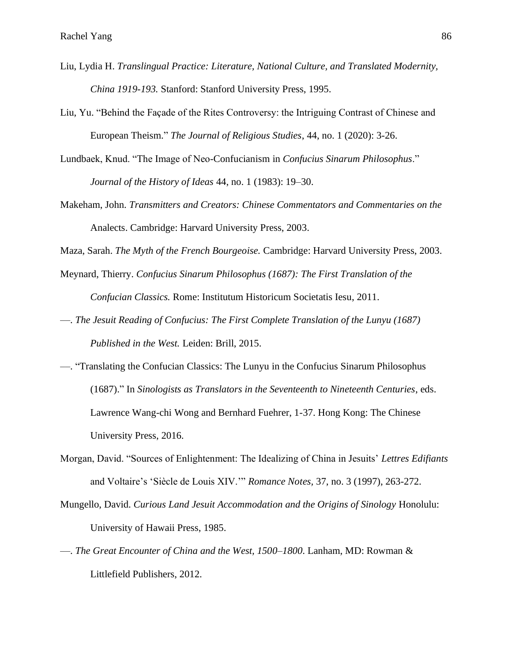- Liu, Lydia H. *Translingual Practice: Literature, National Culture, and Translated Modernity, China 1919-193.* Stanford: Stanford University Press, 1995.
- Liu, Yu. "Behind the Façade of the Rites Controversy: the Intriguing Contrast of Chinese and European Theism." *The Journal of Religious Studies*, 44, no. 1 (2020): 3-26.
- Lundbaek, Knud. "The Image of Neo-Confucianism in *Confucius Sinarum Philosophus*." *Journal of the History of Ideas* 44, no. 1 (1983): 19–30.
- Makeham, John. *Transmitters and Creators: Chinese Commentators and Commentaries on the*  Analects. Cambridge: Harvard University Press, 2003.
- Maza, Sarah. *The Myth of the French Bourgeoise.* Cambridge: Harvard University Press, 2003.
- Meynard, Thierry. *Confucius Sinarum Philosophus (1687): The First Translation of the Confucian Classics.* Rome: Institutum Historicum Societatis Iesu, 2011.
- ––. *The Jesuit Reading of Confucius: The First Complete Translation of the Lunyu (1687) Published in the West.* Leiden: Brill, 2015.
- ––. "Translating the Confucian Classics: The Lunyu in the Confucius Sinarum Philosophus (1687)." In *Sinologists as Translators in the Seventeenth to Nineteenth Centuries*, eds. Lawrence Wang-chi Wong and Bernhard Fuehrer, 1-37. Hong Kong: The Chinese University Press, 2016.
- Morgan, David. "Sources of Enlightenment: The Idealizing of China in Jesuits' *Lettres Edifiants* and Voltaire's 'Siècle de Louis XIV.'" *Romance Notes,* 37, no. 3 (1997), 263-272.
- Mungello, David. *Curious Land Jesuit Accommodation and the Origins of Sinology* Honolulu: University of Hawaii Press, 1985.
- ––. *The Great Encounter of China and the West, 1500–1800*. Lanham, MD: Rowman & Littlefield Publishers, 2012.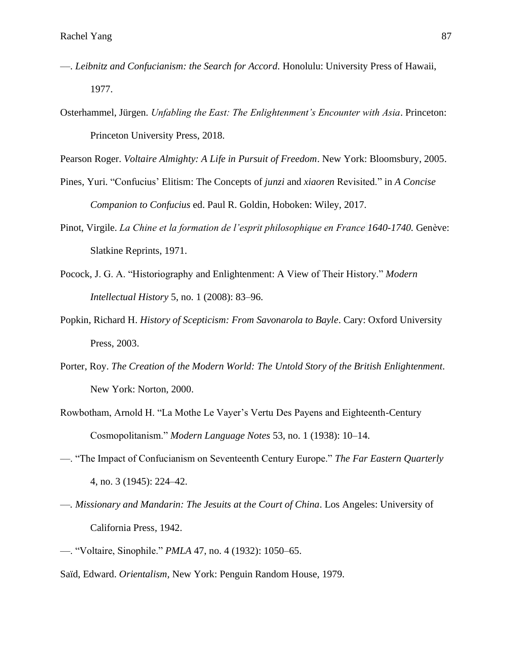- ––. *Leibnitz and Confucianism: the Search for Accord.* Honolulu: University Press of Hawaii, 1977.
- Osterhammel, Jürgen. *Unfabling the East: The Enlightenment's Encounter with Asia*. Princeton: Princeton University Press, 2018.

Pearson Roger. *Voltaire Almighty: A Life in Pursuit of Freedom*. New York: Bloomsbury, 2005.

- Pines, Yuri. "Confucius' Elitism: The Concepts of *junzi* and *xiaoren* Revisited." in *A Concise Companion to Confucius* ed. Paul R. Goldin, Hoboken: Wiley, 2017.
- Pinot, Virgile. *La Chine et la formation de l'esprit philosophique en France 1640-1740.* Genève: Slatkine Reprints, 1971.
- Pocock, J. G. A. "Historiography and Enlightenment: A View of Their History." *Modern Intellectual History* 5, no. 1 (2008): 83–96.
- Popkin, Richard H. *History of Scepticism: From Savonarola to Bayle*. Cary: Oxford University Press, 2003.
- Porter, Roy. *The Creation of the Modern World: The Untold Story of the British Enlightenment*. New York: Norton, 2000.
- Rowbotham, Arnold H. "La Mothe Le Vayer's Vertu Des Payens and Eighteenth-Century Cosmopolitanism." *Modern Language Notes* 53, no. 1 (1938): 10–14.
- ––. "The Impact of Confucianism on Seventeenth Century Europe." *The Far Eastern Quarterly* 4, no. 3 (1945): 224–42.
- *––. Missionary and Mandarin: The Jesuits at the Court of China*. Los Angeles: University of California Press, 1942.
- ––. "Voltaire, Sinophile." *PMLA* 47, no. 4 (1932): 1050–65.
- Saïd, Edward. *Orientalism,* New York: Penguin Random House, 1979.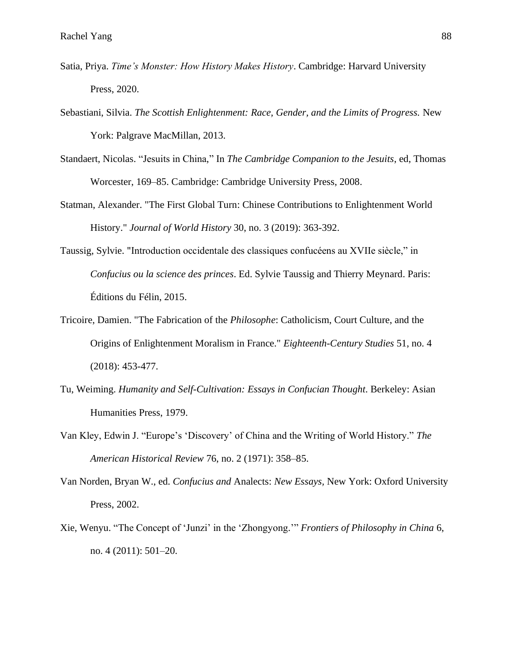- Satia, Priya. *Time's Monster: How History Makes History*. Cambridge: Harvard University Press, 2020.
- Sebastiani, Silvia. *The Scottish Enlightenment: Race, Gender, and the Limits of Progress.* New York: Palgrave MacMillan, 2013.
- Standaert, Nicolas. "Jesuits in China," In *The Cambridge Companion to the Jesuits*, ed, Thomas Worcester, 169–85. Cambridge: Cambridge University Press, 2008.
- Statman, Alexander. "The First Global Turn: Chinese Contributions to Enlightenment World History." *Journal of World History* 30, no. 3 (2019): 363-392.
- Taussig, Sylvie. "Introduction occidentale des classiques confucéens au XVIIe siècle," in *Confucius ou la science des princes*. Ed. Sylvie Taussig and Thierry Meynard. Paris: Éditions du Félin, 2015.
- Tricoire, Damien. "The Fabrication of the *Philosophe*: Catholicism, Court Culture, and the Origins of Enlightenment Moralism in France." *Eighteenth-Century Studies* 51, no. 4 (2018): 453-477.
- Tu, Weiming. *Humanity and Self-Cultivation: Essays in Confucian Thought*. Berkeley: Asian Humanities Press, 1979.
- Van Kley, Edwin J. "Europe's 'Discovery' of China and the Writing of World History." *The American Historical Review* 76, no. 2 (1971): 358–85.
- Van Norden, Bryan W., ed. *Confucius and* Analects: *New Essays,* New York: Oxford University Press, 2002.
- Xie, Wenyu. "The Concept of 'Junzi' in the 'Zhongyong.'" *Frontiers of Philosophy in China* 6, no. 4 (2011): 501–20.